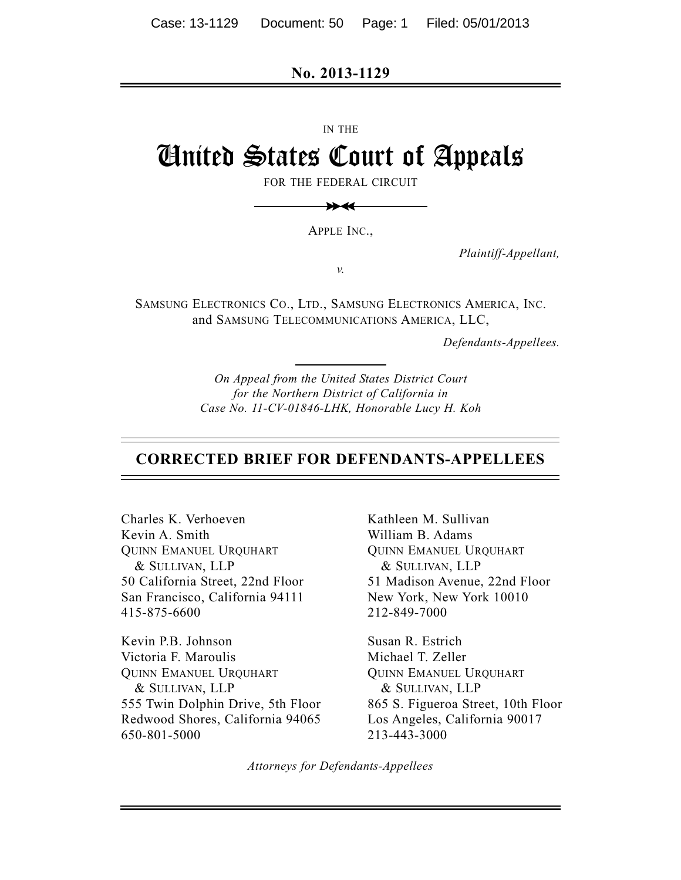**No. 2013-1129**

IN THE

# United States Court of Appeals

FOR THE FEDERAL CIRCUIT



APPLE INC.,

*v.*

*Plaintiff-Appellant,*

SAMSUNG ELECTRONICS CO., LTD., SAMSUNG ELECTRONICS AMERICA, INC. and SAMSUNG TELECOMMUNICATIONS AMERICA, LLC,

*Defendants-Appellees.*

*On Appeal from the United States District Court for the Northern District of California in Case No. 11-CV-01846-LHK, Honorable Lucy H. Koh*

#### **CORRECTED BRIEF FOR DEFENDANTS-APPELLEES**

Charles K. Verhoeven Kevin A. Smith QUINN EMANUEL URQUHART & SULLIVAN, LLP 50 California Street, 22nd Floor San Francisco, California 94111 415-875-6600

Kevin P.B. Johnson Victoria F. Maroulis QUINN EMANUEL URQUHART & SULLIVAN, LLP 555 Twin Dolphin Drive, 5th Floor Redwood Shores, California 94065 650-801-5000

Kathleen M. Sullivan William B. Adams QUINN EMANUEL URQUHART & SULLIVAN, LLP 51 Madison Avenue, 22nd Floor New York, New York 10010 212-849-7000

Susan R. Estrich Michael T. Zeller QUINN EMANUEL URQUHART & SULLIVAN, LLP 865 S. Figueroa Street, 10th Floor Los Angeles, California 90017 213-443-3000

*Attorneys for Defendants-Appellees*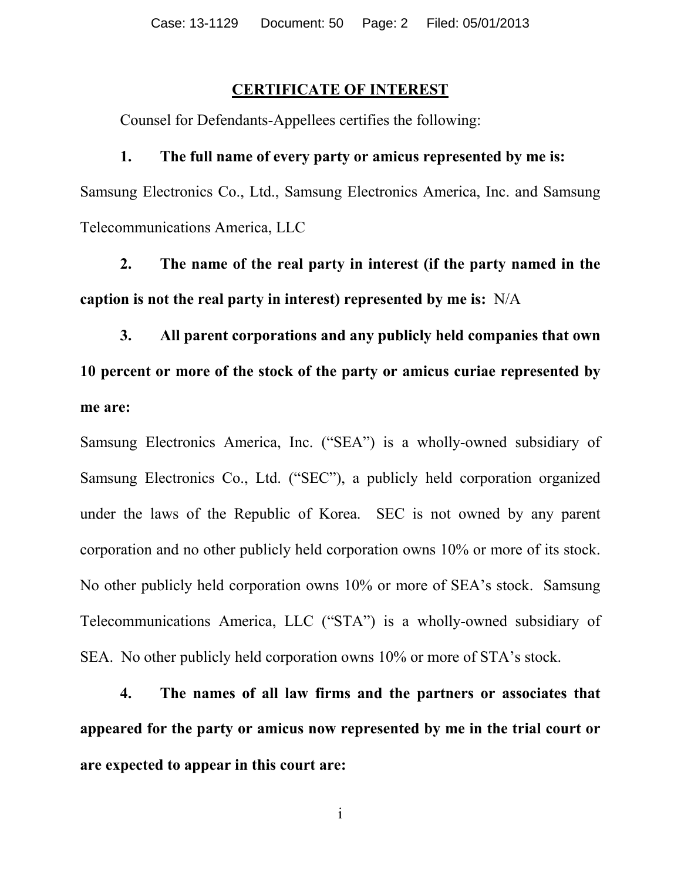#### **CERTIFICATE OF INTEREST**

Counsel for Defendants-Appellees certifies the following:

#### **1. The full name of every party or amicus represented by me is:**

Samsung Electronics Co., Ltd., Samsung Electronics America, Inc. and Samsung Telecommunications America, LLC

**2. The name of the real party in interest (if the party named in the caption is not the real party in interest) represented by me is:** N/A

**3. All parent corporations and any publicly held companies that own 10 percent or more of the stock of the party or amicus curiae represented by me are:**

Samsung Electronics America, Inc. ("SEA") is a wholly-owned subsidiary of Samsung Electronics Co., Ltd. ("SEC"), a publicly held corporation organized under the laws of the Republic of Korea. SEC is not owned by any parent corporation and no other publicly held corporation owns 10% or more of its stock. No other publicly held corporation owns 10% or more of SEA's stock. Samsung Telecommunications America, LLC ("STA") is a wholly-owned subsidiary of SEA. No other publicly held corporation owns 10% or more of STA's stock.

**4. The names of all law firms and the partners or associates that appeared for the party or amicus now represented by me in the trial court or are expected to appear in this court are:**

i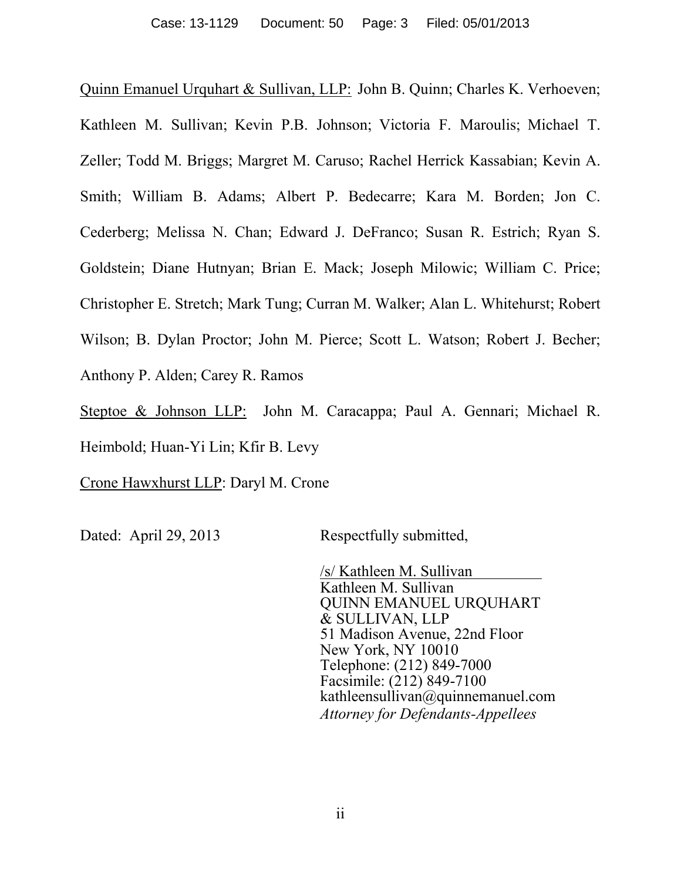Quinn Emanuel Urquhart & Sullivan, LLP: John B. Quinn; Charles K. Verhoeven; Kathleen M. Sullivan; Kevin P.B. Johnson; Victoria F. Maroulis; Michael T. Zeller; Todd M. Briggs; Margret M. Caruso; Rachel Herrick Kassabian; Kevin A. Smith; William B. Adams; Albert P. Bedecarre; Kara M. Borden; Jon C. Cederberg; Melissa N. Chan; Edward J. DeFranco; Susan R. Estrich; Ryan S. Goldstein; Diane Hutnyan; Brian E. Mack; Joseph Milowic; William C. Price; Christopher E. Stretch; Mark Tung; Curran M. Walker; Alan L. Whitehurst; Robert Wilson; B. Dylan Proctor; John M. Pierce; Scott L. Watson; Robert J. Becher; Anthony P. Alden; Carey R. Ramos

Steptoe & Johnson LLP: John M. Caracappa; Paul A. Gennari; Michael R. Heimbold; Huan-Yi Lin; Kfir B. Levy

Crone Hawxhurst LLP: Daryl M. Crone

Dated: April 29, 2013 Respectfully submitted,

/s/ Kathleen M. Sullivan Kathleen M. Sullivan QUINN EMANUEL URQUHART & SULLIVAN, LLP 51 Madison Avenue, 22nd Floor New York, NY 10010 Telephone: (212) 849-7000 Facsimile:  $(212)$  849-7100 kathleensullivan@quinnemanuel.com *Attorney for Defendants-Appellees*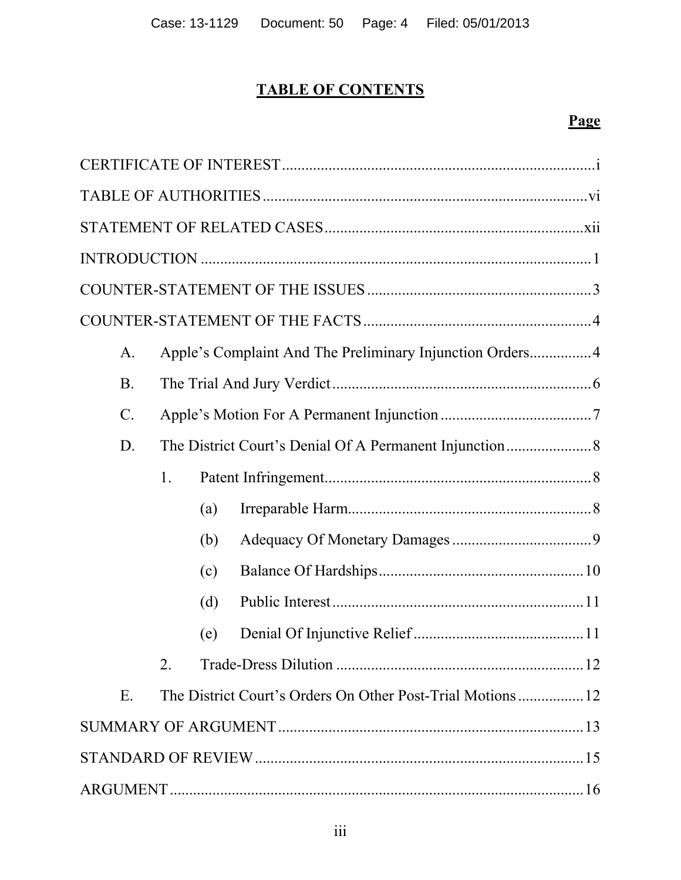# **TABLE OF CONTENTS**

# **Page**

| A.              |                  |     | Apple's Complaint And The Preliminary Injunction Orders 4  |
|-----------------|------------------|-----|------------------------------------------------------------|
| <b>B</b> .      |                  |     |                                                            |
| $\mathcal{C}$ . |                  |     |                                                            |
| D.              |                  |     |                                                            |
|                 | 1.               |     |                                                            |
|                 |                  | (a) |                                                            |
|                 |                  | (b) |                                                            |
|                 |                  | (c) |                                                            |
|                 |                  | (d) |                                                            |
|                 |                  | (e) |                                                            |
|                 | $\overline{2}$ . |     |                                                            |
| E.              |                  |     | The District Court's Orders On Other Post-Trial Motions 12 |
|                 |                  |     |                                                            |
|                 |                  |     |                                                            |
|                 |                  |     |                                                            |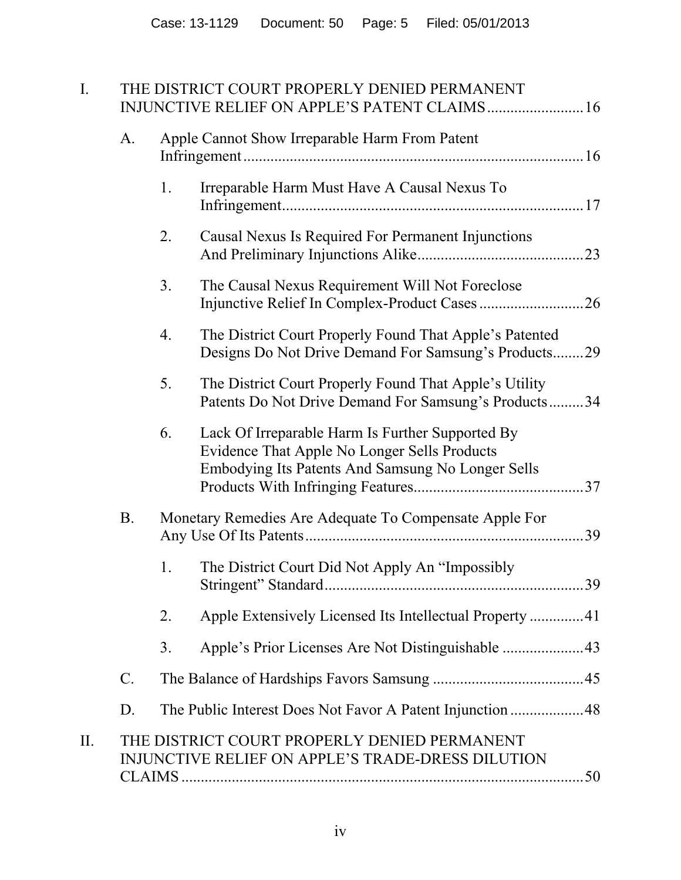| $I_{\cdot}$ |                 |                | THE DISTRICT COURT PROPERLY DENIED PERMANENT                                                                                                          |  |
|-------------|-----------------|----------------|-------------------------------------------------------------------------------------------------------------------------------------------------------|--|
|             | A.              |                | Apple Cannot Show Irreparable Harm From Patent                                                                                                        |  |
|             |                 | 1.             | Irreparable Harm Must Have A Causal Nexus To                                                                                                          |  |
|             |                 | 2.             | Causal Nexus Is Required For Permanent Injunctions                                                                                                    |  |
|             |                 | 3 <sub>1</sub> | The Causal Nexus Requirement Will Not Foreclose                                                                                                       |  |
|             |                 | 4.             | The District Court Properly Found That Apple's Patented<br>Designs Do Not Drive Demand For Samsung's Products29                                       |  |
|             |                 | 5.             | The District Court Properly Found That Apple's Utility<br>Patents Do Not Drive Demand For Samsung's Products34                                        |  |
|             |                 | 6.             | Lack Of Irreparable Harm Is Further Supported By<br>Evidence That Apple No Longer Sells Products<br>Embodying Its Patents And Samsung No Longer Sells |  |
|             | <b>B.</b>       |                | Monetary Remedies Are Adequate To Compensate Apple For                                                                                                |  |
|             |                 | 1.             | The District Court Did Not Apply An "Impossibly"                                                                                                      |  |
|             |                 | 2.             | Apple Extensively Licensed Its Intellectual Property 41                                                                                               |  |
|             |                 | 3.             |                                                                                                                                                       |  |
|             | $\mathcal{C}$ . |                |                                                                                                                                                       |  |
|             | D.              |                |                                                                                                                                                       |  |
| II.         |                 |                | THE DISTRICT COURT PROPERLY DENIED PERMANENT<br>INJUNCTIVE RELIEF ON APPLE'S TRADE-DRESS DILUTION                                                     |  |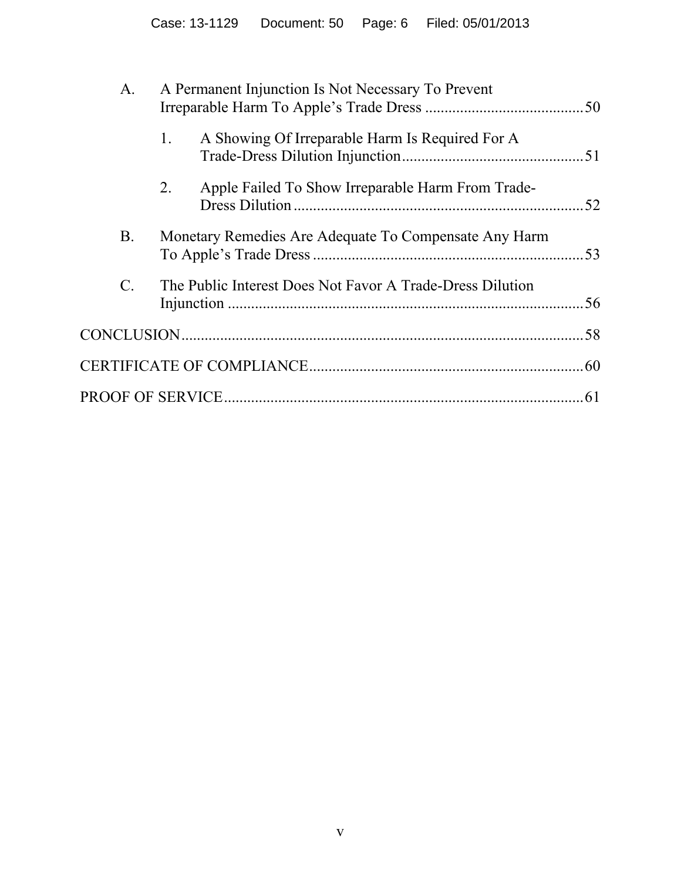| A.              | A Permanent Injunction Is Not Necessary To Prevent        |     |
|-----------------|-----------------------------------------------------------|-----|
|                 | A Showing Of Irreparable Harm Is Required For A<br>1.     |     |
|                 | Apple Failed To Show Irreparable Harm From Trade-<br>2.   | .52 |
| Β.              | Monetary Remedies Are Adequate To Compensate Any Harm     | .53 |
| $\mathcal{C}$ . | The Public Interest Does Not Favor A Trade-Dress Dilution | 56  |
|                 |                                                           |     |
|                 |                                                           |     |
|                 |                                                           | .61 |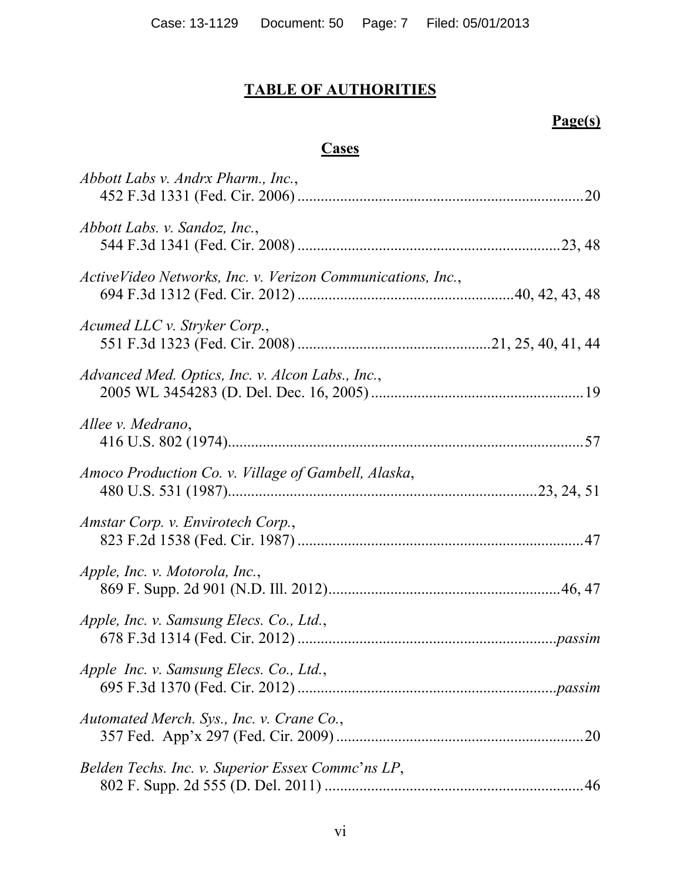# **TABLE OF AUTHORITIES**

# **Page(s)**

# **Cases**

| Abbott Labs v. Andrx Pharm., Inc.,                          |     |
|-------------------------------------------------------------|-----|
| Abbott Labs. v. Sandoz, Inc.,                               |     |
| ActiveVideo Networks, Inc. v. Verizon Communications, Inc., |     |
| Acumed LLC v. Stryker Corp.,                                |     |
| Advanced Med. Optics, Inc. v. Alcon Labs., Inc.,            |     |
| Allee v. Medrano,                                           |     |
| Amoco Production Co. v. Village of Gambell, Alaska,         |     |
| Amstar Corp. v. Envirotech Corp.,                           |     |
| Apple, Inc. v. Motorola, Inc.,                              |     |
| Apple, Inc. v. Samsung Elecs. Co., Ltd.,                    |     |
| Apple Inc. v. Samsung Elecs. Co., Ltd.,                     |     |
| Automated Merch. Sys., Inc. v. Crane Co.,                   | .20 |
| Belden Techs. Inc. v. Superior Essex Commc'ns LP,           |     |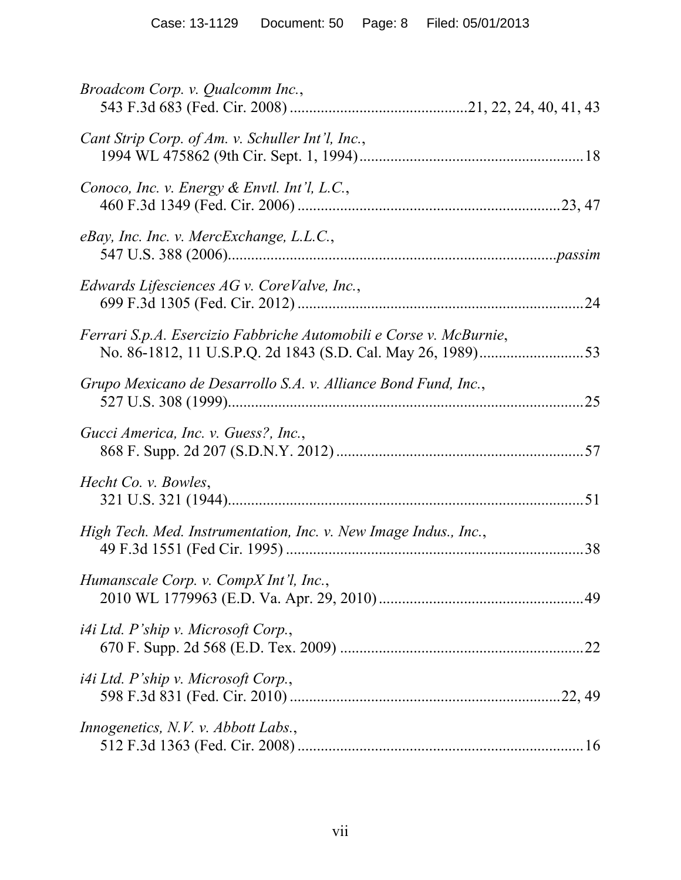| Broadcom Corp. v. Qualcomm Inc.,                                   |    |
|--------------------------------------------------------------------|----|
| Cant Strip Corp. of Am. v. Schuller Int'l, Inc.,                   |    |
| Conoco, Inc. v. Energy & Envtl. Int'l, L.C.,                       |    |
| eBay, Inc. Inc. v. MercExchange, L.L.C.,                           |    |
| Edwards Lifesciences $AGv$ . CoreValve, Inc.,                      |    |
| Ferrari S.p.A. Esercizio Fabbriche Automobili e Corse v. McBurnie, |    |
| Grupo Mexicano de Desarrollo S.A. v. Alliance Bond Fund, Inc.,     | 25 |
| Gucci America, Inc. v. Guess?, Inc.,                               |    |
| Hecht Co. v. Bowles,                                               |    |
| High Tech. Med. Instrumentation, Inc. v. New Image Indus., Inc.,   |    |
| Humanscale Corp. v. CompX Int'l, Inc.,                             |    |
| <i>i4i Ltd. P'ship v. Microsoft Corp.,</i>                         |    |
| <i>i4i Ltd. P'ship v. Microsoft Corp.,</i>                         |    |
| <i>Innogenetics, N.V. v. Abbott Labs.,</i>                         |    |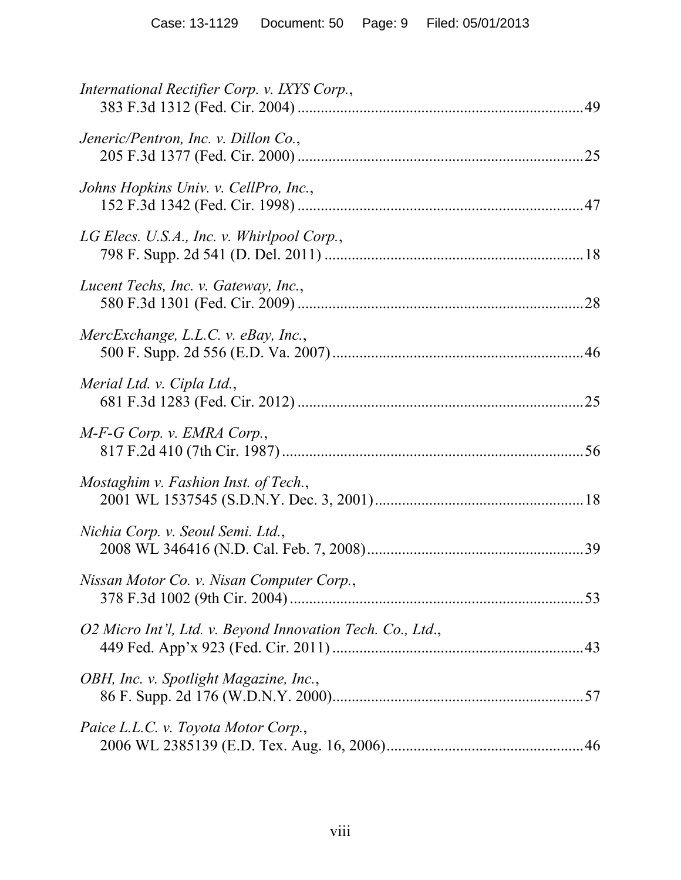| International Rectifier Corp. v. IXYS Corp.,               |  |
|------------------------------------------------------------|--|
| Jeneric/Pentron, Inc. v. Dillon Co.,                       |  |
| Johns Hopkins Univ. v. CellPro, Inc.,                      |  |
| LG Elecs. U.S.A., Inc. v. Whirlpool Corp.,                 |  |
| Lucent Techs, Inc. v. Gateway, Inc.,                       |  |
| MercExchange, L.L.C. v. eBay, Inc.,                        |  |
| Merial Ltd. v. Cipla Ltd.,                                 |  |
| $M-F-G$ Corp. v. EMRA Corp.,                               |  |
| Mostaghim v. Fashion Inst. of Tech.,                       |  |
| Nichia Corp. v. Seoul Semi. Ltd.,                          |  |
| Nissan Motor Co. v. Nisan Computer Corp.,                  |  |
| O2 Micro Int'l, Ltd. v. Beyond Innovation Tech. Co., Ltd., |  |
| OBH, Inc. v. Spotlight Magazine, Inc.,                     |  |
| Paice L.L.C. v. Toyota Motor Corp.,                        |  |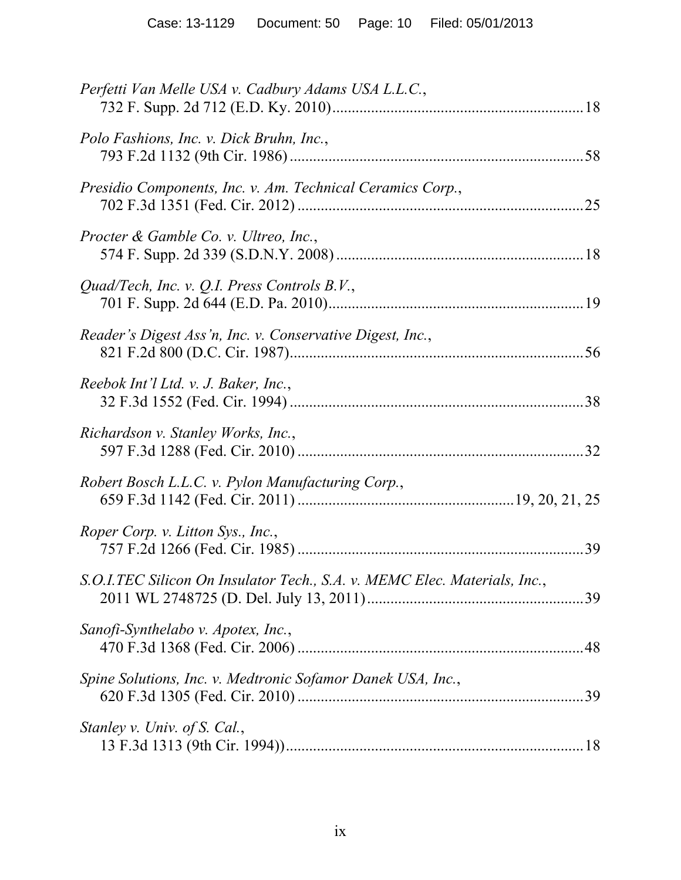| Perfetti Van Melle USA v. Cadbury Adams USA L.L.C.,                       |
|---------------------------------------------------------------------------|
| Polo Fashions, Inc. v. Dick Bruhn, Inc.,                                  |
| Presidio Components, Inc. v. Am. Technical Ceramics Corp.,                |
| Procter & Gamble Co. v. Ultreo, Inc.,                                     |
| Quad/Tech, Inc. v. Q.I. Press Controls B.V.,                              |
| Reader's Digest Ass'n, Inc. v. Conservative Digest, Inc.,                 |
| Reebok Int'l Ltd. v. J. Baker, Inc.,                                      |
| Richardson v. Stanley Works, Inc.,                                        |
| Robert Bosch L.L.C. v. Pylon Manufacturing Corp.,                         |
| Roper Corp. v. Litton Sys., Inc.,                                         |
| S.O.I.TEC Silicon On Insulator Tech., S.A. v. MEMC Elec. Materials, Inc., |
| Sanofi-Synthelabo v. Apotex, Inc.,                                        |
| Spine Solutions, Inc. v. Medtronic Sofamor Danek USA, Inc.,<br>.39        |
| Stanley v. Univ. of S. Cal.,                                              |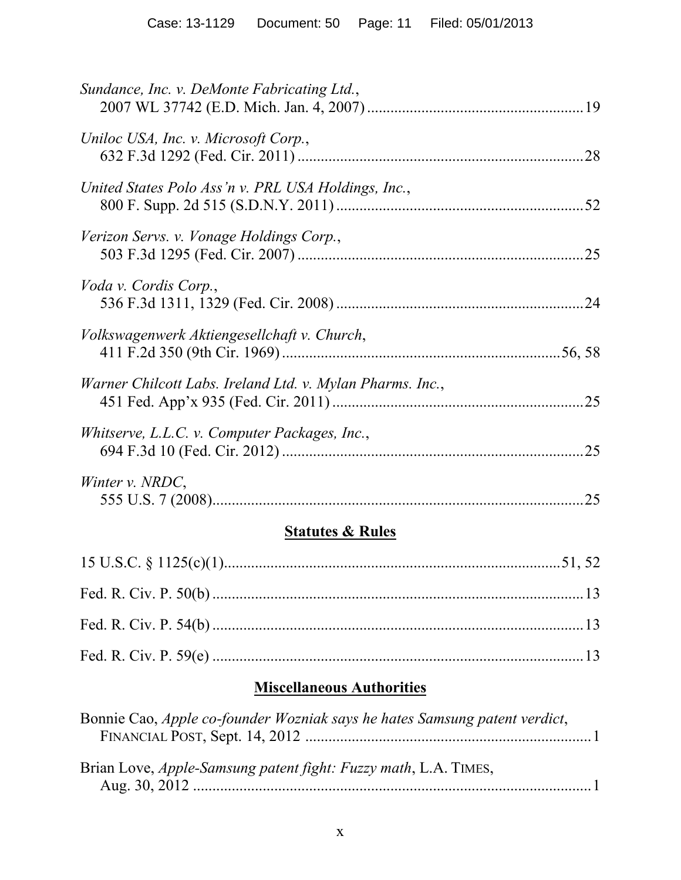| Sundance, Inc. v. DeMonte Fabricating Ltd.,               |  |
|-----------------------------------------------------------|--|
| Uniloc USA, Inc. v. Microsoft Corp.,                      |  |
| United States Polo Ass'n v. PRL USA Holdings, Inc.,       |  |
| Verizon Servs. v. Vonage Holdings Corp.,                  |  |
| Voda v. Cordis Corp.,                                     |  |
| Volkswagenwerk Aktiengesellchaft v. Church,               |  |
| Warner Chilcott Labs. Ireland Ltd. v. Mylan Pharms. Inc., |  |
| Whitserve, L.L.C. v. Computer Packages, Inc.,             |  |
| Winter v. NRDC,                                           |  |
| <b>Statutes &amp; Rules</b>                               |  |
|                                                           |  |
|                                                           |  |
|                                                           |  |

# **Miscellaneous Authorities**

Fed. R. Civ. P. 59(e) ................................................................................................13

| Bonnie Cao, <i>Apple co-founder Wozniak says he hates Samsung patent verdict</i> , |            |
|------------------------------------------------------------------------------------|------------|
|                                                                                    |            |
| Brian Love, <i>Apple-Samsung patent fight: Fuzzy math</i> , L.A. TIMES,            |            |
|                                                                                    | $\sim$ $1$ |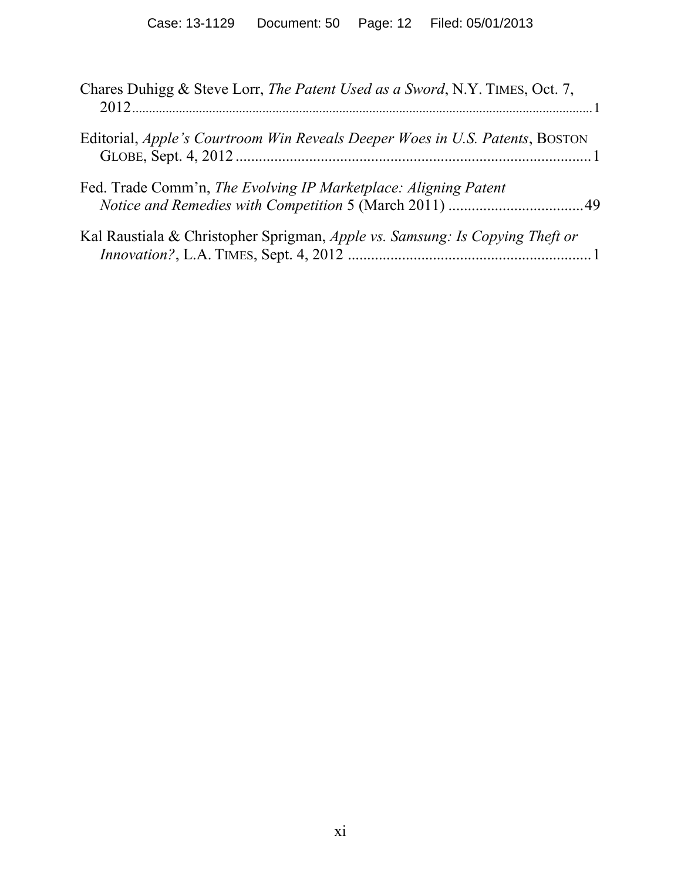| Chares Duhigg & Steve Lorr, The Patent Used as a Sword, N.Y. TIMES, Oct. 7,  |
|------------------------------------------------------------------------------|
| Editorial, Apple's Courtroom Win Reveals Deeper Woes in U.S. Patents, BOSTON |
| Fed. Trade Comm'n, The Evolving IP Marketplace: Aligning Patent              |
| Kal Raustiala & Christopher Sprigman, Apple vs. Samsung: Is Copying Theft or |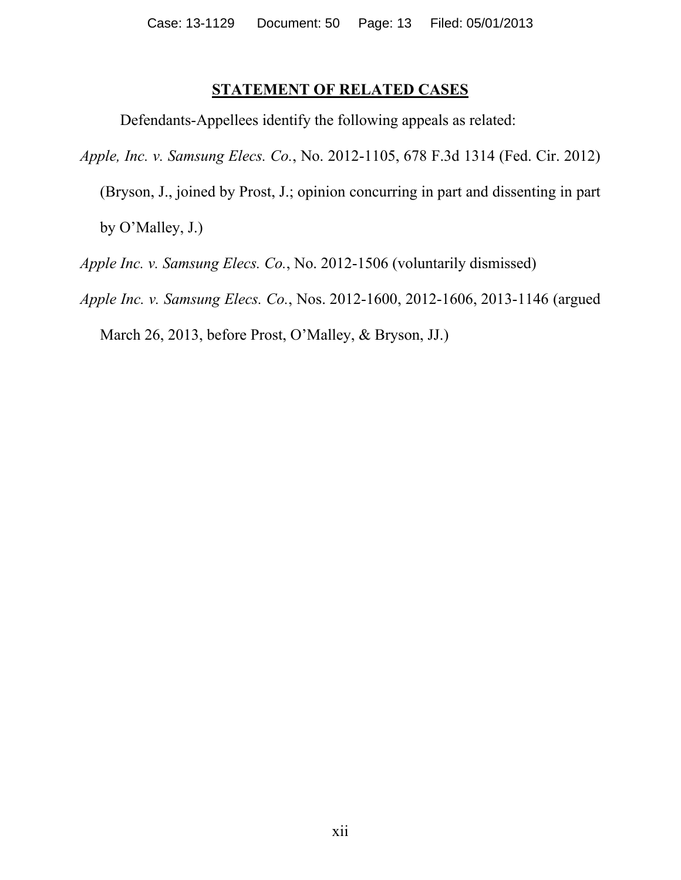# **STATEMENT OF RELATED CASES**

Defendants-Appellees identify the following appeals as related:

*Apple, Inc. v. Samsung Elecs. Co.*, No. 2012-1105, 678 F.3d 1314 (Fed. Cir. 2012)

(Bryson, J., joined by Prost, J.; opinion concurring in part and dissenting in part by O'Malley, J.)

*Apple Inc. v. Samsung Elecs. Co.*, No. 2012-1506 (voluntarily dismissed)

*Apple Inc. v. Samsung Elecs. Co.*, Nos. 2012-1600, 2012-1606, 2013-1146 (argued

March 26, 2013, before Prost, O'Malley, & Bryson, JJ.)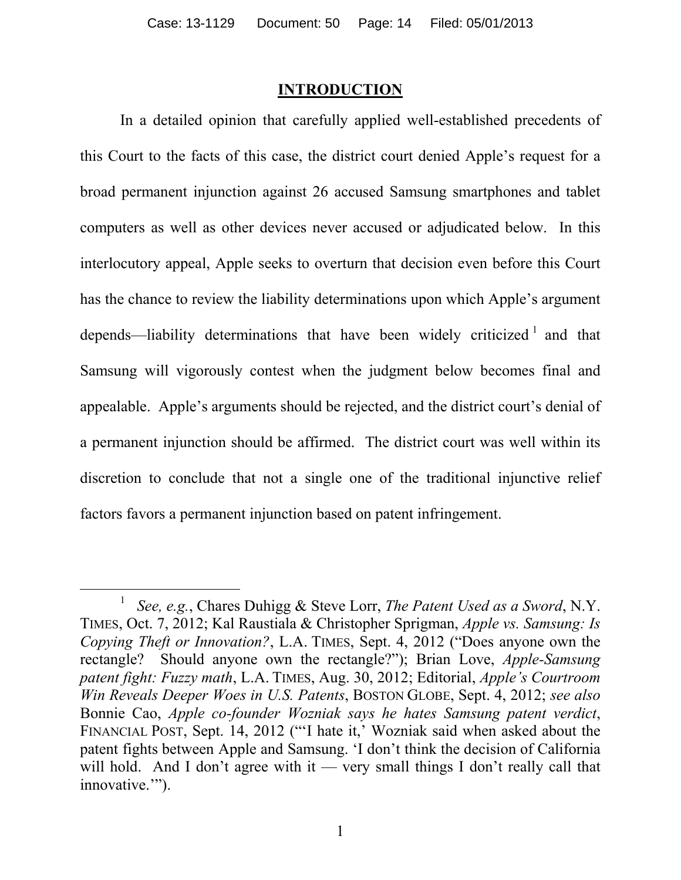### **INTRODUCTION**

In a detailed opinion that carefully applied well-established precedents of this Court to the facts of this case, the district court denied Apple's request for a broad permanent injunction against 26 accused Samsung smartphones and tablet computers as well as other devices never accused or adjudicated below. In this interlocutory appeal, Apple seeks to overturn that decision even before this Court has the chance to review the liability determinations upon which Apple's argument depends—liability determinations that have been widely criticized  $1$  and that Samsung will vigorously contest when the judgment below becomes final and appealable. Apple's arguments should be rejected, and the district court's denial of a permanent injunction should be affirmed. The district court was well within its discretion to conclude that not a single one of the traditional injunctive relief factors favors a permanent injunction based on patent infringement.

l

<sup>1</sup> *See, e.g.*, Chares Duhigg & Steve Lorr, *The Patent Used as a Sword*, N.Y. TIMES, Oct. 7, 2012; Kal Raustiala & Christopher Sprigman, *Apple vs. Samsung: Is Copying Theft or Innovation?*, L.A. TIMES, Sept. 4, 2012 ("Does anyone own the rectangle? Should anyone own the rectangle?"); Brian Love, *Apple-Samsung patent fight: Fuzzy math*, L.A. TIMES, Aug. 30, 2012; Editorial, *Apple's Courtroom Win Reveals Deeper Woes in U.S. Patents*, BOSTON GLOBE, Sept. 4, 2012; *see also* Bonnie Cao, *Apple co-founder Wozniak says he hates Samsung patent verdict*, FINANCIAL POST, Sept. 14, 2012 ("'I hate it,' Wozniak said when asked about the patent fights between Apple and Samsung. 'I don't think the decision of California will hold. And I don't agree with it — very small things I don't really call that innovative."").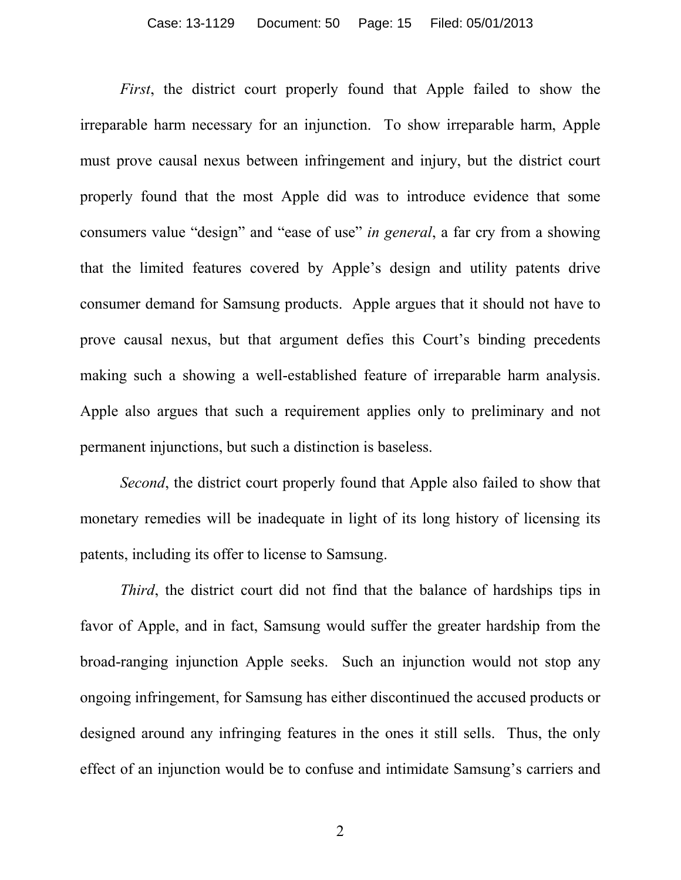*First*, the district court properly found that Apple failed to show the irreparable harm necessary for an injunction. To show irreparable harm, Apple must prove causal nexus between infringement and injury, but the district court properly found that the most Apple did was to introduce evidence that some consumers value "design" and "ease of use" *in general*, a far cry from a showing that the limited features covered by Apple's design and utility patents drive consumer demand for Samsung products. Apple argues that it should not have to prove causal nexus, but that argument defies this Court's binding precedents making such a showing a well-established feature of irreparable harm analysis. Apple also argues that such a requirement applies only to preliminary and not permanent injunctions, but such a distinction is baseless.

*Second*, the district court properly found that Apple also failed to show that monetary remedies will be inadequate in light of its long history of licensing its patents, including its offer to license to Samsung.

*Third*, the district court did not find that the balance of hardships tips in favor of Apple, and in fact, Samsung would suffer the greater hardship from the broad-ranging injunction Apple seeks. Such an injunction would not stop any ongoing infringement, for Samsung has either discontinued the accused products or designed around any infringing features in the ones it still sells. Thus, the only effect of an injunction would be to confuse and intimidate Samsung's carriers and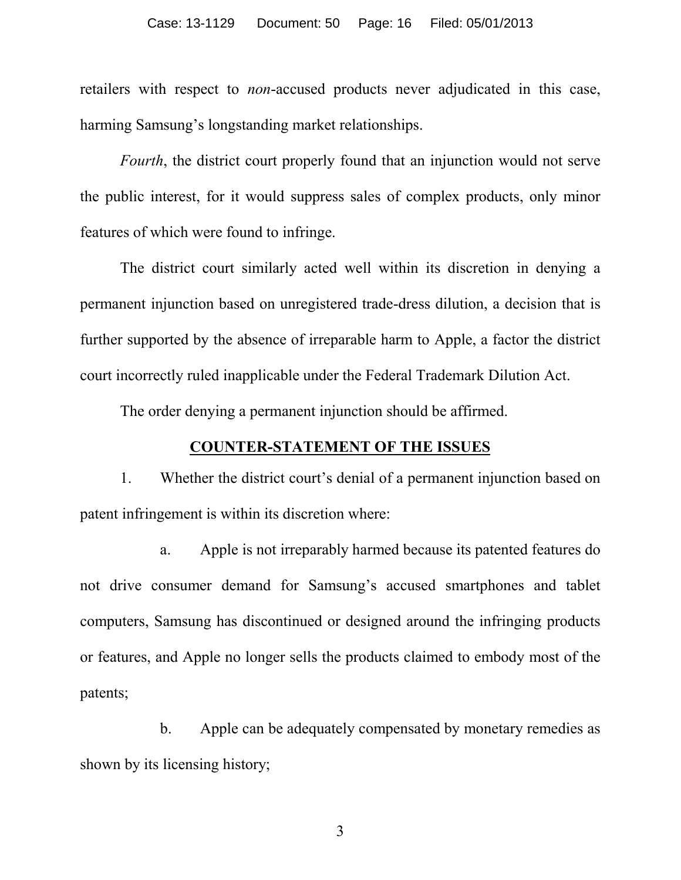retailers with respect to *non*-accused products never adjudicated in this case, harming Samsung's longstanding market relationships.

*Fourth*, the district court properly found that an injunction would not serve the public interest, for it would suppress sales of complex products, only minor features of which were found to infringe.

The district court similarly acted well within its discretion in denying a permanent injunction based on unregistered trade-dress dilution, a decision that is further supported by the absence of irreparable harm to Apple, a factor the district court incorrectly ruled inapplicable under the Federal Trademark Dilution Act.

The order denying a permanent injunction should be affirmed.

## **COUNTER-STATEMENT OF THE ISSUES**

1. Whether the district court's denial of a permanent injunction based on patent infringement is within its discretion where:

a. Apple is not irreparably harmed because its patented features do not drive consumer demand for Samsung's accused smartphones and tablet computers, Samsung has discontinued or designed around the infringing products or features, and Apple no longer sells the products claimed to embody most of the patents;

b. Apple can be adequately compensated by monetary remedies as shown by its licensing history;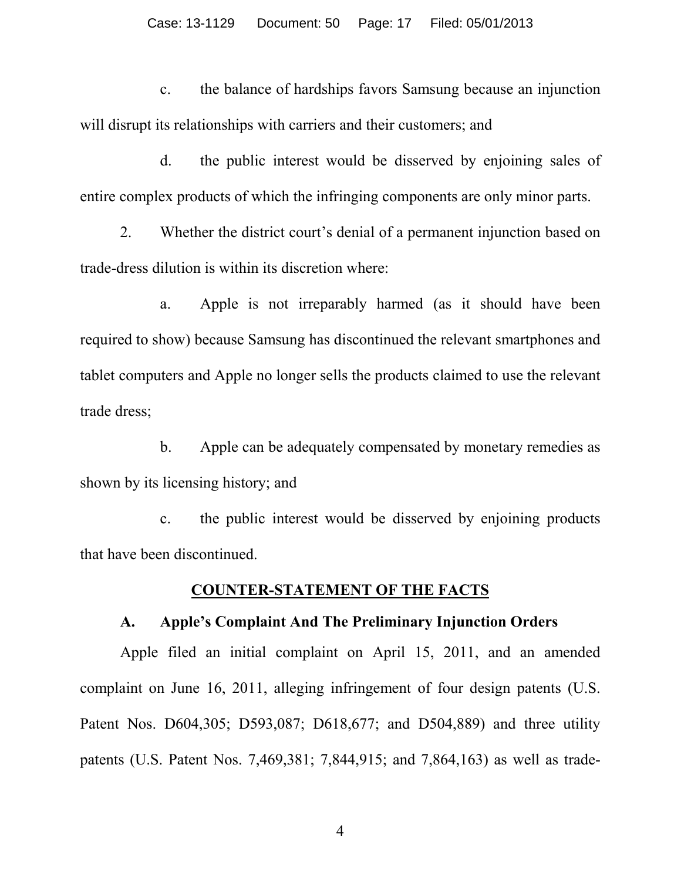#### Case: 13-1129 Document: 50 Page: 17 Filed: 05/01/2013

c. the balance of hardships favors Samsung because an injunction will disrupt its relationships with carriers and their customers; and

d. the public interest would be disserved by enjoining sales of entire complex products of which the infringing components are only minor parts.

2. Whether the district court's denial of a permanent injunction based on trade-dress dilution is within its discretion where:

a. Apple is not irreparably harmed (as it should have been required to show) because Samsung has discontinued the relevant smartphones and tablet computers and Apple no longer sells the products claimed to use the relevant trade dress;

b. Apple can be adequately compensated by monetary remedies as shown by its licensing history; and

c. the public interest would be disserved by enjoining products that have been discontinued.

#### **COUNTER-STATEMENT OF THE FACTS**

#### **A. Apple's Complaint And The Preliminary Injunction Orders**

Apple filed an initial complaint on April 15, 2011, and an amended complaint on June 16, 2011, alleging infringement of four design patents (U.S. Patent Nos. D604,305; D593,087; D618,677; and D504,889) and three utility patents (U.S. Patent Nos. 7,469,381; 7,844,915; and 7,864,163) as well as trade-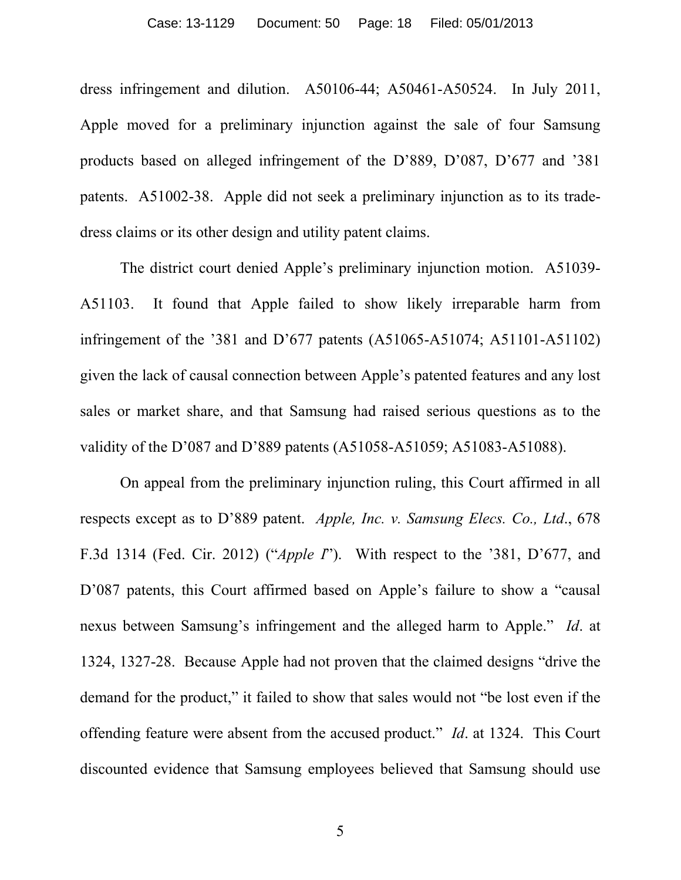dress infringement and dilution. A50106-44; A50461-A50524. In July 2011, Apple moved for a preliminary injunction against the sale of four Samsung products based on alleged infringement of the D'889, D'087, D'677 and '381 patents. A51002-38. Apple did not seek a preliminary injunction as to its tradedress claims or its other design and utility patent claims.

The district court denied Apple's preliminary injunction motion. A51039- A51103. It found that Apple failed to show likely irreparable harm from infringement of the '381 and D'677 patents (A51065-A51074; A51101-A51102) given the lack of causal connection between Apple's patented features and any lost sales or market share, and that Samsung had raised serious questions as to the validity of the D'087 and D'889 patents (A51058-A51059; A51083-A51088).

On appeal from the preliminary injunction ruling, this Court affirmed in all respects except as to D'889 patent. *Apple, Inc. v. Samsung Elecs. Co., Ltd*., 678 F.3d 1314 (Fed. Cir. 2012) ("*Apple I*"). With respect to the '381, D'677, and D'087 patents, this Court affirmed based on Apple's failure to show a "causal" nexus between Samsung's infringement and the alleged harm to Apple." *Id*. at 1324, 1327-28. Because Apple had not proven that the claimed designs "drive the demand for the product," it failed to show that sales would not "be lost even if the offending feature were absent from the accused product." *Id*. at 1324. This Court discounted evidence that Samsung employees believed that Samsung should use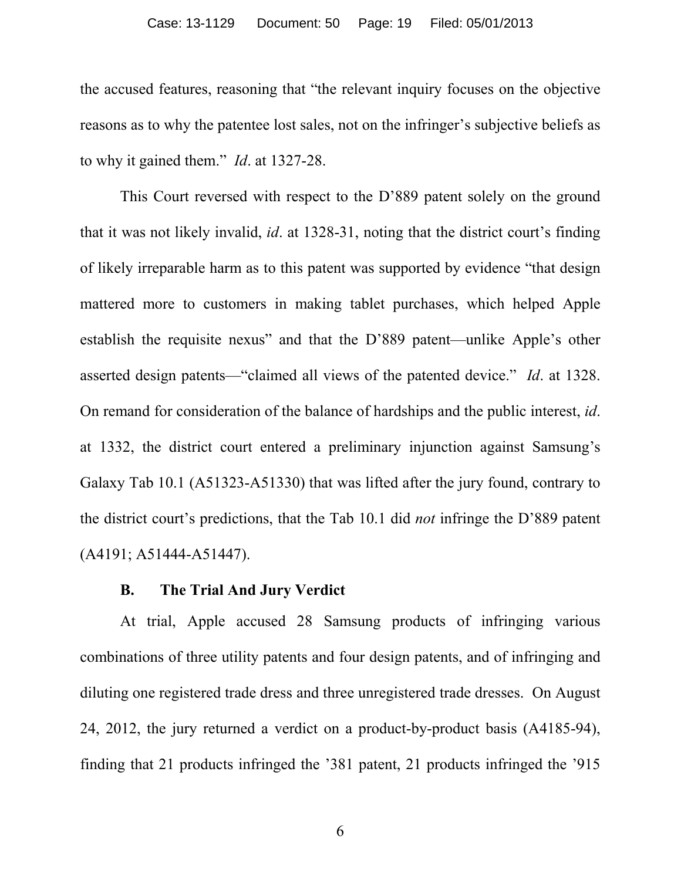the accused features, reasoning that "the relevant inquiry focuses on the objective reasons as to why the patentee lost sales, not on the infringer's subjective beliefs as to why it gained them." *Id*. at 1327-28.

This Court reversed with respect to the D'889 patent solely on the ground that it was not likely invalid, *id*. at 1328-31, noting that the district court's finding of likely irreparable harm as to this patent was supported by evidence "that design mattered more to customers in making tablet purchases, which helped Apple establish the requisite nexus" and that the D'889 patent—unlike Apple's other asserted design patents—"claimed all views of the patented device." *Id*. at 1328. On remand for consideration of the balance of hardships and the public interest, *id*. at 1332, the district court entered a preliminary injunction against Samsung's Galaxy Tab 10.1 (A51323-A51330) that was lifted after the jury found, contrary to the district court's predictions, that the Tab 10.1 did *not* infringe the D'889 patent (A4191; A51444-A51447).

# **B. The Trial And Jury Verdict**

At trial, Apple accused 28 Samsung products of infringing various combinations of three utility patents and four design patents, and of infringing and diluting one registered trade dress and three unregistered trade dresses. On August 24, 2012, the jury returned a verdict on a product-by-product basis (A4185-94), finding that 21 products infringed the '381 patent, 21 products infringed the '915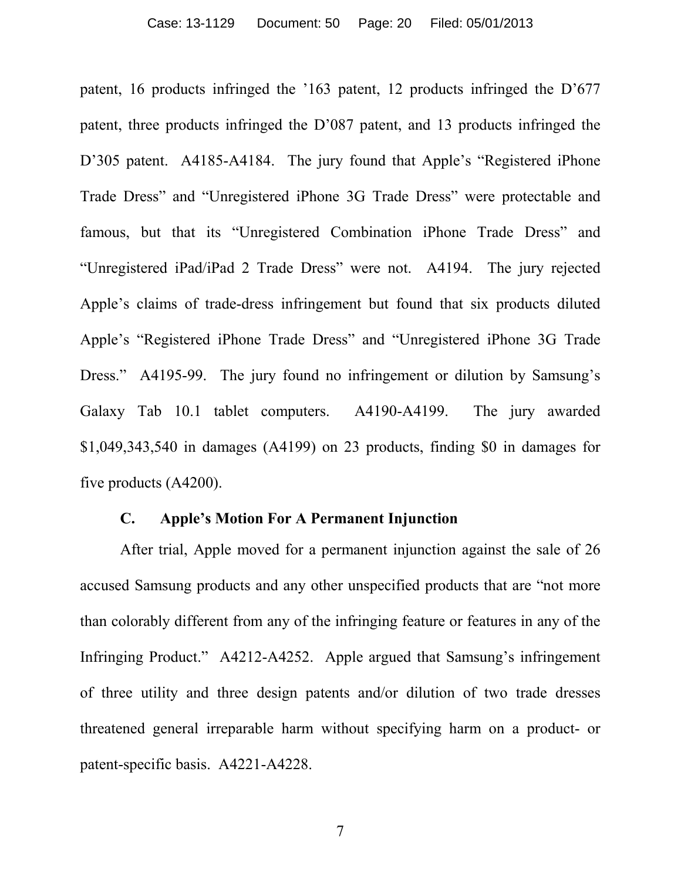patent, 16 products infringed the '163 patent, 12 products infringed the D'677 patent, three products infringed the D'087 patent, and 13 products infringed the D'305 patent. A4185-A4184. The jury found that Apple's "Registered iPhone" Trade Dress" and "Unregistered iPhone 3G Trade Dress" were protectable and famous, but that its "Unregistered Combination iPhone Trade Dress" and "Unregistered iPad/iPad 2 Trade Dress" were not. A4194. The jury rejected Apple's claims of trade-dress infringement but found that six products diluted Apple's "Registered iPhone Trade Dress" and "Unregistered iPhone 3G Trade Dress." A4195-99. The jury found no infringement or dilution by Samsung's Galaxy Tab 10.1 tablet computers. A4190-A4199. The jury awarded \$1,049,343,540 in damages (A4199) on 23 products, finding \$0 in damages for five products (A4200).

### **C. Apple's Motion For A Permanent Injunction**

After trial, Apple moved for a permanent injunction against the sale of 26 accused Samsung products and any other unspecified products that are "not more than colorably different from any of the infringing feature or features in any of the Infringing Product." A4212-A4252. Apple argued that Samsung's infringement of three utility and three design patents and/or dilution of two trade dresses threatened general irreparable harm without specifying harm on a product- or patent-specific basis. A4221-A4228.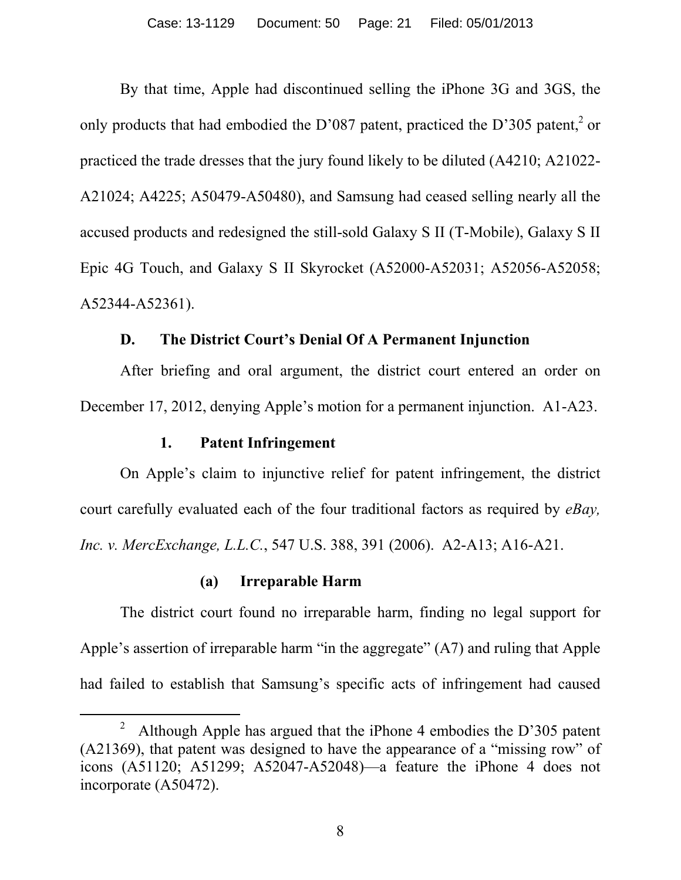By that time, Apple had discontinued selling the iPhone 3G and 3GS, the only products that had embodied the D'087 patent, practiced the D'305 patent,  $2$  or practiced the trade dresses that the jury found likely to be diluted (A4210; A21022- A21024; A4225; A50479-A50480), and Samsung had ceased selling nearly all the accused products and redesigned the still-sold Galaxy S II (T-Mobile), Galaxy S II Epic 4G Touch, and Galaxy S II Skyrocket (A52000-A52031; A52056-A52058; A52344-A52361).

## **D. The District Court's Denial Of A Permanent Injunction**

After briefing and oral argument, the district court entered an order on December 17, 2012, denying Apple's motion for a permanent injunction. A1-A23.

# **1. Patent Infringement**

 $\overline{a}$ 

On Apple's claim to injunctive relief for patent infringement, the district court carefully evaluated each of the four traditional factors as required by *eBay, Inc. v. MercExchange, L.L.C.*, 547 U.S. 388, 391 (2006). A2-A13; A16-A21.

### **(a) Irreparable Harm**

The district court found no irreparable harm, finding no legal support for Apple's assertion of irreparable harm "in the aggregate" (A7) and ruling that Apple had failed to establish that Samsung's specific acts of infringement had caused

<sup>&</sup>lt;sup>2</sup> Although Apple has argued that the iPhone 4 embodies the D'305 patent (A21369), that patent was designed to have the appearance of a "missing row" of icons (A51120; A51299; A52047-A52048)—a feature the iPhone 4 does not incorporate (A50472).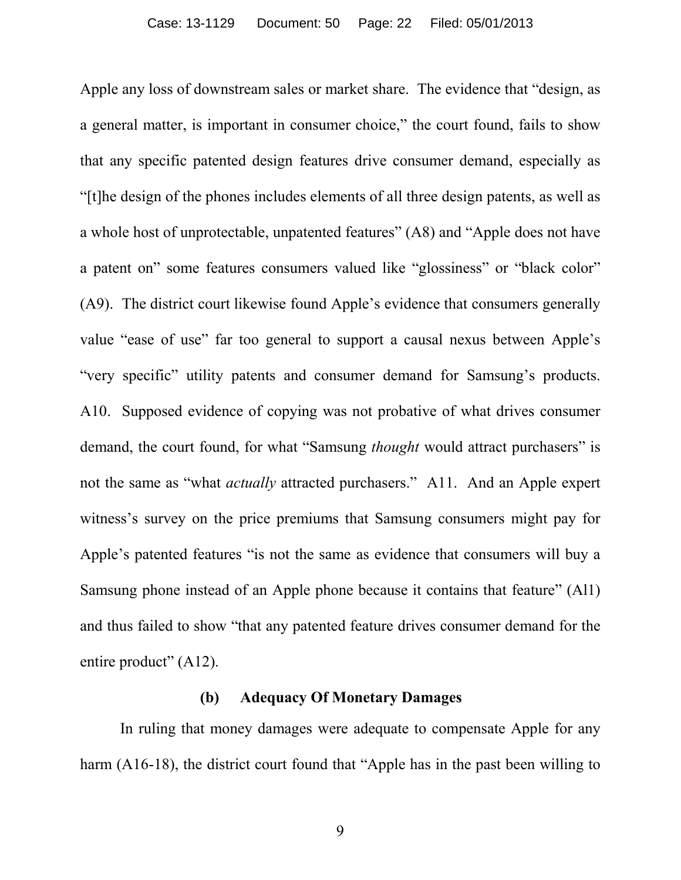Apple any loss of downstream sales or market share. The evidence that "design, as a general matter, is important in consumer choice," the court found, fails to show that any specific patented design features drive consumer demand, especially as "[t]he design of the phones includes elements of all three design patents, as well as a whole host of unprotectable, unpatented features" (A8) and "Apple does not have a patent on" some features consumers valued like "glossiness" or "black color" (A9). The district court likewise found Apple's evidence that consumers generally value "ease of use" far too general to support a causal nexus between Apple's "very specific" utility patents and consumer demand for Samsung's products. A10. Supposed evidence of copying was not probative of what drives consumer demand, the court found, for what "Samsung *thought* would attract purchasers" is not the same as "what *actually* attracted purchasers." A11. And an Apple expert witness's survey on the price premiums that Samsung consumers might pay for Apple's patented features "is not the same as evidence that consumers will buy a Samsung phone instead of an Apple phone because it contains that feature" (Al1) and thus failed to show "that any patented feature drives consumer demand for the entire product" (A12).

#### **(b) Adequacy Of Monetary Damages**

In ruling that money damages were adequate to compensate Apple for any harm (A16-18), the district court found that "Apple has in the past been willing to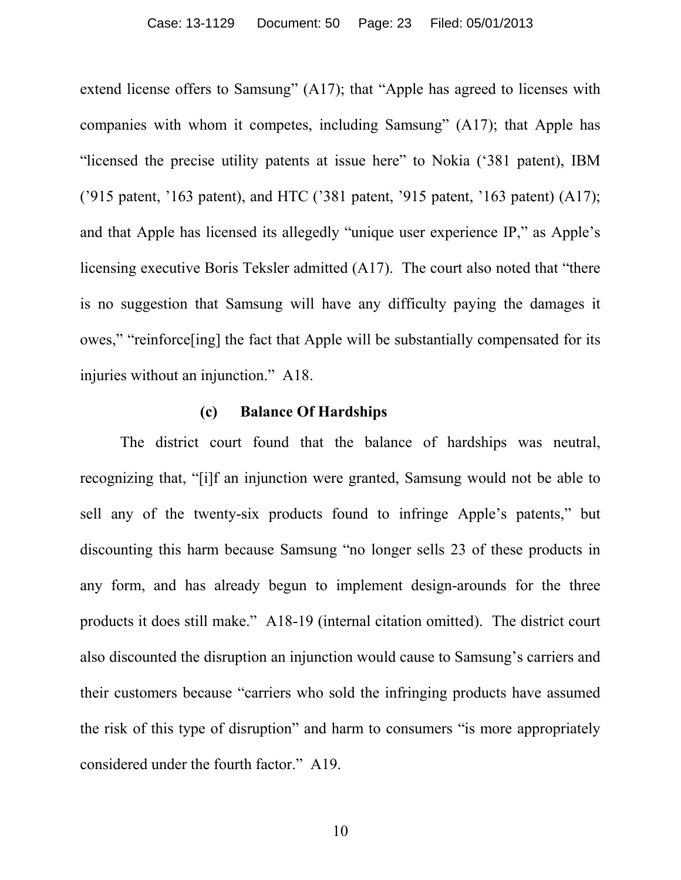extend license offers to Samsung" (A17); that "Apple has agreed to licenses with companies with whom it competes, including Samsung" (A17); that Apple has "licensed the precise utility patents at issue here" to Nokia ('381 patent), IBM ('915 patent, '163 patent), and HTC ('381 patent, '915 patent, '163 patent) (A17); and that Apple has licensed its allegedly "unique user experience IP," as Apple's licensing executive Boris Teksler admitted (A17). The court also noted that "there is no suggestion that Samsung will have any difficulty paying the damages it owes," "reinforce[ing] the fact that Apple will be substantially compensated for its injuries without an injunction." A18.

# **(c) Balance Of Hardships**

The district court found that the balance of hardships was neutral, recognizing that, "[i]f an injunction were granted, Samsung would not be able to sell any of the twenty-six products found to infringe Apple's patents," but discounting this harm because Samsung "no longer sells 23 of these products in any form, and has already begun to implement design-arounds for the three products it does still make." A18-19 (internal citation omitted). The district court also discounted the disruption an injunction would cause to Samsung's carriers and their customers because "carriers who sold the infringing products have assumed the risk of this type of disruption" and harm to consumers "is more appropriately considered under the fourth factor." A19.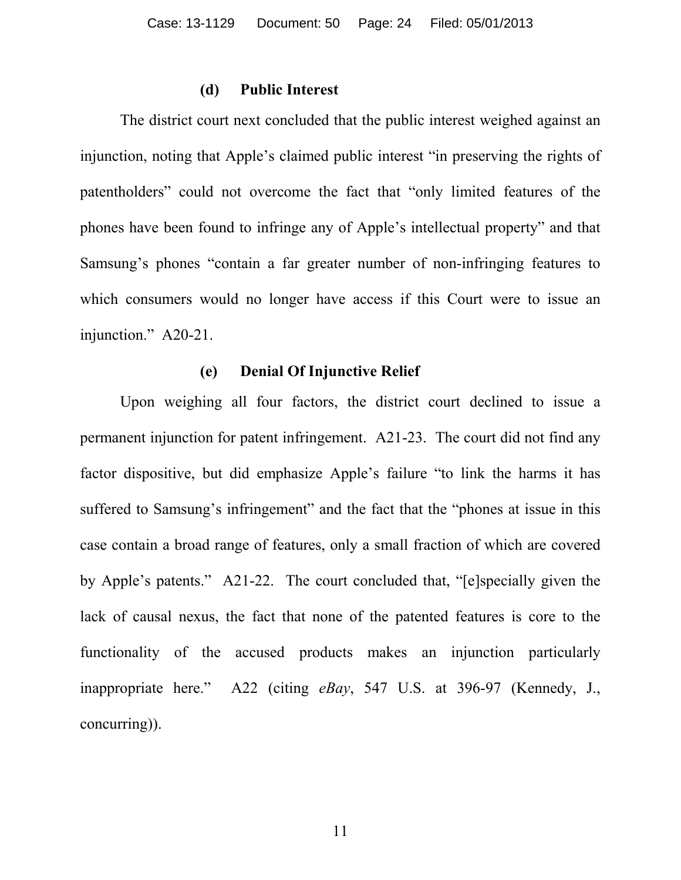#### **(d) Public Interest**

The district court next concluded that the public interest weighed against an injunction, noting that Apple's claimed public interest "in preserving the rights of patentholders" could not overcome the fact that "only limited features of the phones have been found to infringe any of Apple's intellectual property" and that Samsung's phones "contain a far greater number of non-infringing features to which consumers would no longer have access if this Court were to issue an injunction." A20-21.

#### **(e) Denial Of Injunctive Relief**

Upon weighing all four factors, the district court declined to issue a permanent injunction for patent infringement. A21-23. The court did not find any factor dispositive, but did emphasize Apple's failure "to link the harms it has suffered to Samsung's infringement" and the fact that the "phones at issue in this case contain a broad range of features, only a small fraction of which are covered by Apple's patents." A21-22. The court concluded that, "[e]specially given the lack of causal nexus, the fact that none of the patented features is core to the functionality of the accused products makes an injunction particularly inappropriate here." A22 (citing *eBay*, 547 U.S. at 396-97 (Kennedy, J., concurring)).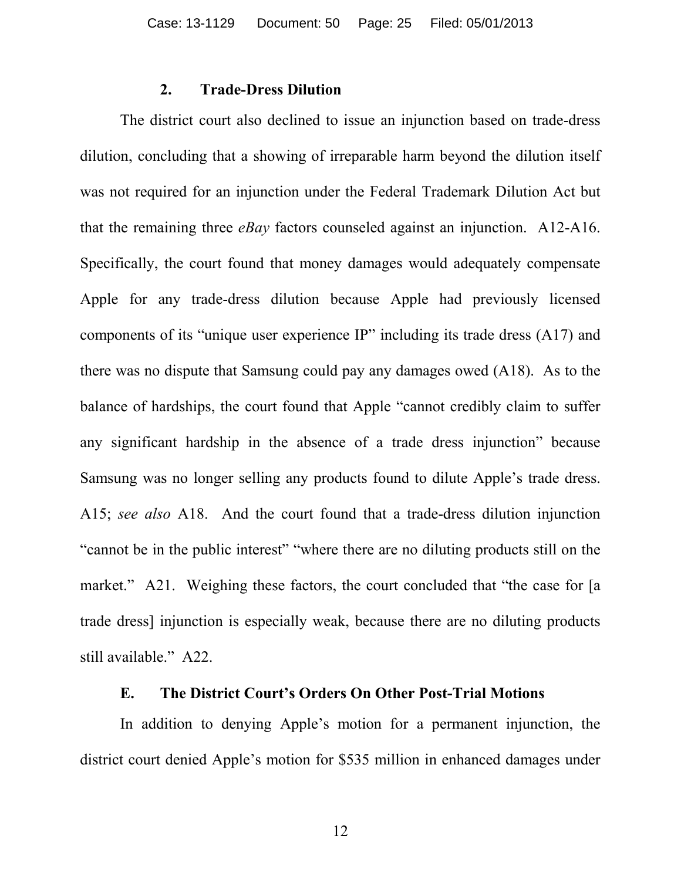## **2. Trade-Dress Dilution**

The district court also declined to issue an injunction based on trade-dress dilution, concluding that a showing of irreparable harm beyond the dilution itself was not required for an injunction under the Federal Trademark Dilution Act but that the remaining three *eBay* factors counseled against an injunction. A12-A16. Specifically, the court found that money damages would adequately compensate Apple for any trade-dress dilution because Apple had previously licensed components of its "unique user experience IP" including its trade dress (A17) and there was no dispute that Samsung could pay any damages owed (A18). As to the balance of hardships, the court found that Apple "cannot credibly claim to suffer any significant hardship in the absence of a trade dress injunction" because Samsung was no longer selling any products found to dilute Apple's trade dress. A15; *see also* A18. And the court found that a trade-dress dilution injunction "cannot be in the public interest" "where there are no diluting products still on the market." A21. Weighing these factors, the court concluded that "the case for [a trade dress] injunction is especially weak, because there are no diluting products still available." A22.

## **E. The District Court's Orders On Other Post-Trial Motions**

In addition to denying Apple's motion for a permanent injunction, the district court denied Apple's motion for \$535 million in enhanced damages under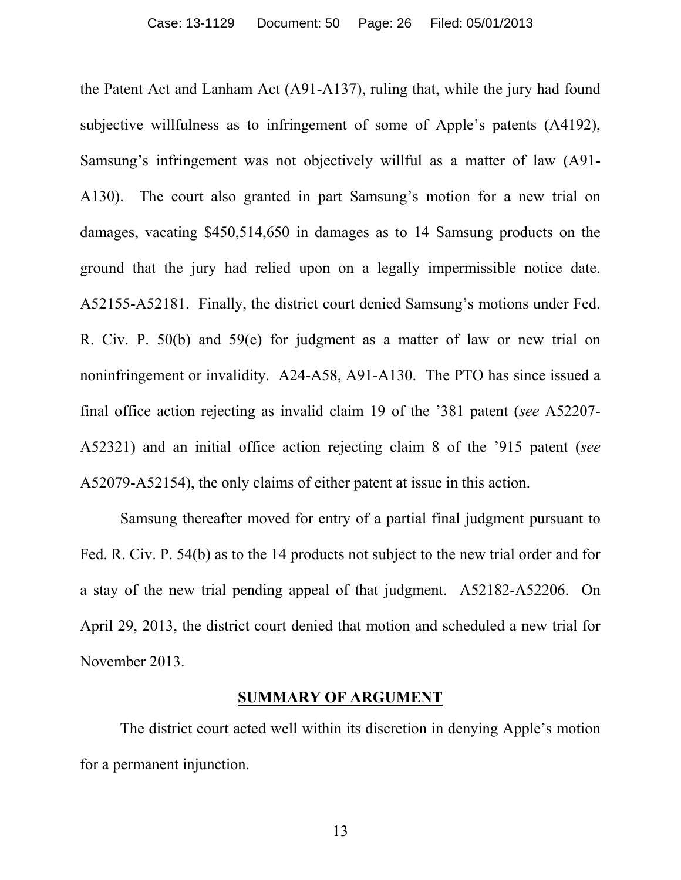the Patent Act and Lanham Act (A91-A137), ruling that, while the jury had found subjective willfulness as to infringement of some of Apple's patents (A4192), Samsung's infringement was not objectively willful as a matter of law (A91- A130). The court also granted in part Samsung's motion for a new trial on damages, vacating \$450,514,650 in damages as to 14 Samsung products on the ground that the jury had relied upon on a legally impermissible notice date. A52155-A52181. Finally, the district court denied Samsung's motions under Fed. R. Civ. P. 50(b) and 59(e) for judgment as a matter of law or new trial on noninfringement or invalidity. A24-A58, A91-A130. The PTO has since issued a final office action rejecting as invalid claim 19 of the '381 patent (*see* A52207- A52321) and an initial office action rejecting claim 8 of the '915 patent (*see* A52079-A52154), the only claims of either patent at issue in this action.

Samsung thereafter moved for entry of a partial final judgment pursuant to Fed. R. Civ. P. 54(b) as to the 14 products not subject to the new trial order and for a stay of the new trial pending appeal of that judgment. A52182-A52206. On April 29, 2013, the district court denied that motion and scheduled a new trial for November 2013.

#### **SUMMARY OF ARGUMENT**

The district court acted well within its discretion in denying Apple's motion for a permanent injunction.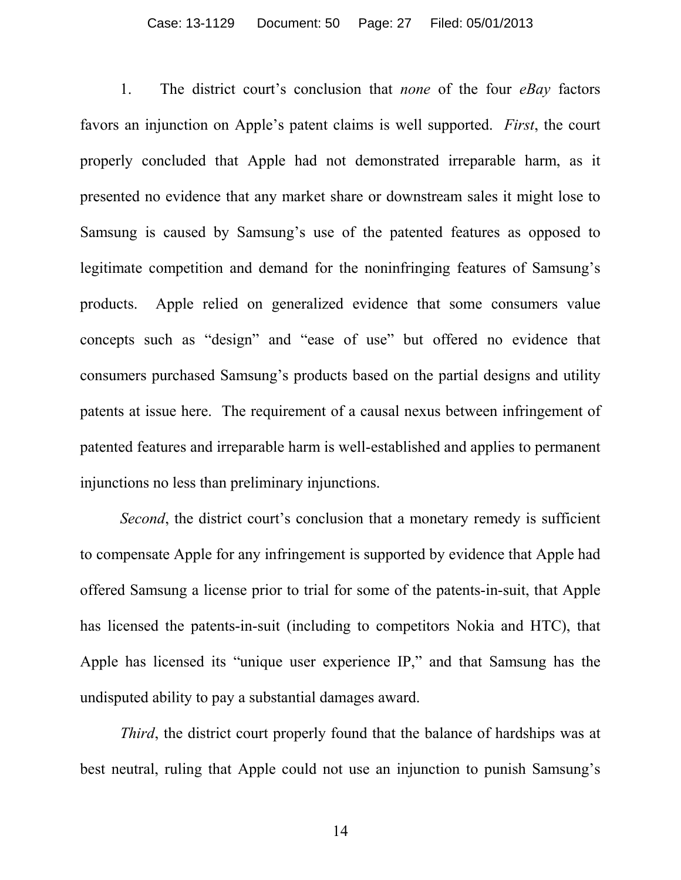#### Case: 13-1129 Document: 50 Page: 27 Filed: 05/01/2013

1. The district court's conclusion that *none* of the four *eBay* factors favors an injunction on Apple's patent claims is well supported. *First*, the court properly concluded that Apple had not demonstrated irreparable harm, as it presented no evidence that any market share or downstream sales it might lose to Samsung is caused by Samsung's use of the patented features as opposed to legitimate competition and demand for the noninfringing features of Samsung's products. Apple relied on generalized evidence that some consumers value concepts such as "design" and "ease of use" but offered no evidence that consumers purchased Samsung's products based on the partial designs and utility patents at issue here. The requirement of a causal nexus between infringement of patented features and irreparable harm is well-established and applies to permanent injunctions no less than preliminary injunctions.

*Second*, the district court's conclusion that a monetary remedy is sufficient to compensate Apple for any infringement is supported by evidence that Apple had offered Samsung a license prior to trial for some of the patents-in-suit, that Apple has licensed the patents-in-suit (including to competitors Nokia and HTC), that Apple has licensed its "unique user experience IP," and that Samsung has the undisputed ability to pay a substantial damages award.

*Third*, the district court properly found that the balance of hardships was at best neutral, ruling that Apple could not use an injunction to punish Samsung's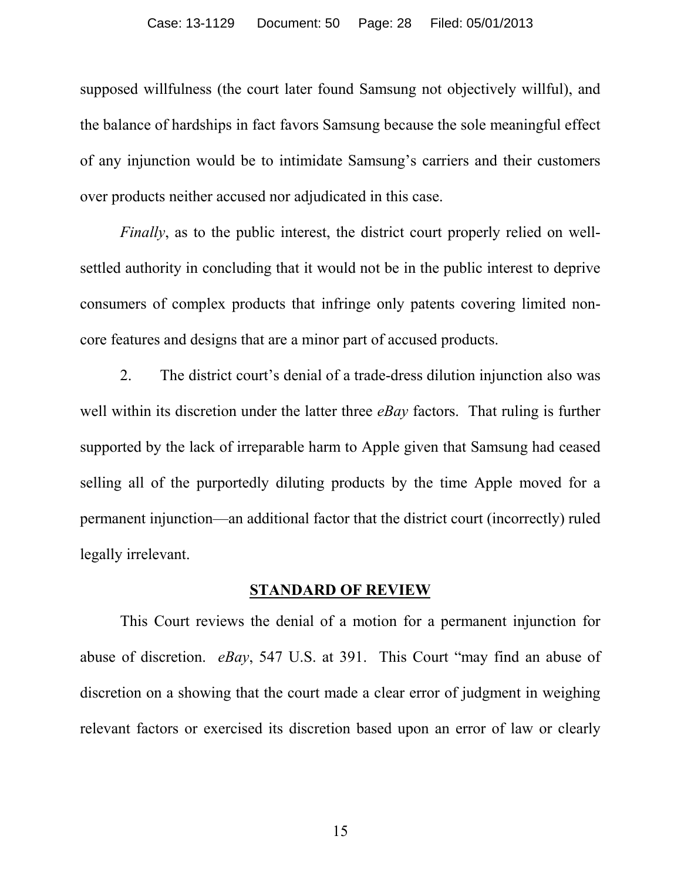supposed willfulness (the court later found Samsung not objectively willful), and the balance of hardships in fact favors Samsung because the sole meaningful effect of any injunction would be to intimidate Samsung's carriers and their customers over products neither accused nor adjudicated in this case.

*Finally*, as to the public interest, the district court properly relied on wellsettled authority in concluding that it would not be in the public interest to deprive consumers of complex products that infringe only patents covering limited noncore features and designs that are a minor part of accused products.

2. The district court's denial of a trade-dress dilution injunction also was well within its discretion under the latter three *eBay* factors. That ruling is further supported by the lack of irreparable harm to Apple given that Samsung had ceased selling all of the purportedly diluting products by the time Apple moved for a permanent injunction—an additional factor that the district court (incorrectly) ruled legally irrelevant.

### **STANDARD OF REVIEW**

This Court reviews the denial of a motion for a permanent injunction for abuse of discretion. *eBay*, 547 U.S. at 391. This Court "may find an abuse of discretion on a showing that the court made a clear error of judgment in weighing relevant factors or exercised its discretion based upon an error of law or clearly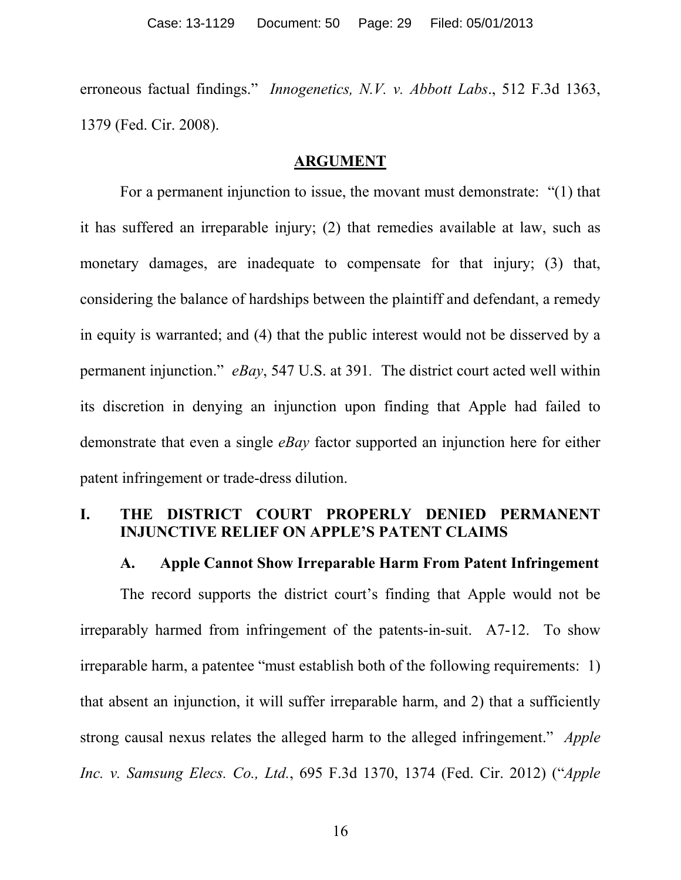erroneous factual findings." *Innogenetics, N.V. v. Abbott Labs*., 512 F.3d 1363, 1379 (Fed. Cir. 2008).

#### **ARGUMENT**

For a permanent injunction to issue, the movant must demonstrate: "(1) that it has suffered an irreparable injury; (2) that remedies available at law, such as monetary damages, are inadequate to compensate for that injury; (3) that, considering the balance of hardships between the plaintiff and defendant, a remedy in equity is warranted; and (4) that the public interest would not be disserved by a permanent injunction." *eBay*, 547 U.S. at 391*.* The district court acted well within its discretion in denying an injunction upon finding that Apple had failed to demonstrate that even a single *eBay* factor supported an injunction here for either patent infringement or trade-dress dilution.

# **I. THE DISTRICT COURT PROPERLY DENIED PERMANENT INJUNCTIVE RELIEF ON APPLE'S PATENT CLAIMS**

#### **A. Apple Cannot Show Irreparable Harm From Patent Infringement**

The record supports the district court's finding that Apple would not be irreparably harmed from infringement of the patents-in-suit. A7-12. To show irreparable harm, a patentee "must establish both of the following requirements: 1) that absent an injunction, it will suffer irreparable harm, and 2) that a sufficiently strong causal nexus relates the alleged harm to the alleged infringement." *Apple Inc. v. Samsung Elecs. Co., Ltd.*, 695 F.3d 1370, 1374 (Fed. Cir. 2012) ("*Apple*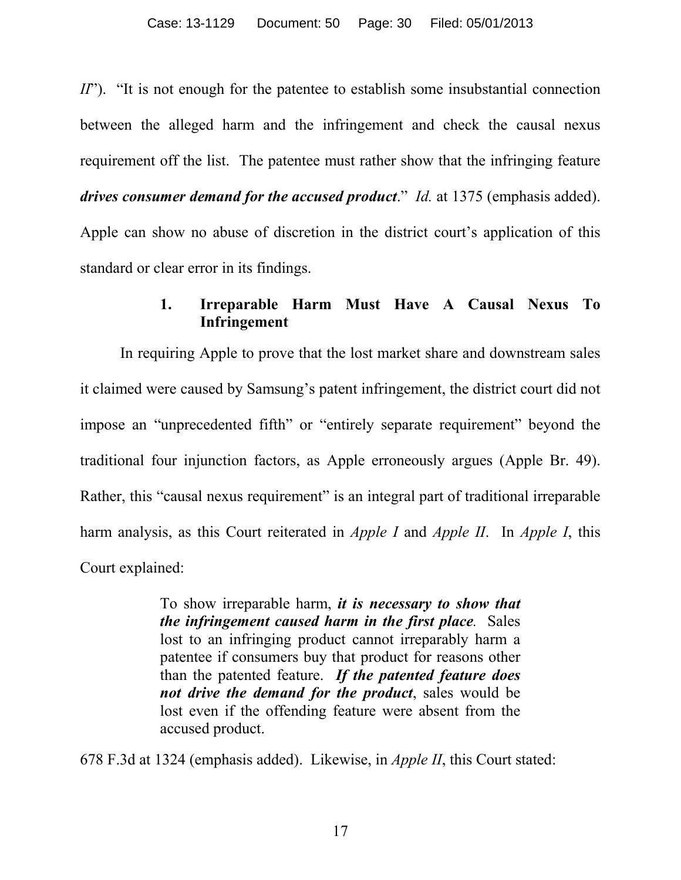*II*"). "It is not enough for the patentee to establish some insubstantial connection between the alleged harm and the infringement and check the causal nexus requirement off the list. The patentee must rather show that the infringing feature *drives consumer demand for the accused product*." *Id.* at 1375 (emphasis added). Apple can show no abuse of discretion in the district court's application of this standard or clear error in its findings.

# **1. Irreparable Harm Must Have A Causal Nexus To Infringement**

In requiring Apple to prove that the lost market share and downstream sales it claimed were caused by Samsung's patent infringement, the district court did not impose an "unprecedented fifth" or "entirely separate requirement" beyond the traditional four injunction factors, as Apple erroneously argues (Apple Br. 49). Rather, this "causal nexus requirement" is an integral part of traditional irreparable harm analysis, as this Court reiterated in *Apple I* and *Apple II*. In *Apple I*, this Court explained:

> To show irreparable harm, *it is necessary to show that the infringement caused harm in the first place.* Sales lost to an infringing product cannot irreparably harm a patentee if consumers buy that product for reasons other than the patented feature. *If the patented feature does not drive the demand for the product*, sales would be lost even if the offending feature were absent from the accused product.

678 F.3d at 1324 (emphasis added). Likewise, in *Apple II*, this Court stated: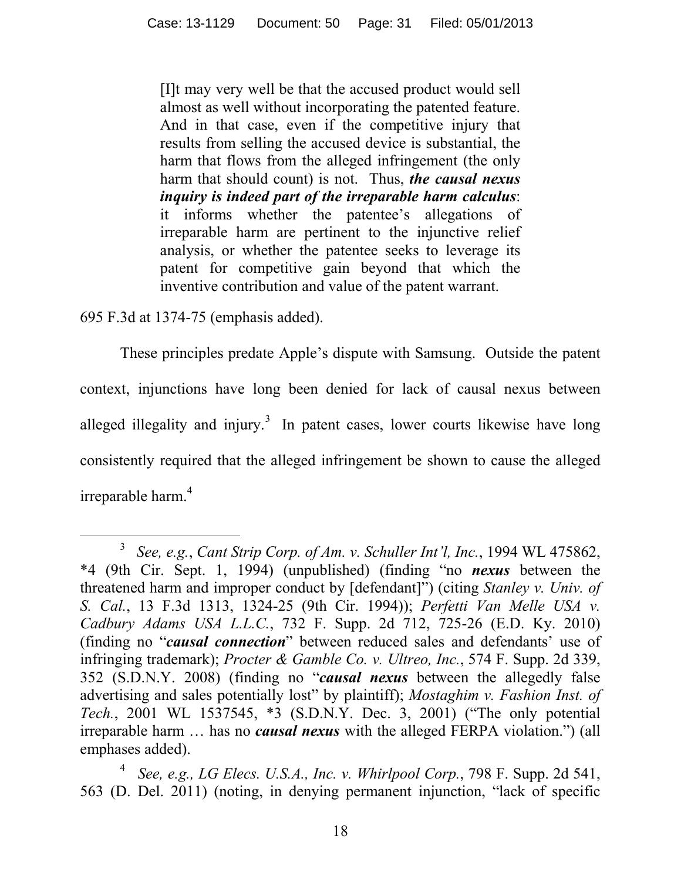[I]t may very well be that the accused product would sell almost as well without incorporating the patented feature. And in that case, even if the competitive injury that results from selling the accused device is substantial, the harm that flows from the alleged infringement (the only harm that should count) is not. Thus, *the causal nexus inquiry is indeed part of the irreparable harm calculus*: it informs whether the patentee's allegations of irreparable harm are pertinent to the injunctive relief analysis, or whether the patentee seeks to leverage its patent for competitive gain beyond that which the inventive contribution and value of the patent warrant.

695 F.3d at 1374-75 (emphasis added).

 $\overline{a}$ 

These principles predate Apple's dispute with Samsung. Outside the patent context, injunctions have long been denied for lack of causal nexus between alleged illegality and injury.<sup>3</sup> In patent cases, lower courts likewise have long consistently required that the alleged infringement be shown to cause the alleged irreparable harm.<sup>4</sup>

<sup>3</sup> *See, e.g.*, *Cant Strip Corp. of Am. v. Schuller Int'l, Inc.*, 1994 WL 475862, \*4 (9th Cir. Sept. 1, 1994) (unpublished) (finding "no *nexus* between the threatened harm and improper conduct by [defendant]") (citing *Stanley v. Univ. of S. Cal.*, 13 F.3d 1313, 1324-25 (9th Cir. 1994)); *Perfetti Van Melle USA v. Cadbury Adams USA L.L.C.*, 732 F. Supp. 2d 712, 725-26 (E.D. Ky. 2010) (finding no "*causal connection*" between reduced sales and defendants' use of infringing trademark); *Procter & Gamble Co. v. Ultreo, Inc.*, 574 F. Supp. 2d 339, 352 (S.D.N.Y. 2008) (finding no "*causal nexus* between the allegedly false advertising and sales potentially lost" by plaintiff); *Mostaghim v. Fashion Inst. of Tech.*, 2001 WL 1537545, \*3 (S.D.N.Y. Dec. 3, 2001) ("The only potential irreparable harm … has no *causal nexus* with the alleged FERPA violation.") (all emphases added).

<sup>4</sup> *See, e.g., LG Elecs. U.S.A., Inc. v. Whirlpool Corp.*, 798 F. Supp. 2d 541, 563 (D. Del. 2011) (noting, in denying permanent injunction, "lack of specific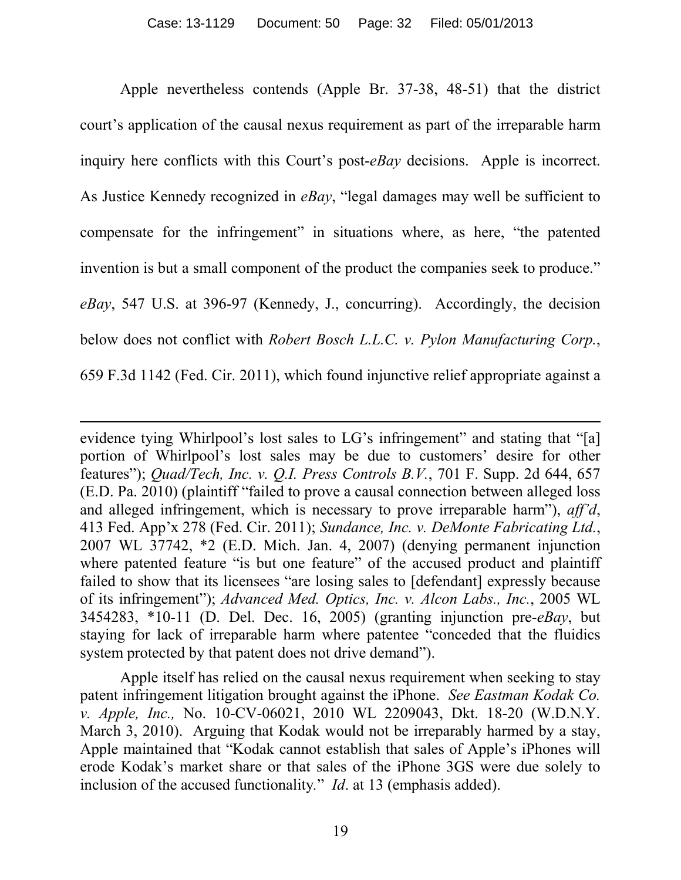Apple nevertheless contends (Apple Br. 37-38, 48-51) that the district court's application of the causal nexus requirement as part of the irreparable harm inquiry here conflicts with this Court's post-*eBay* decisions. Apple is incorrect. As Justice Kennedy recognized in *eBay*, "legal damages may well be sufficient to compensate for the infringement" in situations where, as here, "the patented invention is but a small component of the product the companies seek to produce." *eBay*, 547 U.S. at 396-97 (Kennedy, J., concurring). Accordingly, the decision below does not conflict with *Robert Bosch L.L.C. v. Pylon Manufacturing Corp.*, 659 F.3d 1142 (Fed. Cir. 2011), which found injunctive relief appropriate against a

evidence tying Whirlpool's lost sales to LG's infringement" and stating that "[a] portion of Whirlpool's lost sales may be due to customers' desire for other features"); *Quad/Tech, Inc. v. Q.I. Press Controls B.V.*, 701 F. Supp. 2d 644, 657 (E.D. Pa. 2010) (plaintiff "failed to prove a causal connection between alleged loss and alleged infringement, which is necessary to prove irreparable harm"), *aff'd*, 413 Fed. App'x 278 (Fed. Cir. 2011); *Sundance, Inc. v. DeMonte Fabricating Ltd.*, 2007 WL 37742, \*2 (E.D. Mich. Jan. 4, 2007) (denying permanent injunction where patented feature "is but one feature" of the accused product and plaintiff failed to show that its licensees "are losing sales to [defendant] expressly because of its infringement"); *Advanced Med. Optics, Inc. v. Alcon Labs., Inc.*, 2005 WL 3454283, \*10-11 (D. Del. Dec. 16, 2005) (granting injunction pre-*eBay*, but staying for lack of irreparable harm where patentee "conceded that the fluidics system protected by that patent does not drive demand").

l

Apple itself has relied on the causal nexus requirement when seeking to stay patent infringement litigation brought against the iPhone. *See Eastman Kodak Co. v. Apple, Inc.,* No. 10-CV-06021, 2010 WL 2209043, Dkt. 18-20 (W.D.N.Y. March 3, 2010). Arguing that Kodak would not be irreparably harmed by a stay, Apple maintained that "Kodak cannot establish that sales of Apple's iPhones will erode Kodak's market share or that sales of the iPhone 3GS were due solely to inclusion of the accused functionality*.*" *Id*. at 13 (emphasis added).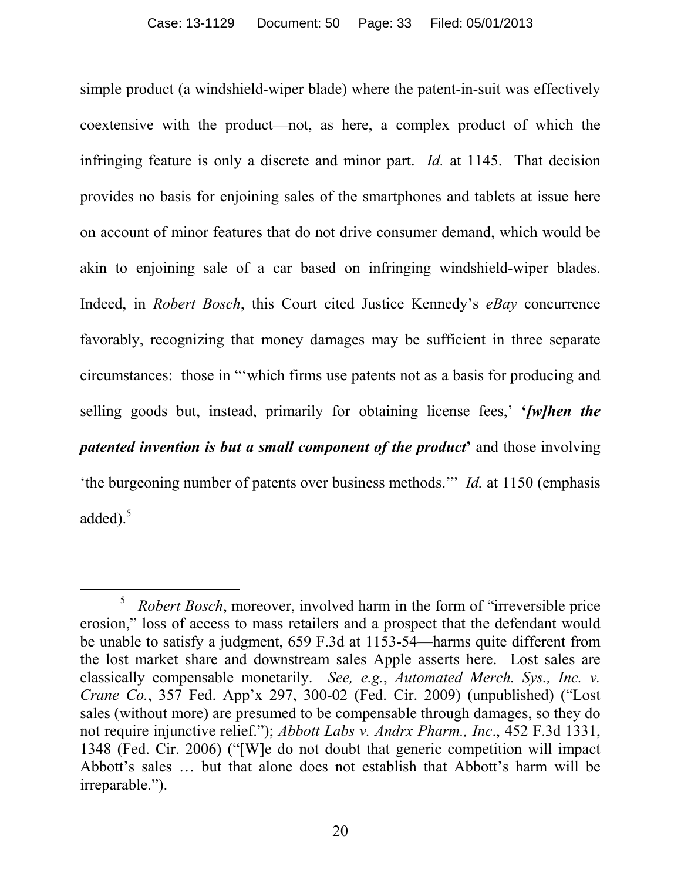simple product (a windshield-wiper blade) where the patent-in-suit was effectively coextensive with the product—not, as here, a complex product of which the infringing feature is only a discrete and minor part. *Id.* at 1145. That decision provides no basis for enjoining sales of the smartphones and tablets at issue here on account of minor features that do not drive consumer demand, which would be akin to enjoining sale of a car based on infringing windshield-wiper blades. Indeed, in *Robert Bosch*, this Court cited Justice Kennedy's *eBay* concurrence favorably, recognizing that money damages may be sufficient in three separate circumstances: those in "'which firms use patents not as a basis for producing and selling goods but, instead, primarily for obtaining license fees,' **'***[w]hen the patented invention is but a small component of the product***'** and those involving 'the burgeoning number of patents over business methods.'" *Id.* at 1150 (emphasis added).<sup>5</sup>

l <sup>5</sup> *Robert Bosch*, moreover, involved harm in the form of "irreversible price" erosion," loss of access to mass retailers and a prospect that the defendant would be unable to satisfy a judgment, 659 F.3d at 1153-54—harms quite different from the lost market share and downstream sales Apple asserts here. Lost sales are classically compensable monetarily. *See, e.g.*, *Automated Merch. Sys., Inc. v. Crane Co.*, 357 Fed. App'x 297, 300-02 (Fed. Cir. 2009) (unpublished) ("Lost sales (without more) are presumed to be compensable through damages, so they do not require injunctive relief."); *Abbott Labs v. Andrx Pharm., Inc*., 452 F.3d 1331, 1348 (Fed. Cir. 2006) ("[W]e do not doubt that generic competition will impact Abbott's sales … but that alone does not establish that Abbott's harm will be irreparable.").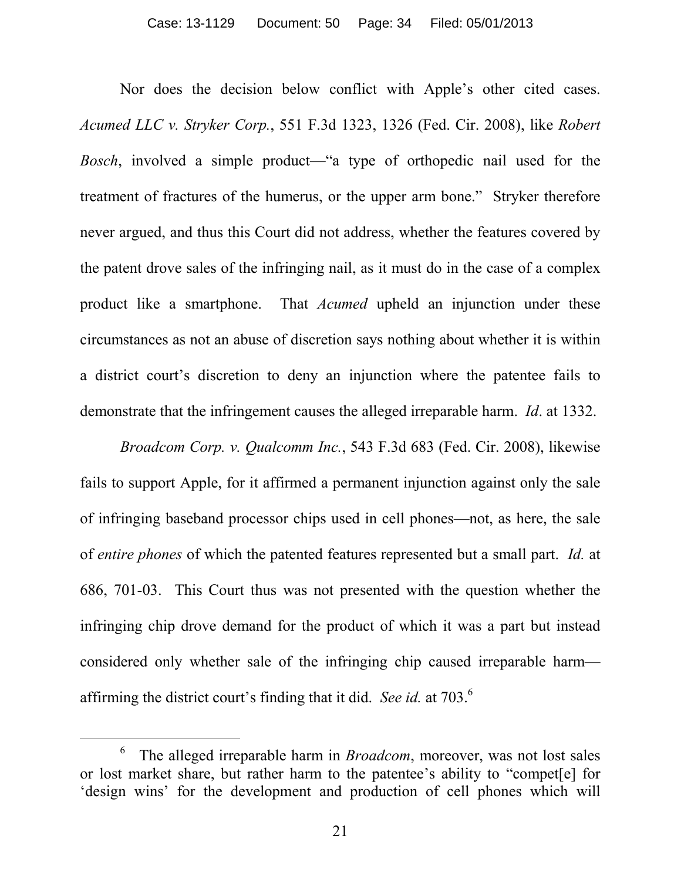Nor does the decision below conflict with Apple's other cited cases. *Acumed LLC v. Stryker Corp.*, 551 F.3d 1323, 1326 (Fed. Cir. 2008), like *Robert Bosch*, involved a simple product—"a type of orthopedic nail used for the treatment of fractures of the humerus, or the upper arm bone." Stryker therefore never argued, and thus this Court did not address, whether the features covered by the patent drove sales of the infringing nail, as it must do in the case of a complex product like a smartphone. That *Acumed* upheld an injunction under these circumstances as not an abuse of discretion says nothing about whether it is within a district court's discretion to deny an injunction where the patentee fails to demonstrate that the infringement causes the alleged irreparable harm. *Id*. at 1332.

*Broadcom Corp. v. Qualcomm Inc.*, 543 F.3d 683 (Fed. Cir. 2008), likewise fails to support Apple, for it affirmed a permanent injunction against only the sale of infringing baseband processor chips used in cell phones—not, as here, the sale of *entire phones* of which the patented features represented but a small part. *Id.* at 686, 701-03. This Court thus was not presented with the question whether the infringing chip drove demand for the product of which it was a part but instead considered only whether sale of the infringing chip caused irreparable harm affirming the district court's finding that it did. *See id.* at 703. 6

 $\overline{a}$ 

<sup>6</sup> The alleged irreparable harm in *Broadcom*, moreover, was not lost sales or lost market share, but rather harm to the patentee's ability to "compet[e] for 'design wins' for the development and production of cell phones which will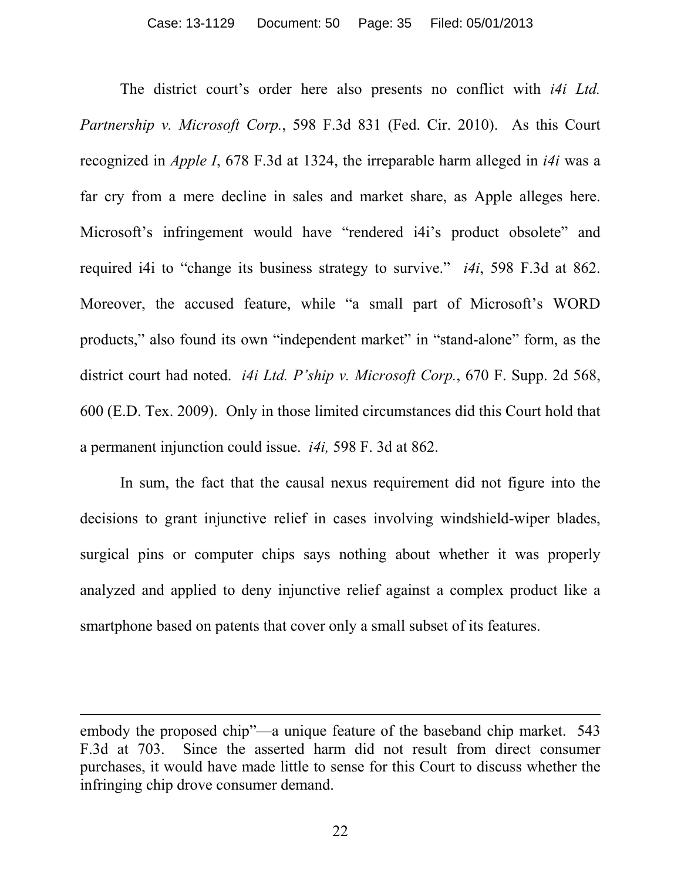The district court's order here also presents no conflict with *i4i Ltd. Partnership v. Microsoft Corp.*, 598 F.3d 831 (Fed. Cir. 2010). As this Court recognized in *Apple I*, 678 F.3d at 1324, the irreparable harm alleged in *i4i* was a far cry from a mere decline in sales and market share, as Apple alleges here. Microsoft's infringement would have "rendered i4i's product obsolete" and required i4i to "change its business strategy to survive." *i4i*, 598 F.3d at 862. Moreover, the accused feature, while "a small part of Microsoft's WORD products," also found its own "independent market" in "stand-alone" form, as the district court had noted. *i4i Ltd. P'ship v. Microsoft Corp.*, 670 F. Supp. 2d 568, 600 (E.D. Tex. 2009). Only in those limited circumstances did this Court hold that a permanent injunction could issue. *i4i,* 598 F. 3d at 862.

In sum, the fact that the causal nexus requirement did not figure into the decisions to grant injunctive relief in cases involving windshield-wiper blades, surgical pins or computer chips says nothing about whether it was properly analyzed and applied to deny injunctive relief against a complex product like a smartphone based on patents that cover only a small subset of its features.

 $\overline{a}$ 

embody the proposed chip"—a unique feature of the baseband chip market. 543 F.3d at 703. Since the asserted harm did not result from direct consumer purchases, it would have made little to sense for this Court to discuss whether the infringing chip drove consumer demand.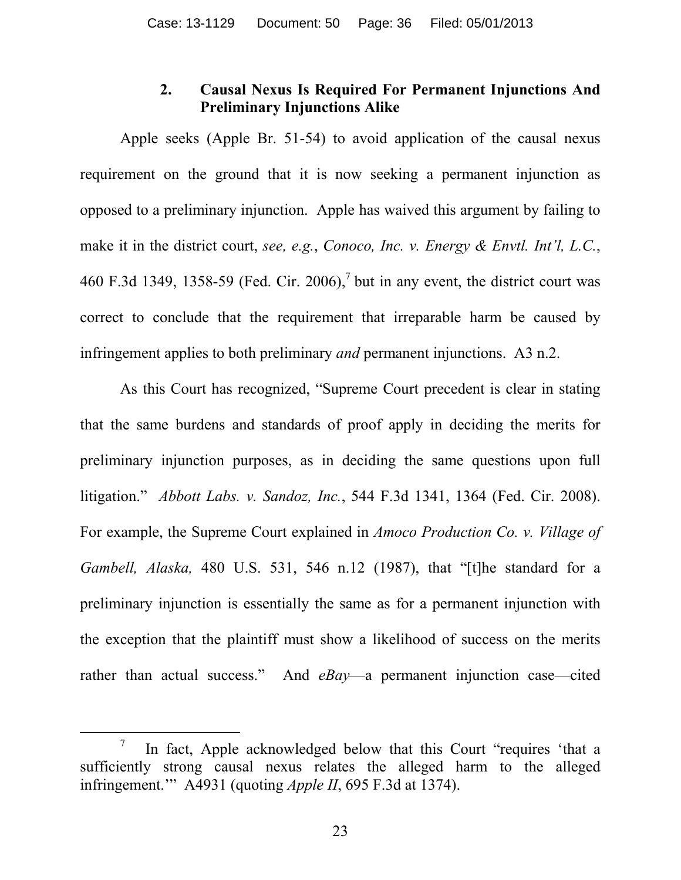# **2. Causal Nexus Is Required For Permanent Injunctions And Preliminary Injunctions Alike**

Apple seeks (Apple Br. 51-54) to avoid application of the causal nexus requirement on the ground that it is now seeking a permanent injunction as opposed to a preliminary injunction. Apple has waived this argument by failing to make it in the district court, *see, e.g.*, *Conoco, Inc. v. Energy & Envtl. Int'l, L.C.*, 460 F.3d 1349, 1358-59 (Fed. Cir. 2006),<sup>7</sup> but in any event, the district court was correct to conclude that the requirement that irreparable harm be caused by infringement applies to both preliminary *and* permanent injunctions. A3 n.2.

As this Court has recognized, "Supreme Court precedent is clear in stating that the same burdens and standards of proof apply in deciding the merits for preliminary injunction purposes, as in deciding the same questions upon full litigation." *Abbott Labs. v. Sandoz, Inc.*, 544 F.3d 1341, 1364 (Fed. Cir. 2008). For example, the Supreme Court explained in *Amoco Production Co. v. Village of Gambell, Alaska,* 480 U.S. 531, 546 n.12 (1987), that "[t]he standard for a preliminary injunction is essentially the same as for a permanent injunction with the exception that the plaintiff must show a likelihood of success on the merits rather than actual success." And *eBay*—a permanent injunction case—cited

 $\overline{a}$ 

<sup>7</sup> In fact, Apple acknowledged below that this Court "requires 'that a sufficiently strong causal nexus relates the alleged harm to the alleged infringement.'" A4931 (quoting *Apple II*, 695 F.3d at 1374).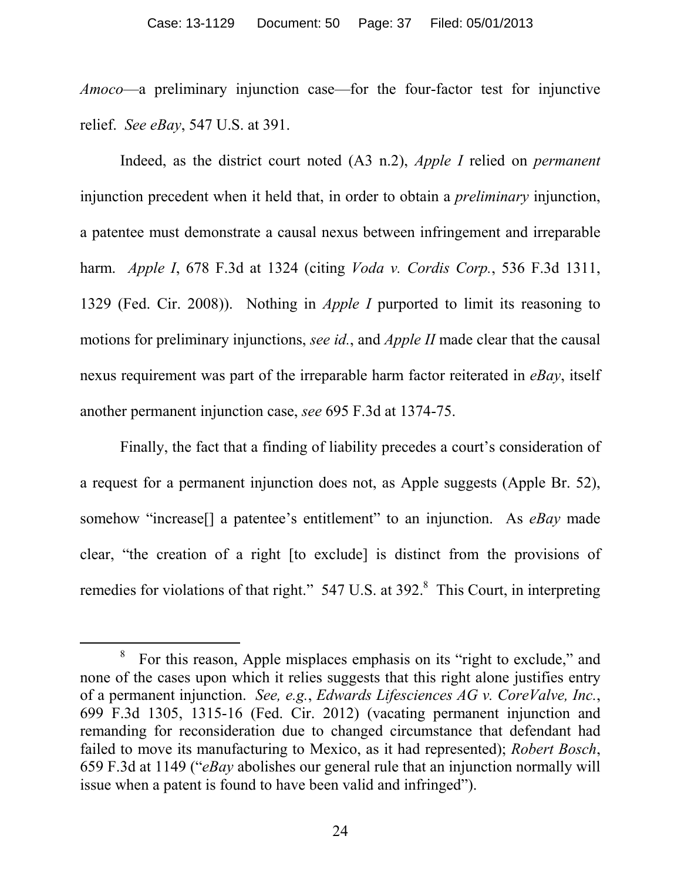*Amoco*—a preliminary injunction case—for the four-factor test for injunctive relief. *See eBay*, 547 U.S. at 391.

Indeed, as the district court noted (A3 n.2), *Apple I* relied on *permanent* injunction precedent when it held that, in order to obtain a *preliminary* injunction, a patentee must demonstrate a causal nexus between infringement and irreparable harm. *Apple I*, 678 F.3d at 1324 (citing *Voda v. Cordis Corp.*, 536 F.3d 1311, 1329 (Fed. Cir. 2008)). Nothing in *Apple I* purported to limit its reasoning to motions for preliminary injunctions, *see id.*, and *Apple II* made clear that the causal nexus requirement was part of the irreparable harm factor reiterated in *eBay*, itself another permanent injunction case, *see* 695 F.3d at 1374-75.

Finally, the fact that a finding of liability precedes a court's consideration of a request for a permanent injunction does not, as Apple suggests (Apple Br. 52), somehow "increase[] a patentee's entitlement" to an injunction. As *eBay* made clear, "the creation of a right [to exclude] is distinct from the provisions of remedies for violations of that right." 547 U.S. at 392.<sup>8</sup> This Court, in interpreting

<sup>&</sup>lt;sup>8</sup> For this reason, Apple misplaces emphasis on its "right to exclude," and none of the cases upon which it relies suggests that this right alone justifies entry of a permanent injunction. *See, e.g.*, *Edwards Lifesciences AG v. CoreValve, Inc.*, 699 F.3d 1305, 1315-16 (Fed. Cir. 2012) (vacating permanent injunction and remanding for reconsideration due to changed circumstance that defendant had failed to move its manufacturing to Mexico, as it had represented); *Robert Bosch*, 659 F.3d at 1149 ("*eBay* abolishes our general rule that an injunction normally will issue when a patent is found to have been valid and infringed").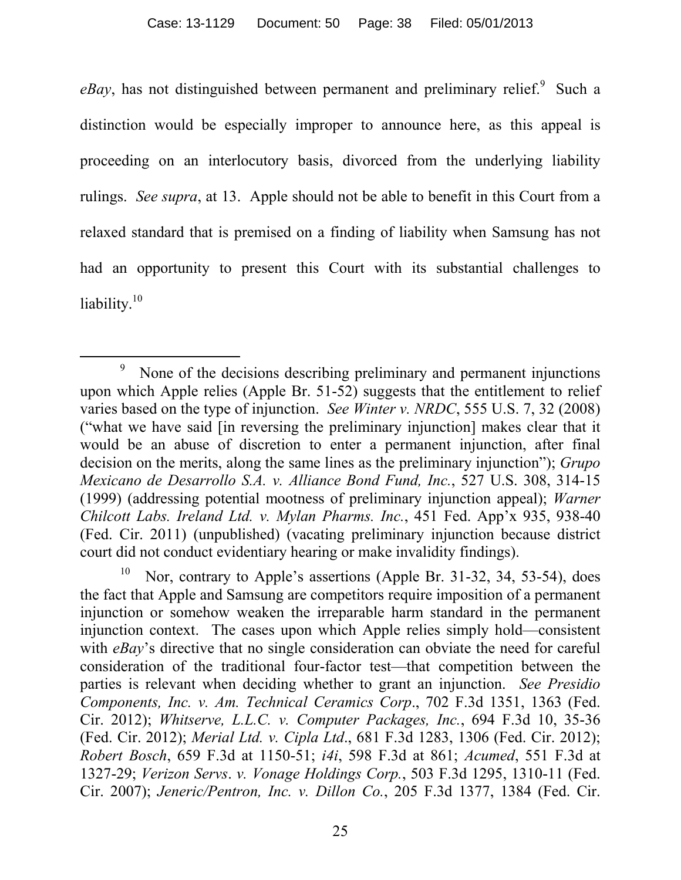$eBay$ , has not distinguished between permanent and preliminary relief.<sup>9</sup> Such a distinction would be especially improper to announce here, as this appeal is proceeding on an interlocutory basis, divorced from the underlying liability rulings. *See supra*, at 13. Apple should not be able to benefit in this Court from a relaxed standard that is premised on a finding of liability when Samsung has not had an opportunity to present this Court with its substantial challenges to liability.<sup>10</sup>

l 9 None of the decisions describing preliminary and permanent injunctions upon which Apple relies (Apple Br. 51-52) suggests that the entitlement to relief varies based on the type of injunction. *See Winter v. NRDC*, 555 U.S. 7, 32 (2008) ("what we have said [in reversing the preliminary injunction] makes clear that it would be an abuse of discretion to enter a permanent injunction, after final decision on the merits, along the same lines as the preliminary injunction"); *Grupo Mexicano de Desarrollo S.A. v. Alliance Bond Fund, Inc.*, 527 U.S. 308, 314-15 (1999) (addressing potential mootness of preliminary injunction appeal); *Warner Chilcott Labs. Ireland Ltd. v. Mylan Pharms. Inc.*, 451 Fed. App'x 935, 938-40 (Fed. Cir. 2011) (unpublished) (vacating preliminary injunction because district court did not conduct evidentiary hearing or make invalidity findings).

<sup>10</sup> Nor, contrary to Apple's assertions (Apple Br. 31-32, 34, 53-54), does the fact that Apple and Samsung are competitors require imposition of a permanent injunction or somehow weaken the irreparable harm standard in the permanent injunction context. The cases upon which Apple relies simply hold—consistent with *eBay*'s directive that no single consideration can obviate the need for careful consideration of the traditional four-factor test—that competition between the parties is relevant when deciding whether to grant an injunction. *See Presidio Components, Inc. v. Am. Technical Ceramics Corp*., 702 F.3d 1351, 1363 (Fed. Cir. 2012); *Whitserve, L.L.C. v. Computer Packages, Inc.*, 694 F.3d 10, 35-36 (Fed. Cir. 2012); *Merial Ltd. v. Cipla Ltd*., 681 F.3d 1283, 1306 (Fed. Cir. 2012); *Robert Bosch*, 659 F.3d at 1150-51; *i4i*, 598 F.3d at 861; *Acumed*, 551 F.3d at 1327-29; *Verizon Servs*. *v. Vonage Holdings Corp.*, 503 F.3d 1295, 1310-11 (Fed. Cir. 2007); *Jeneric/Pentron, Inc. v. Dillon Co.*, 205 F.3d 1377, 1384 (Fed. Cir.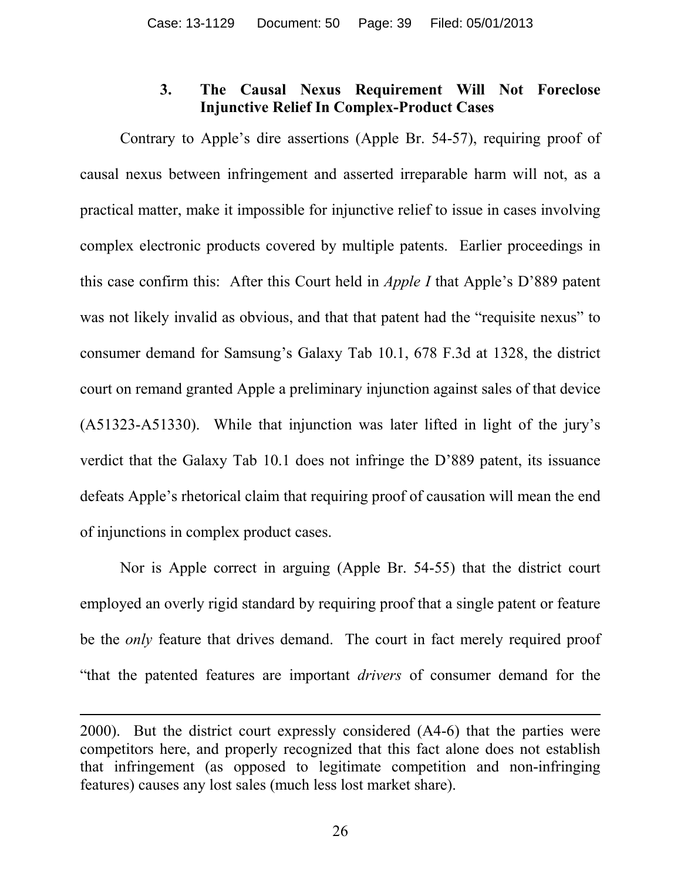# **3. The Causal Nexus Requirement Will Not Foreclose Injunctive Relief In Complex-Product Cases**

Contrary to Apple's dire assertions (Apple Br. 54-57), requiring proof of causal nexus between infringement and asserted irreparable harm will not, as a practical matter, make it impossible for injunctive relief to issue in cases involving complex electronic products covered by multiple patents. Earlier proceedings in this case confirm this: After this Court held in *Apple I* that Apple's D'889 patent was not likely invalid as obvious, and that that patent had the "requisite nexus" to consumer demand for Samsung's Galaxy Tab 10.1, 678 F.3d at 1328, the district court on remand granted Apple a preliminary injunction against sales of that device (A51323-A51330). While that injunction was later lifted in light of the jury's verdict that the Galaxy Tab 10.1 does not infringe the D'889 patent, its issuance defeats Apple's rhetorical claim that requiring proof of causation will mean the end of injunctions in complex product cases.

Nor is Apple correct in arguing (Apple Br. 54-55) that the district court employed an overly rigid standard by requiring proof that a single patent or feature be the *only* feature that drives demand. The court in fact merely required proof "that the patented features are important *drivers* of consumer demand for the

 $\overline{a}$ 

<sup>2000).</sup> But the district court expressly considered (A4-6) that the parties were competitors here, and properly recognized that this fact alone does not establish that infringement (as opposed to legitimate competition and non-infringing features) causes any lost sales (much less lost market share).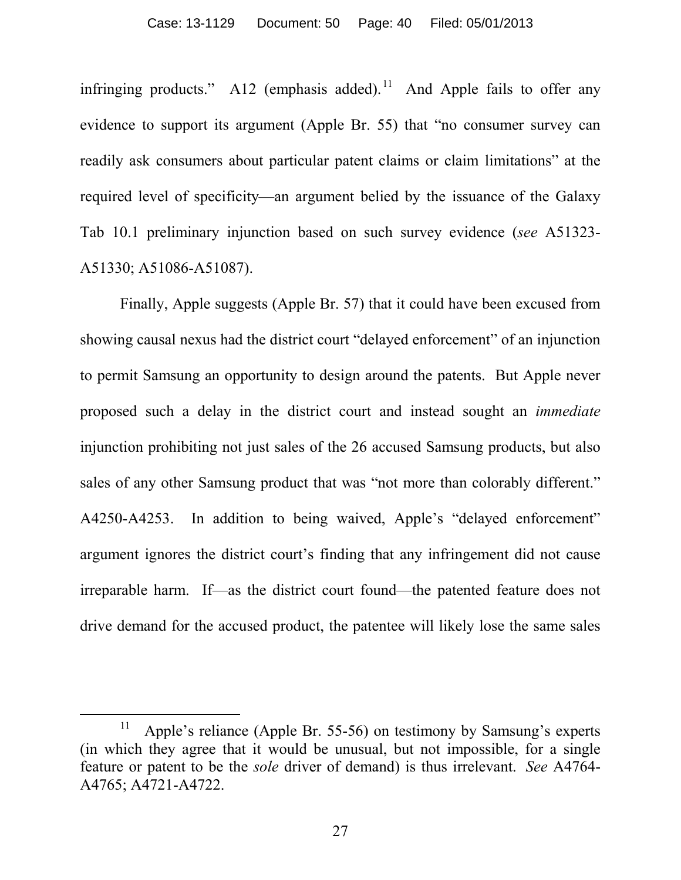infringing products." A12 (emphasis added).<sup>11</sup> And Apple fails to offer any evidence to support its argument (Apple Br. 55) that "no consumer survey can readily ask consumers about particular patent claims or claim limitations" at the required level of specificity—an argument belied by the issuance of the Galaxy Tab 10.1 preliminary injunction based on such survey evidence (*see* A51323- A51330; A51086-A51087).

Finally, Apple suggests (Apple Br. 57) that it could have been excused from showing causal nexus had the district court "delayed enforcement" of an injunction to permit Samsung an opportunity to design around the patents. But Apple never proposed such a delay in the district court and instead sought an *immediate* injunction prohibiting not just sales of the 26 accused Samsung products, but also sales of any other Samsung product that was "not more than colorably different." A4250-A4253. In addition to being waived, Apple's "delayed enforcement" argument ignores the district court's finding that any infringement did not cause irreparable harm. If—as the district court found—the patented feature does not drive demand for the accused product, the patentee will likely lose the same sales

 $\overline{a}$ 

<sup>11</sup> Apple's reliance (Apple Br. 55-56) on testimony by Samsung's experts (in which they agree that it would be unusual, but not impossible, for a single feature or patent to be the *sole* driver of demand) is thus irrelevant. *See* A4764- A4765; A4721-A4722.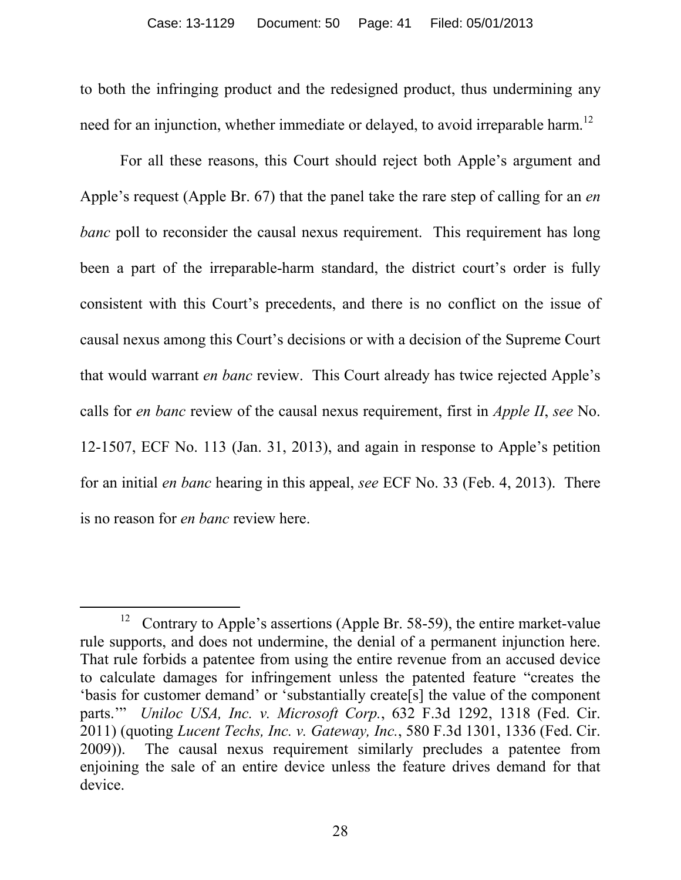to both the infringing product and the redesigned product, thus undermining any need for an injunction, whether immediate or delayed, to avoid irreparable harm.<sup>12</sup>

For all these reasons, this Court should reject both Apple's argument and Apple's request (Apple Br. 67) that the panel take the rare step of calling for an *en banc* poll to reconsider the causal nexus requirement. This requirement has long been a part of the irreparable-harm standard, the district court's order is fully consistent with this Court's precedents, and there is no conflict on the issue of causal nexus among this Court's decisions or with a decision of the Supreme Court that would warrant *en banc* review. This Court already has twice rejected Apple's calls for *en banc* review of the causal nexus requirement, first in *Apple II*, *see* No. 12-1507, ECF No. 113 (Jan. 31, 2013), and again in response to Apple's petition for an initial *en banc* hearing in this appeal, *see* ECF No. 33 (Feb. 4, 2013). There is no reason for *en banc* review here.

<sup>&</sup>lt;sup>12</sup> Contrary to Apple's assertions (Apple Br. 58-59), the entire market-value rule supports, and does not undermine, the denial of a permanent injunction here. That rule forbids a patentee from using the entire revenue from an accused device to calculate damages for infringement unless the patented feature "creates the 'basis for customer demand' or 'substantially create[s] the value of the component parts.'" *Uniloc USA, Inc. v. Microsoft Corp.*, 632 F.3d 1292, 1318 (Fed. Cir. 2011) (quoting *Lucent Techs, Inc. v. Gateway, Inc.*, 580 F.3d 1301, 1336 (Fed. Cir. 2009)). The causal nexus requirement similarly precludes a patentee from enjoining the sale of an entire device unless the feature drives demand for that device.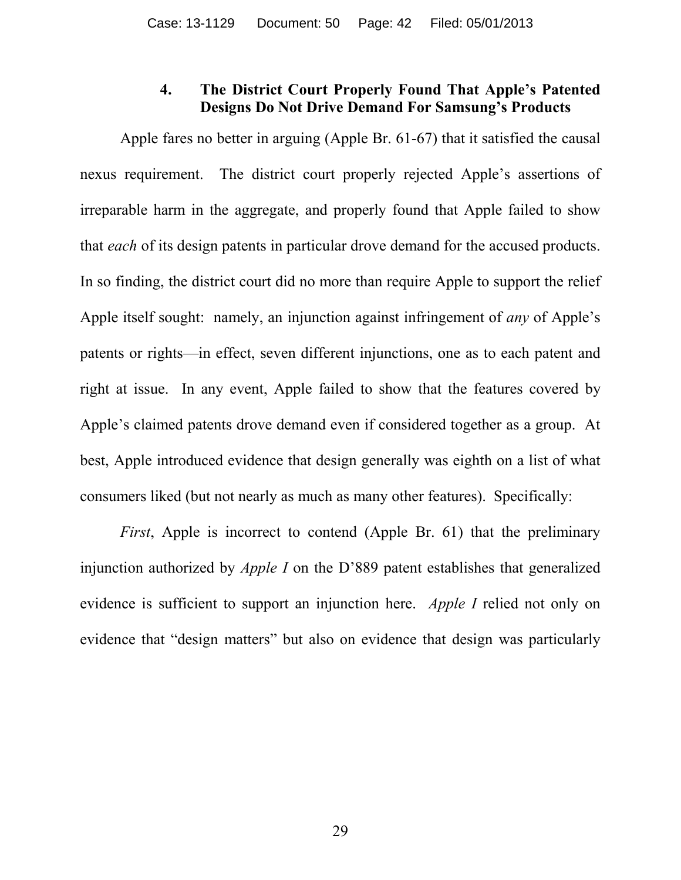## **4. The District Court Properly Found That Apple's Patented Designs Do Not Drive Demand For Samsung's Products**

Apple fares no better in arguing (Apple Br. 61-67) that it satisfied the causal nexus requirement. The district court properly rejected Apple's assertions of irreparable harm in the aggregate, and properly found that Apple failed to show that *each* of its design patents in particular drove demand for the accused products. In so finding, the district court did no more than require Apple to support the relief Apple itself sought: namely, an injunction against infringement of *any* of Apple's patents or rights—in effect, seven different injunctions, one as to each patent and right at issue. In any event, Apple failed to show that the features covered by Apple's claimed patents drove demand even if considered together as a group. At best, Apple introduced evidence that design generally was eighth on a list of what consumers liked (but not nearly as much as many other features). Specifically:

*First*, Apple is incorrect to contend (Apple Br. 61) that the preliminary injunction authorized by *Apple I* on the D'889 patent establishes that generalized evidence is sufficient to support an injunction here. *Apple I* relied not only on evidence that "design matters" but also on evidence that design was particularly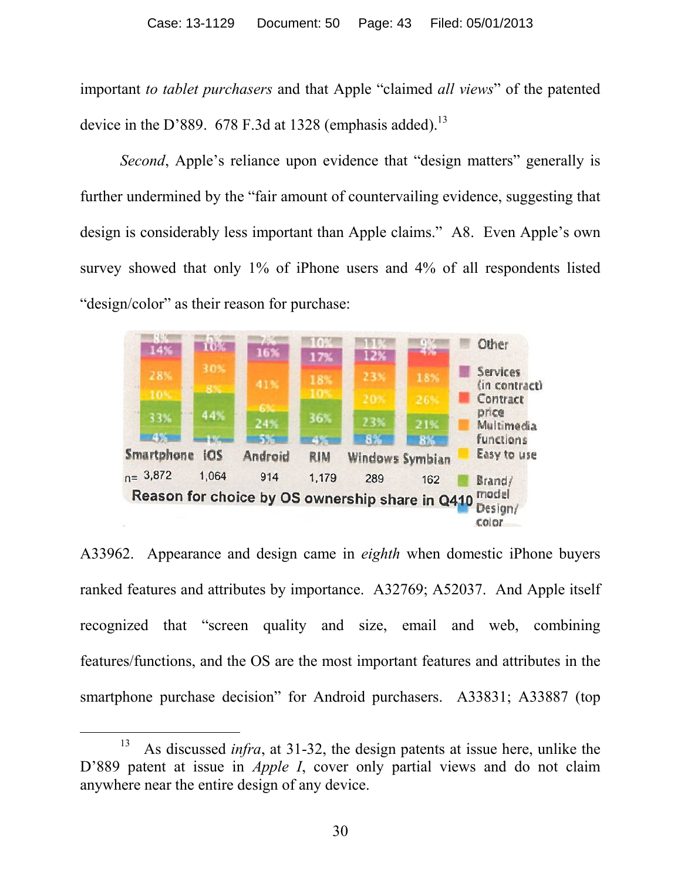important *to tablet purchasers* and that Apple "claimed *all views*" of the patented device in the D'889. 678 F.3d at 1328 (emphasis added).<sup>13</sup>

*Second*, Apple's reliance upon evidence that "design matters" generally is further undermined by the "fair amount of countervailing evidence, suggesting that design is considerably less important than Apple claims." A8. Even Apple's own survey showed that only 1% of iPhone users and 4% of all respondents listed "design/color" as their reason for purchase:



A33962. Appearance and design came in *eighth* when domestic iPhone buyers ranked features and attributes by importance. A32769; A52037. And Apple itself recognized that "screen quality and size, email and web, combining features/functions, and the OS are the most important features and attributes in the smartphone purchase decision" for Android purchasers. A33831; A33887 (top

 $\overline{a}$ 

<sup>13</sup> As discussed *infra*, at 31-32, the design patents at issue here, unlike the D'889 patent at issue in *Apple I*, cover only partial views and do not claim anywhere near the entire design of any device.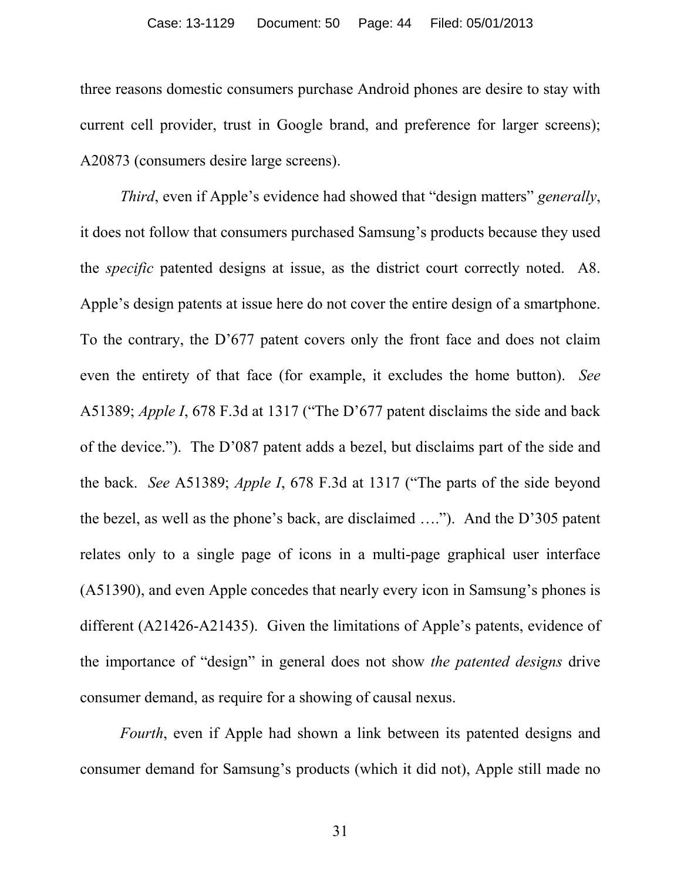three reasons domestic consumers purchase Android phones are desire to stay with current cell provider, trust in Google brand, and preference for larger screens); A20873 (consumers desire large screens).

*Third*, even if Apple's evidence had showed that "design matters" *generally*, it does not follow that consumers purchased Samsung's products because they used the *specific* patented designs at issue, as the district court correctly noted. A8. Apple's design patents at issue here do not cover the entire design of a smartphone. To the contrary, the D'677 patent covers only the front face and does not claim even the entirety of that face (for example, it excludes the home button). *See* A51389; *Apple I*, 678 F.3d at 1317 ("The D'677 patent disclaims the side and back of the device."). The D'087 patent adds a bezel, but disclaims part of the side and the back. *See* A51389; *Apple I*, 678 F.3d at 1317 ("The parts of the side beyond the bezel, as well as the phone's back, are disclaimed …."). And the D'305 patent relates only to a single page of icons in a multi-page graphical user interface (A51390), and even Apple concedes that nearly every icon in Samsung's phones is different (A21426-A21435). Given the limitations of Apple's patents, evidence of the importance of "design" in general does not show *the patented designs* drive consumer demand, as require for a showing of causal nexus.

*Fourth*, even if Apple had shown a link between its patented designs and consumer demand for Samsung's products (which it did not), Apple still made no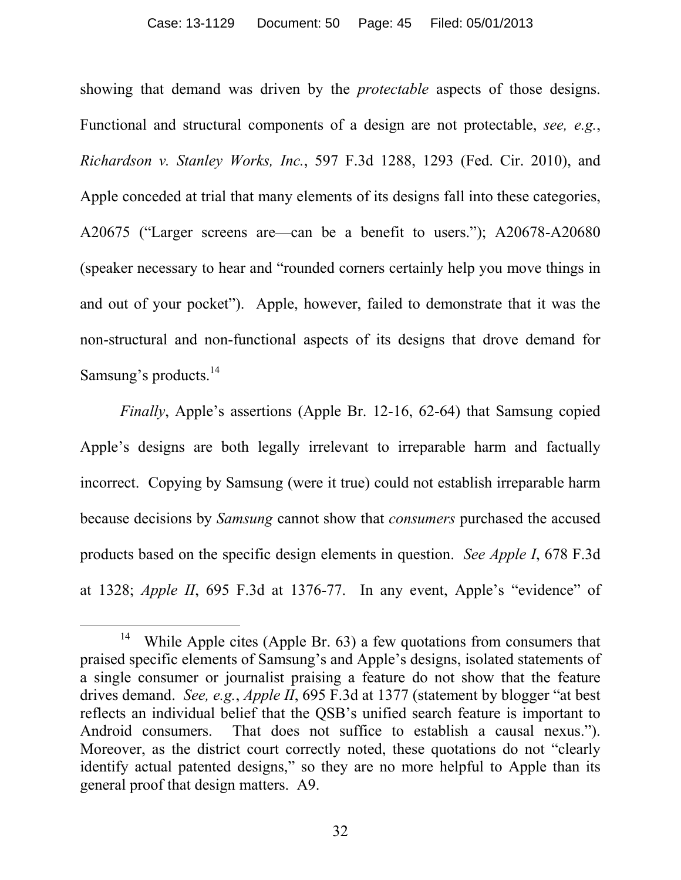showing that demand was driven by the *protectable* aspects of those designs. Functional and structural components of a design are not protectable, *see, e.g.*, *Richardson v. Stanley Works, Inc.*, 597 F.3d 1288, 1293 (Fed. Cir. 2010), and Apple conceded at trial that many elements of its designs fall into these categories, A20675 ("Larger screens are—can be a benefit to users."); A20678-A20680 (speaker necessary to hear and "rounded corners certainly help you move things in and out of your pocket"). Apple, however, failed to demonstrate that it was the non-structural and non-functional aspects of its designs that drove demand for Samsung's products.<sup>14</sup>

*Finally*, Apple's assertions (Apple Br. 12-16, 62-64) that Samsung copied Apple's designs are both legally irrelevant to irreparable harm and factually incorrect. Copying by Samsung (were it true) could not establish irreparable harm because decisions by *Samsung* cannot show that *consumers* purchased the accused products based on the specific design elements in question. *See Apple I*, 678 F.3d at 1328; *Apple II*, 695 F.3d at 1376-77. In any event, Apple's "evidence" of

<sup>14</sup> While Apple cites (Apple Br. 63) a few quotations from consumers that praised specific elements of Samsung's and Apple's designs, isolated statements of a single consumer or journalist praising a feature do not show that the feature drives demand. *See, e.g.*, *Apple II*, 695 F.3d at 1377 (statement by blogger "at best reflects an individual belief that the QSB's unified search feature is important to Android consumers. That does not suffice to establish a causal nexus."). Moreover, as the district court correctly noted, these quotations do not "clearly identify actual patented designs," so they are no more helpful to Apple than its general proof that design matters. A9.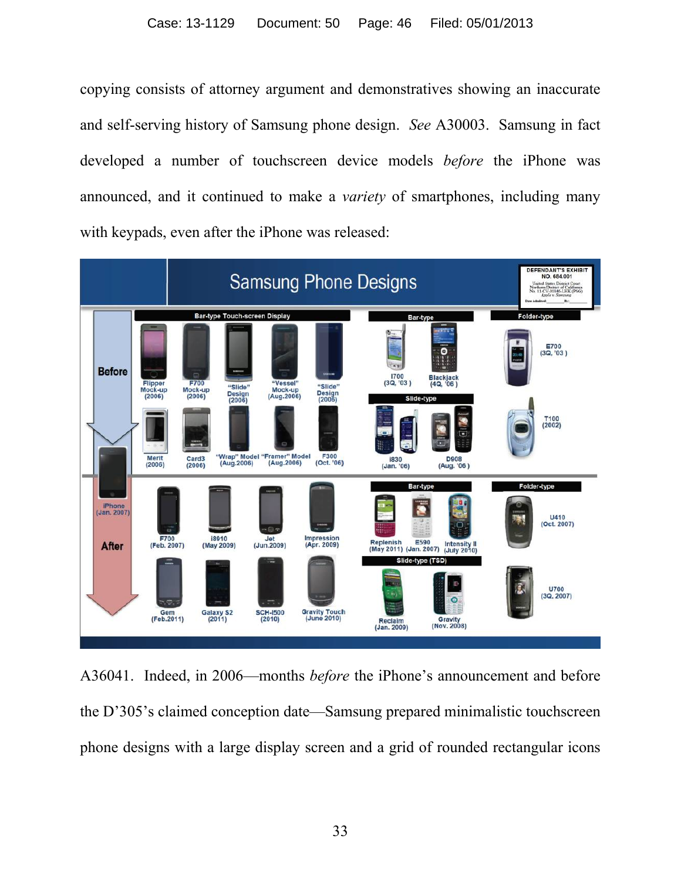copying consists of attorney argument and demonstratives showing an inaccurate and self-serving history of Samsung phone design. *See* A30003. Samsung in fact developed a number of touchscreen device models *before* the iPhone was announced, and it continued to make a *variety* of smartphones, including many with keypads, even after the iPhone was released:



A36041. Indeed, in 2006—months *before* the iPhone's announcement and before the D'305's claimed conception date—Samsung prepared minimalistic touchscreen phone designs with a large display screen and a grid of rounded rectangular icons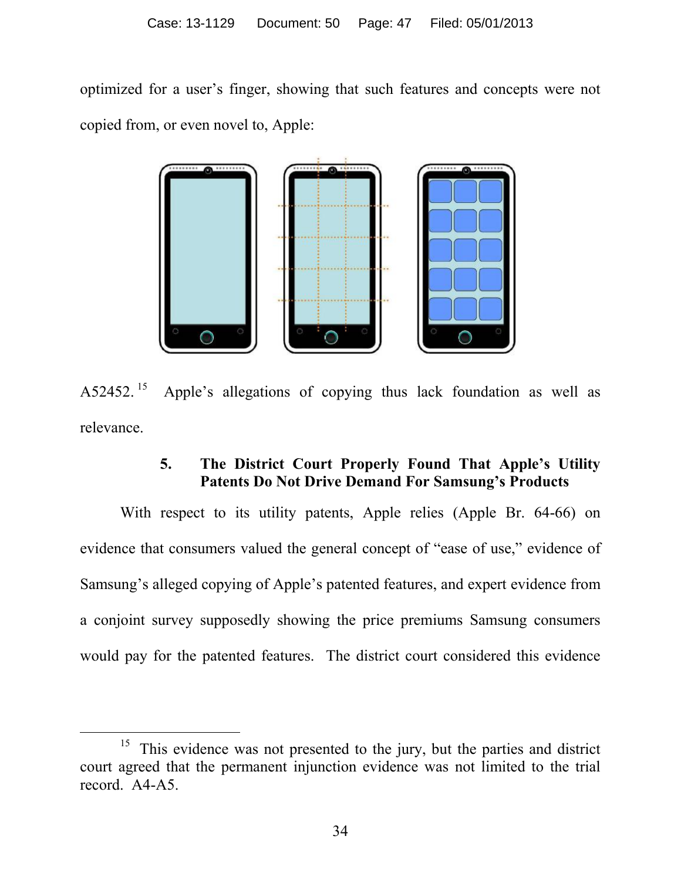optimized for a user's finger, showing that such features and concepts were not copied from, or even novel to, Apple:



 $A52452.<sup>15</sup>$  Apple's allegations of copying thus lack foundation as well as relevance.

# **5. The District Court Properly Found That Apple's Utility Patents Do Not Drive Demand For Samsung's Products**

With respect to its utility patents, Apple relies (Apple Br. 64-66) on evidence that consumers valued the general concept of "ease of use," evidence of Samsung's alleged copying of Apple's patented features, and expert evidence from a conjoint survey supposedly showing the price premiums Samsung consumers would pay for the patented features. The district court considered this evidence

 $\overline{a}$ 

<sup>&</sup>lt;sup>15</sup> This evidence was not presented to the jury, but the parties and district court agreed that the permanent injunction evidence was not limited to the trial record. A4-A5.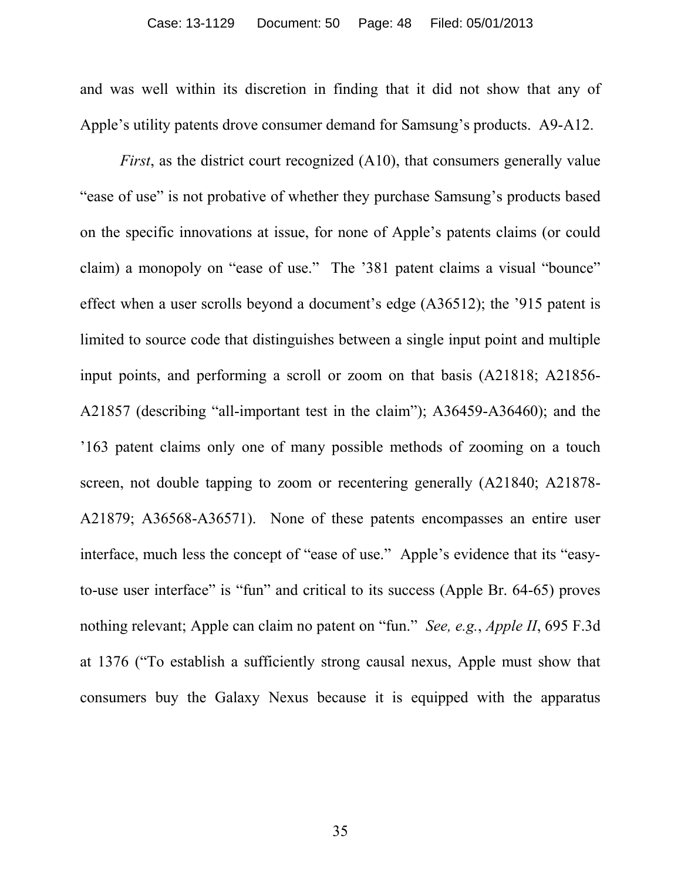and was well within its discretion in finding that it did not show that any of Apple's utility patents drove consumer demand for Samsung's products. A9-A12.

*First*, as the district court recognized (A10), that consumers generally value "ease of use" is not probative of whether they purchase Samsung's products based on the specific innovations at issue, for none of Apple's patents claims (or could claim) a monopoly on "ease of use." The '381 patent claims a visual "bounce" effect when a user scrolls beyond a document's edge (A36512); the '915 patent is limited to source code that distinguishes between a single input point and multiple input points, and performing a scroll or zoom on that basis (A21818; A21856- A21857 (describing "all-important test in the claim"); A36459-A36460); and the '163 patent claims only one of many possible methods of zooming on a touch screen, not double tapping to zoom or recentering generally (A21840; A21878- A21879; A36568-A36571). None of these patents encompasses an entire user interface, much less the concept of "ease of use." Apple's evidence that its "easyto-use user interface" is "fun" and critical to its success (Apple Br. 64-65) proves nothing relevant; Apple can claim no patent on "fun." *See, e.g.*, *Apple II*, 695 F.3d at 1376 ("To establish a sufficiently strong causal nexus, Apple must show that consumers buy the Galaxy Nexus because it is equipped with the apparatus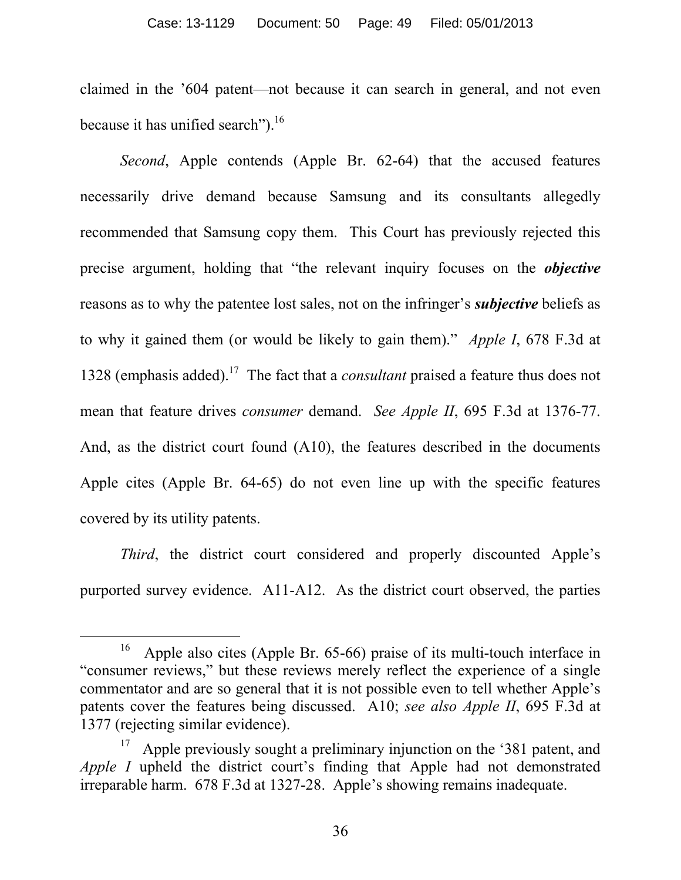claimed in the '604 patent—not because it can search in general, and not even because it has unified search").<sup>16</sup>

*Second*, Apple contends (Apple Br. 62-64) that the accused features necessarily drive demand because Samsung and its consultants allegedly recommended that Samsung copy them. This Court has previously rejected this precise argument, holding that "the relevant inquiry focuses on the *objective* reasons as to why the patentee lost sales, not on the infringer's *subjective* beliefs as to why it gained them (or would be likely to gain them)." *Apple I*, 678 F.3d at 1328 (emphasis added). <sup>17</sup> The fact that a *consultant* praised a feature thus does not mean that feature drives *consumer* demand. *See Apple II*, 695 F.3d at 1376-77. And, as the district court found (A10), the features described in the documents Apple cites (Apple Br. 64-65) do not even line up with the specific features covered by its utility patents.

*Third*, the district court considered and properly discounted Apple's purported survey evidence. A11-A12. As the district court observed, the parties

<sup>16</sup> Apple also cites (Apple Br. 65-66) praise of its multi-touch interface in "consumer reviews," but these reviews merely reflect the experience of a single commentator and are so general that it is not possible even to tell whether Apple's patents cover the features being discussed. A10; *see also Apple II*, 695 F.3d at 1377 (rejecting similar evidence).

<sup>17</sup> Apple previously sought a preliminary injunction on the '381 patent, and *Apple I* upheld the district court's finding that Apple had not demonstrated irreparable harm. 678 F.3d at 1327-28. Apple's showing remains inadequate.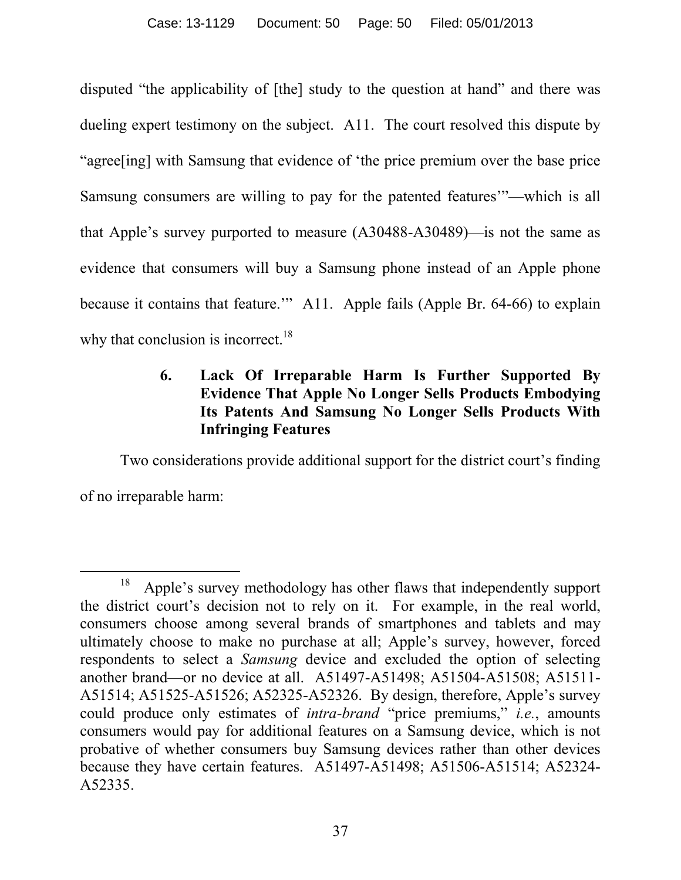disputed "the applicability of [the] study to the question at hand" and there was dueling expert testimony on the subject. A11. The court resolved this dispute by "agree[ing] with Samsung that evidence of 'the price premium over the base price Samsung consumers are willing to pay for the patented features'"—which is all that Apple's survey purported to measure (A30488-A30489)—is not the same as evidence that consumers will buy a Samsung phone instead of an Apple phone because it contains that feature.'" A11. Apple fails (Apple Br. 64-66) to explain why that conclusion is incorrect.<sup>18</sup>

# **6. Lack Of Irreparable Harm Is Further Supported By Evidence That Apple No Longer Sells Products Embodying Its Patents And Samsung No Longer Sells Products With Infringing Features**

Two considerations provide additional support for the district court's finding of no irreparable harm:

 $\overline{a}$ 18 Apple's survey methodology has other flaws that independently support the district court's decision not to rely on it. For example, in the real world, consumers choose among several brands of smartphones and tablets and may ultimately choose to make no purchase at all; Apple's survey, however, forced respondents to select a *Samsung* device and excluded the option of selecting another brand—or no device at all. A51497-A51498; A51504-A51508; A51511- A51514; A51525-A51526; A52325-A52326. By design, therefore, Apple's survey could produce only estimates of *intra-brand* "price premiums," *i.e.*, amounts consumers would pay for additional features on a Samsung device, which is not probative of whether consumers buy Samsung devices rather than other devices because they have certain features. A51497-A51498; A51506-A51514; A52324- A52335.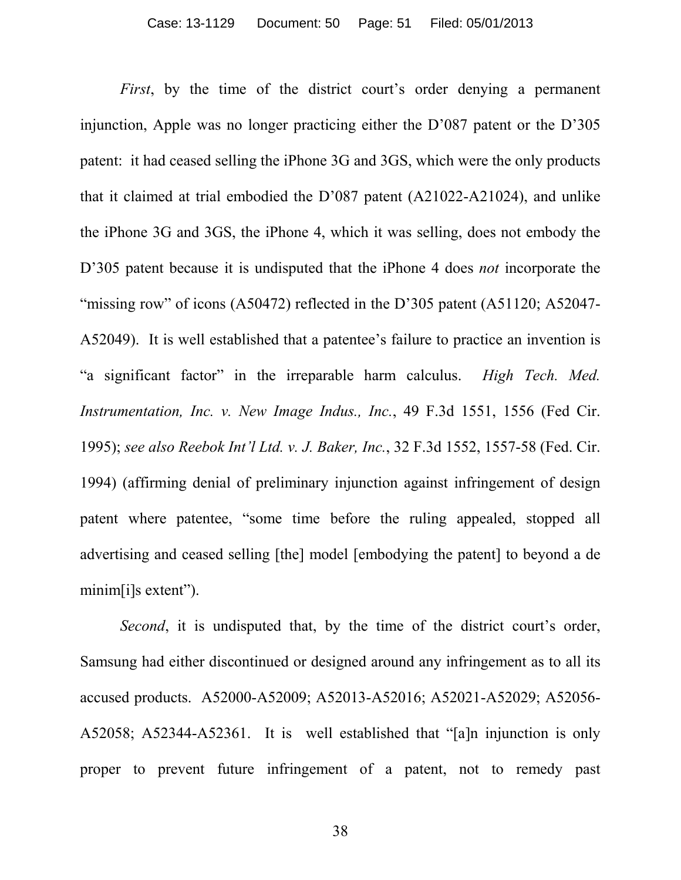*First*, by the time of the district court's order denying a permanent injunction, Apple was no longer practicing either the D'087 patent or the D'305 patent: it had ceased selling the iPhone 3G and 3GS, which were the only products that it claimed at trial embodied the D'087 patent (A21022-A21024), and unlike the iPhone 3G and 3GS, the iPhone 4, which it was selling, does not embody the D'305 patent because it is undisputed that the iPhone 4 does *not* incorporate the "missing row" of icons (A50472) reflected in the D'305 patent (A51120; A52047-A52049). It is well established that a patentee's failure to practice an invention is "a significant factor" in the irreparable harm calculus. *High Tech. Med. Instrumentation, Inc. v. New Image Indus., Inc.*, 49 F.3d 1551, 1556 (Fed Cir. 1995); *see also Reebok Int'l Ltd. v. J. Baker, Inc.*, 32 F.3d 1552, 1557-58 (Fed. Cir. 1994) (affirming denial of preliminary injunction against infringement of design patent where patentee, "some time before the ruling appealed, stopped all advertising and ceased selling [the] model [embodying the patent] to beyond a de minim[i]s extent").

*Second*, it is undisputed that, by the time of the district court's order, Samsung had either discontinued or designed around any infringement as to all its accused products. A52000-A52009; A52013-A52016; A52021-A52029; A52056- A52058; A52344-A52361. It is well established that "[a]n injunction is only proper to prevent future infringement of a patent, not to remedy past

38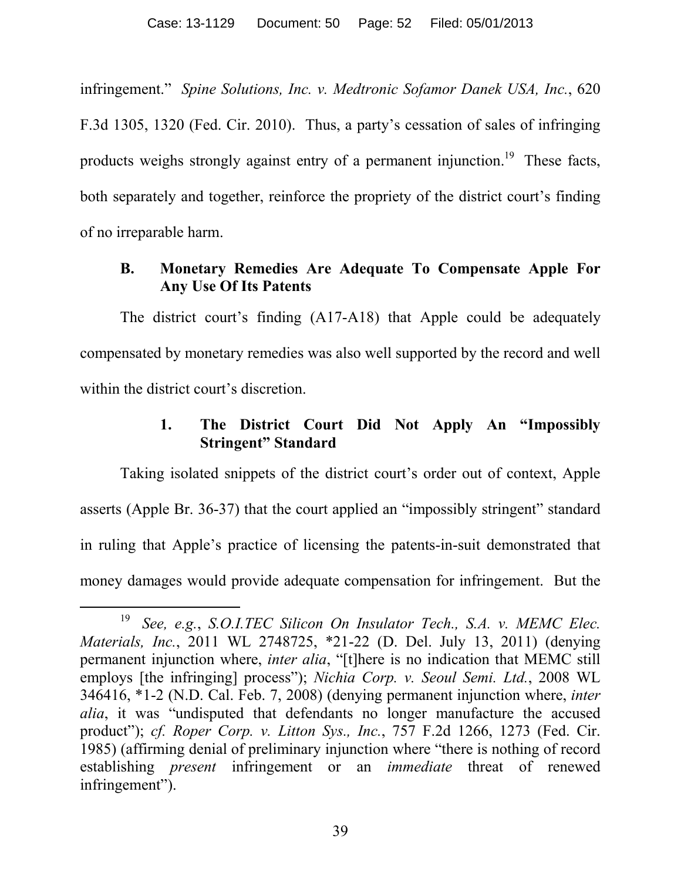infringement." *Spine Solutions, Inc. v. Medtronic Sofamor Danek USA, Inc.*, 620 F.3d 1305, 1320 (Fed. Cir. 2010). Thus, a party's cessation of sales of infringing products weighs strongly against entry of a permanent injunction.<sup>19</sup> These facts, both separately and together, reinforce the propriety of the district court's finding of no irreparable harm.

## **B. Monetary Remedies Are Adequate To Compensate Apple For Any Use Of Its Patents**

The district court's finding (A17-A18) that Apple could be adequately compensated by monetary remedies was also well supported by the record and well within the district court's discretion.

## **1. The District Court Did Not Apply An "Impossibly Stringent" Standard**

Taking isolated snippets of the district court's order out of context, Apple asserts (Apple Br. 36-37) that the court applied an "impossibly stringent" standard in ruling that Apple's practice of licensing the patents-in-suit demonstrated that money damages would provide adequate compensation for infringement. But the

<sup>19</sup> *See, e.g.*, *S.O.I.TEC Silicon On Insulator Tech., S.A. v. MEMC Elec. Materials, Inc.*, 2011 WL 2748725, \*21-22 (D. Del. July 13, 2011) (denying permanent injunction where, *inter alia*, "[t]here is no indication that MEMC still employs [the infringing] process"); *Nichia Corp. v. Seoul Semi. Ltd.*, 2008 WL 346416, \*1-2 (N.D. Cal. Feb. 7, 2008) (denying permanent injunction where, *inter alia*, it was "undisputed that defendants no longer manufacture the accused product"); *cf. Roper Corp. v. Litton Sys., Inc.*, 757 F.2d 1266, 1273 (Fed. Cir. 1985) (affirming denial of preliminary injunction where "there is nothing of record establishing *present* infringement or an *immediate* threat of renewed infringement").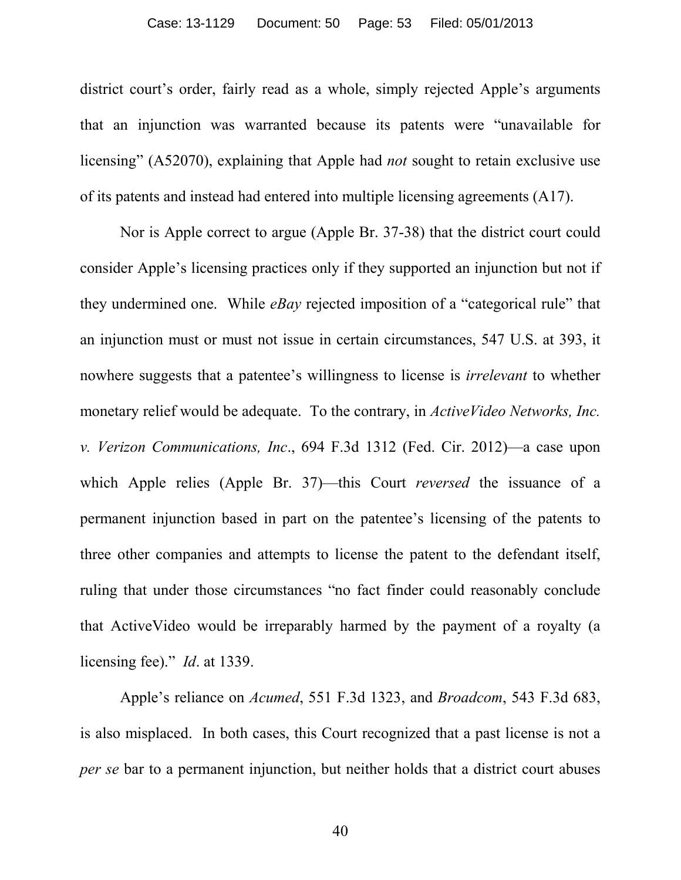#### Case: 13-1129 Document: 50 Page: 53 Filed: 05/01/2013

district court's order, fairly read as a whole, simply rejected Apple's arguments that an injunction was warranted because its patents were "unavailable for licensing" (A52070), explaining that Apple had *not* sought to retain exclusive use of its patents and instead had entered into multiple licensing agreements (A17).

Nor is Apple correct to argue (Apple Br. 37-38) that the district court could consider Apple's licensing practices only if they supported an injunction but not if they undermined one. While *eBay* rejected imposition of a "categorical rule" that an injunction must or must not issue in certain circumstances, 547 U.S. at 393, it nowhere suggests that a patentee's willingness to license is *irrelevant* to whether monetary relief would be adequate. To the contrary, in *ActiveVideo Networks, Inc. v. Verizon Communications, Inc*., 694 F.3d 1312 (Fed. Cir. 2012)—a case upon which Apple relies (Apple Br. 37)—this Court *reversed* the issuance of a permanent injunction based in part on the patentee's licensing of the patents to three other companies and attempts to license the patent to the defendant itself, ruling that under those circumstances "no fact finder could reasonably conclude that ActiveVideo would be irreparably harmed by the payment of a royalty (a licensing fee)." *Id*. at 1339.

Apple's reliance on *Acumed*, 551 F.3d 1323, and *Broadcom*, 543 F.3d 683, is also misplaced. In both cases, this Court recognized that a past license is not a *per se* bar to a permanent injunction, but neither holds that a district court abuses

40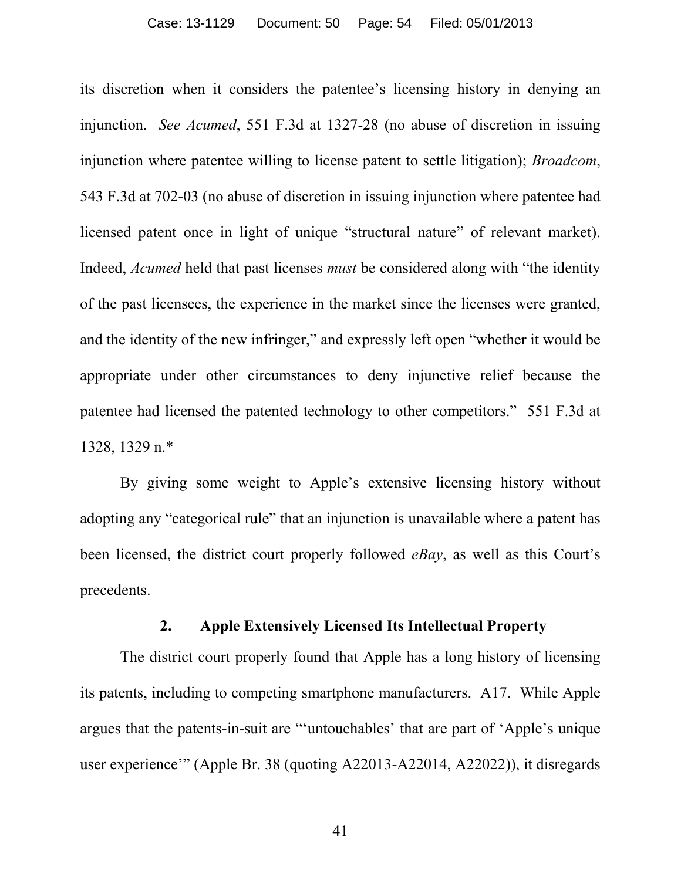its discretion when it considers the patentee's licensing history in denying an injunction. *See Acumed*, 551 F.3d at 1327-28 (no abuse of discretion in issuing injunction where patentee willing to license patent to settle litigation); *Broadcom*, 543 F.3d at 702-03 (no abuse of discretion in issuing injunction where patentee had licensed patent once in light of unique "structural nature" of relevant market). Indeed, *Acumed* held that past licenses *must* be considered along with "the identity of the past licensees, the experience in the market since the licenses were granted, and the identity of the new infringer," and expressly left open "whether it would be appropriate under other circumstances to deny injunctive relief because the patentee had licensed the patented technology to other competitors." 551 F.3d at 1328, 1329 n.\*

By giving some weight to Apple's extensive licensing history without adopting any "categorical rule" that an injunction is unavailable where a patent has been licensed, the district court properly followed *eBay*, as well as this Court's precedents.

#### **2. Apple Extensively Licensed Its Intellectual Property**

The district court properly found that Apple has a long history of licensing its patents, including to competing smartphone manufacturers. A17. While Apple argues that the patents-in-suit are "'untouchables' that are part of 'Apple's unique user experience'" (Apple Br. 38 (quoting A22013-A22014, A22022)), it disregards

41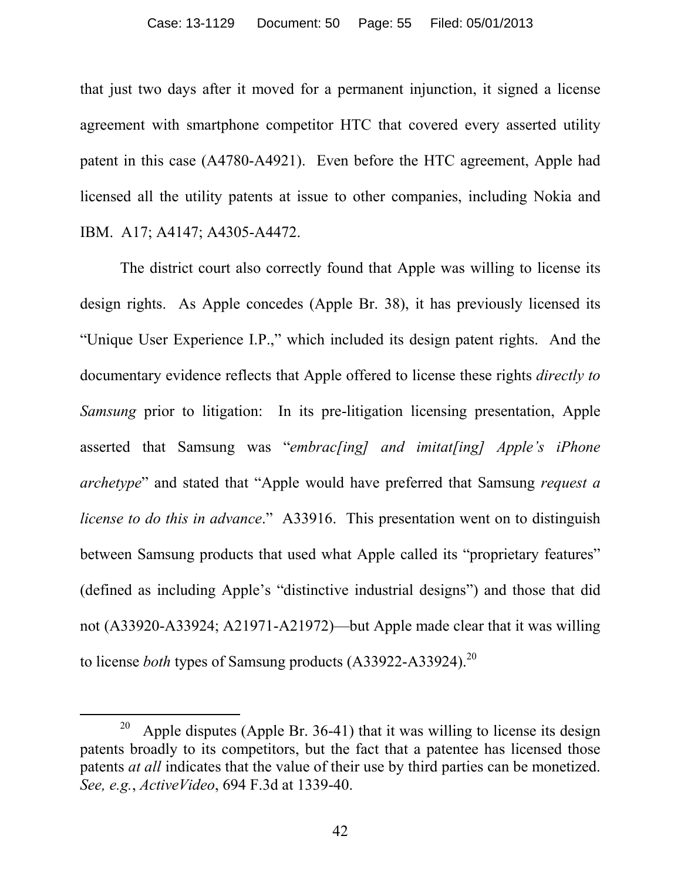that just two days after it moved for a permanent injunction, it signed a license agreement with smartphone competitor HTC that covered every asserted utility patent in this case (A4780-A4921). Even before the HTC agreement, Apple had licensed all the utility patents at issue to other companies, including Nokia and IBM. A17; A4147; A4305-A4472.

The district court also correctly found that Apple was willing to license its design rights. As Apple concedes (Apple Br. 38), it has previously licensed its "Unique User Experience I.P.," which included its design patent rights. And the documentary evidence reflects that Apple offered to license these rights *directly to Samsung* prior to litigation: In its pre-litigation licensing presentation, Apple asserted that Samsung was "*embrac[ing] and imitat[ing] Apple's iPhone archetype*" and stated that "Apple would have preferred that Samsung *request a license to do this in advance*." A33916. This presentation went on to distinguish between Samsung products that used what Apple called its "proprietary features" (defined as including Apple's "distinctive industrial designs") and those that did not (A33920-A33924; A21971-A21972)—but Apple made clear that it was willing to license *both* types of Samsung products (A33922-A33924).<sup>20</sup>

 $\overline{a}$ 

<sup>20</sup> Apple disputes (Apple Br. 36-41) that it was willing to license its design patents broadly to its competitors, but the fact that a patentee has licensed those patents *at all* indicates that the value of their use by third parties can be monetized. *See, e.g.*, *ActiveVideo*, 694 F.3d at 1339-40.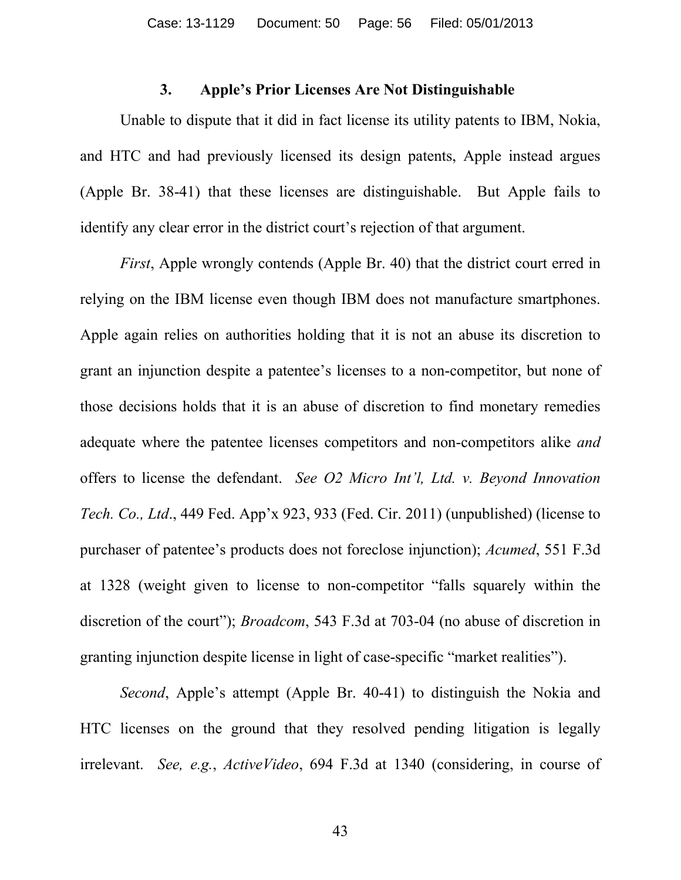### **3. Apple's Prior Licenses Are Not Distinguishable**

Unable to dispute that it did in fact license its utility patents to IBM, Nokia, and HTC and had previously licensed its design patents, Apple instead argues (Apple Br. 38-41) that these licenses are distinguishable. But Apple fails to identify any clear error in the district court's rejection of that argument.

*First*, Apple wrongly contends (Apple Br. 40) that the district court erred in relying on the IBM license even though IBM does not manufacture smartphones. Apple again relies on authorities holding that it is not an abuse its discretion to grant an injunction despite a patentee's licenses to a non-competitor, but none of those decisions holds that it is an abuse of discretion to find monetary remedies adequate where the patentee licenses competitors and non-competitors alike *and* offers to license the defendant. *See O2 Micro Int'l, Ltd. v. Beyond Innovation Tech. Co., Ltd*., 449 Fed. App'x 923, 933 (Fed. Cir. 2011) (unpublished) (license to purchaser of patentee's products does not foreclose injunction); *Acumed*, 551 F.3d at 1328 (weight given to license to non-competitor "falls squarely within the discretion of the court"); *Broadcom*, 543 F.3d at 703-04 (no abuse of discretion in granting injunction despite license in light of case-specific "market realities").

*Second*, Apple's attempt (Apple Br. 40-41) to distinguish the Nokia and HTC licenses on the ground that they resolved pending litigation is legally irrelevant. *See, e.g.*, *ActiveVideo*, 694 F.3d at 1340 (considering, in course of

43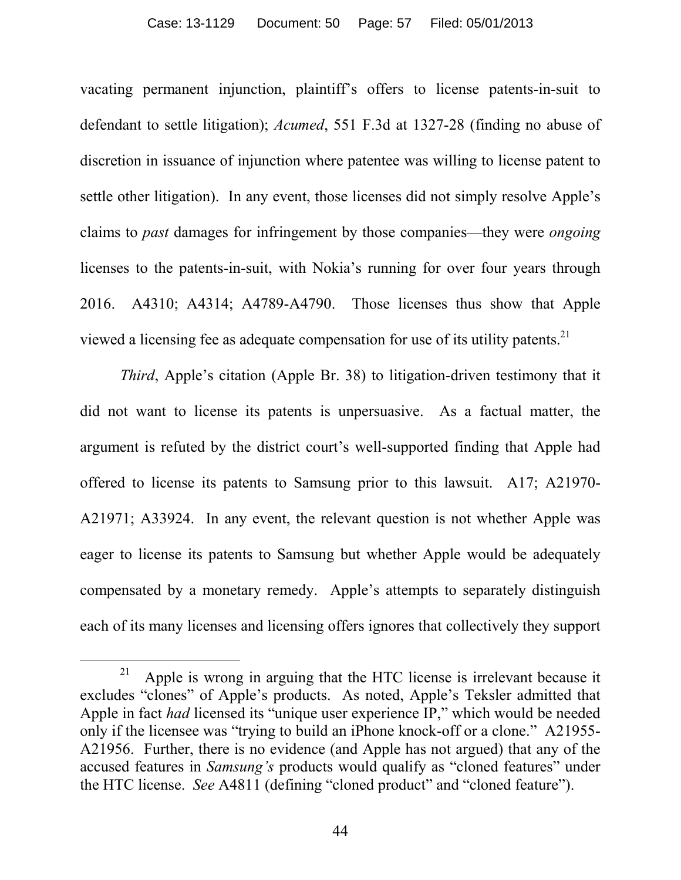vacating permanent injunction, plaintiff's offers to license patents-in-suit to defendant to settle litigation); *Acumed*, 551 F.3d at 1327-28 (finding no abuse of discretion in issuance of injunction where patentee was willing to license patent to settle other litigation). In any event, those licenses did not simply resolve Apple's claims to *past* damages for infringement by those companies—they were *ongoing* licenses to the patents-in-suit, with Nokia's running for over four years through 2016. A4310; A4314; A4789-A4790. Those licenses thus show that Apple viewed a licensing fee as adequate compensation for use of its utility patents.<sup>21</sup>

*Third*, Apple's citation (Apple Br. 38) to litigation-driven testimony that it did not want to license its patents is unpersuasive. As a factual matter, the argument is refuted by the district court's well-supported finding that Apple had offered to license its patents to Samsung prior to this lawsuit. A17; A21970- A21971; A33924. In any event, the relevant question is not whether Apple was eager to license its patents to Samsung but whether Apple would be adequately compensated by a monetary remedy. Apple's attempts to separately distinguish each of its many licenses and licensing offers ignores that collectively they support

<sup>21</sup> Apple is wrong in arguing that the HTC license is irrelevant because it excludes "clones" of Apple's products. As noted, Apple's Teksler admitted that Apple in fact *had* licensed its "unique user experience IP," which would be needed only if the licensee was "trying to build an iPhone knock-off or a clone." A21955- A21956. Further, there is no evidence (and Apple has not argued) that any of the accused features in *Samsung's* products would qualify as "cloned features" under the HTC license. *See* A4811 (defining "cloned product" and "cloned feature").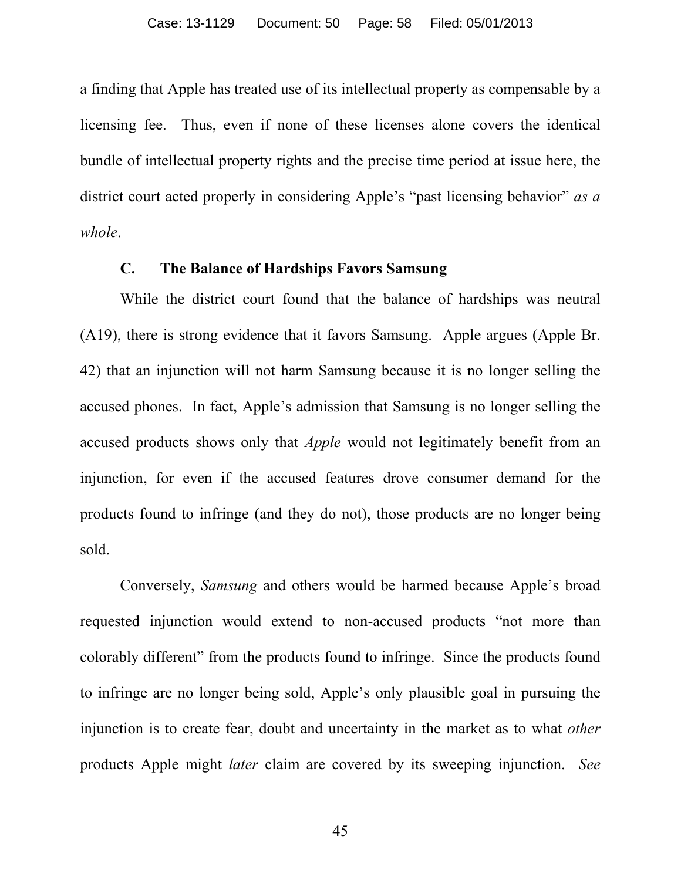a finding that Apple has treated use of its intellectual property as compensable by a licensing fee. Thus, even if none of these licenses alone covers the identical bundle of intellectual property rights and the precise time period at issue here, the district court acted properly in considering Apple's "past licensing behavior" *as a whole*.

## **C. The Balance of Hardships Favors Samsung**

While the district court found that the balance of hardships was neutral (A19), there is strong evidence that it favors Samsung. Apple argues (Apple Br. 42) that an injunction will not harm Samsung because it is no longer selling the accused phones. In fact, Apple's admission that Samsung is no longer selling the accused products shows only that *Apple* would not legitimately benefit from an injunction, for even if the accused features drove consumer demand for the products found to infringe (and they do not), those products are no longer being sold.

Conversely, *Samsung* and others would be harmed because Apple's broad requested injunction would extend to non-accused products "not more than colorably different" from the products found to infringe. Since the products found to infringe are no longer being sold, Apple's only plausible goal in pursuing the injunction is to create fear, doubt and uncertainty in the market as to what *other* products Apple might *later* claim are covered by its sweeping injunction. *See*

45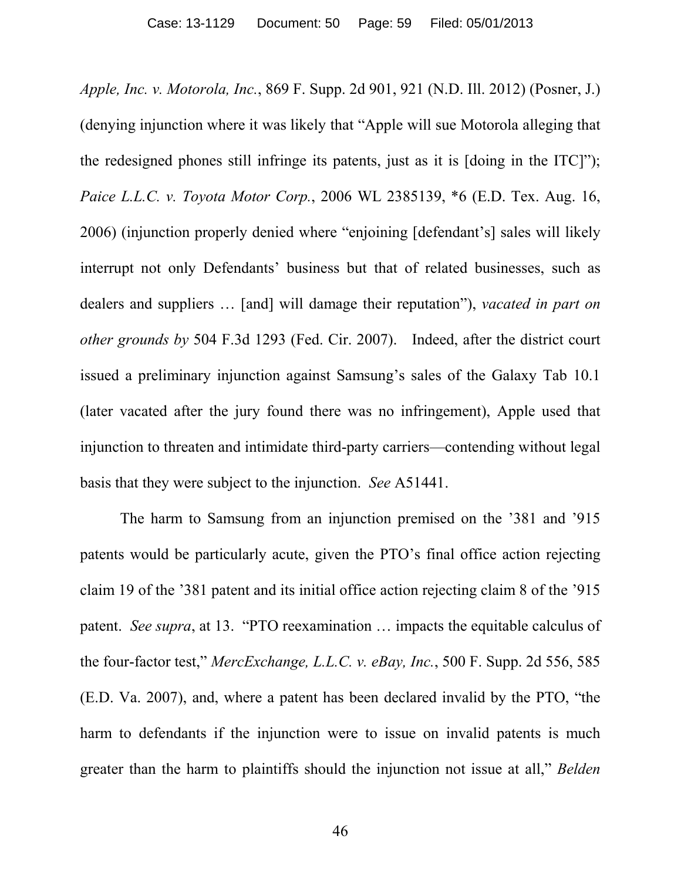*Apple, Inc. v. Motorola, Inc.*, 869 F. Supp. 2d 901, 921 (N.D. Ill. 2012) (Posner, J.) (denying injunction where it was likely that "Apple will sue Motorola alleging that the redesigned phones still infringe its patents, just as it is [doing in the ITC]"); *Paice L.L.C. v. Toyota Motor Corp.*, 2006 WL 2385139, \*6 (E.D. Tex. Aug. 16, 2006) (injunction properly denied where "enjoining [defendant's] sales will likely interrupt not only Defendants' business but that of related businesses, such as dealers and suppliers … [and] will damage their reputation"), *vacated in part on other grounds by* 504 F.3d 1293 (Fed. Cir. 2007). Indeed, after the district court issued a preliminary injunction against Samsung's sales of the Galaxy Tab 10.1 (later vacated after the jury found there was no infringement), Apple used that injunction to threaten and intimidate third-party carriers—contending without legal basis that they were subject to the injunction. *See* A51441.

The harm to Samsung from an injunction premised on the '381 and '915 patents would be particularly acute, given the PTO's final office action rejecting claim 19 of the '381 patent and its initial office action rejecting claim 8 of the '915 patent. *See supra*, at 13. "PTO reexamination … impacts the equitable calculus of the four-factor test," *MercExchange, L.L.C. v. eBay, Inc.*, 500 F. Supp. 2d 556, 585 (E.D. Va. 2007), and, where a patent has been declared invalid by the PTO, "the harm to defendants if the injunction were to issue on invalid patents is much greater than the harm to plaintiffs should the injunction not issue at all," *Belden*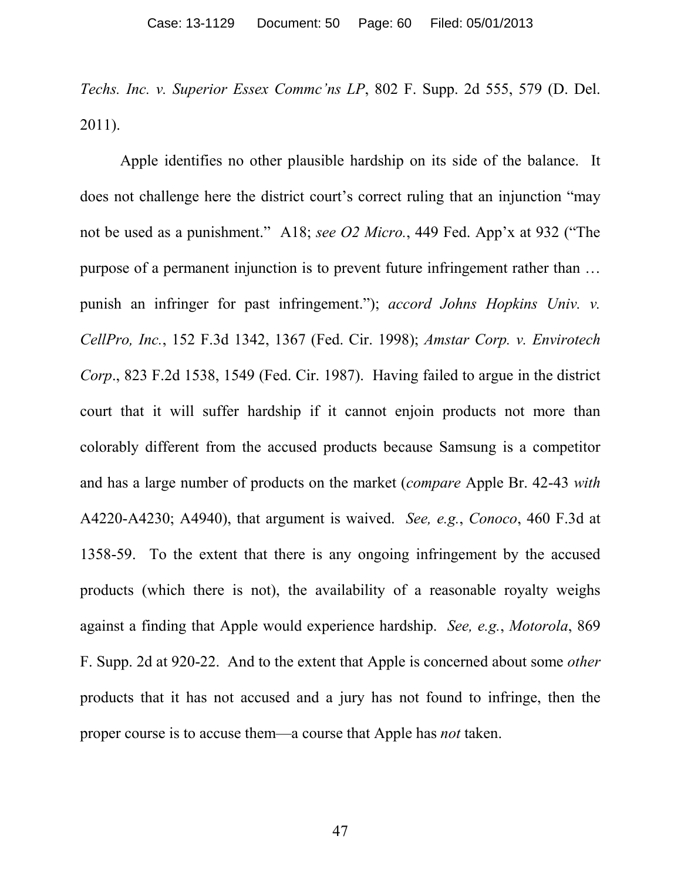*Techs. Inc. v. Superior Essex Commc'ns LP*, 802 F. Supp. 2d 555, 579 (D. Del. 2011).

Apple identifies no other plausible hardship on its side of the balance. It does not challenge here the district court's correct ruling that an injunction "may not be used as a punishment." A18; *see O2 Micro.*, 449 Fed. App'x at 932 ("The purpose of a permanent injunction is to prevent future infringement rather than … punish an infringer for past infringement."); *accord Johns Hopkins Univ. v. CellPro, Inc.*, 152 F.3d 1342, 1367 (Fed. Cir. 1998); *Amstar Corp. v. Envirotech Corp*., 823 F.2d 1538, 1549 (Fed. Cir. 1987). Having failed to argue in the district court that it will suffer hardship if it cannot enjoin products not more than colorably different from the accused products because Samsung is a competitor and has a large number of products on the market (*compare* Apple Br. 42-43 *with* A4220-A4230; A4940), that argument is waived. *See, e.g.*, *Conoco*, 460 F.3d at 1358-59. To the extent that there is any ongoing infringement by the accused products (which there is not), the availability of a reasonable royalty weighs against a finding that Apple would experience hardship. *See, e.g.*, *Motorola*, 869 F. Supp. 2d at 920-22. And to the extent that Apple is concerned about some *other* products that it has not accused and a jury has not found to infringe, then the proper course is to accuse them—a course that Apple has *not* taken.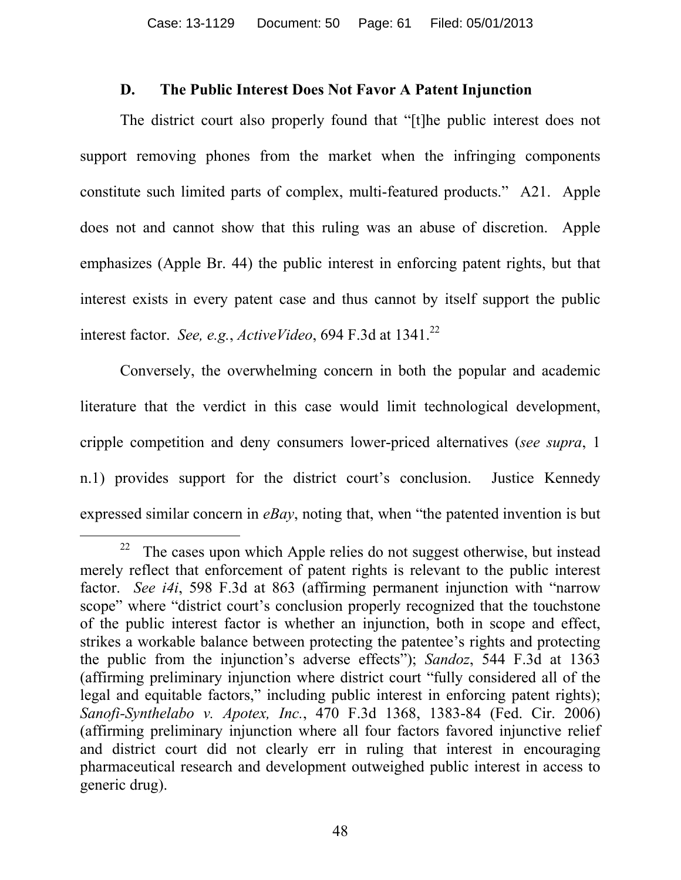## **D. The Public Interest Does Not Favor A Patent Injunction**

The district court also properly found that "[t]he public interest does not support removing phones from the market when the infringing components constitute such limited parts of complex, multi-featured products." A21. Apple does not and cannot show that this ruling was an abuse of discretion. Apple emphasizes (Apple Br. 44) the public interest in enforcing patent rights, but that interest exists in every patent case and thus cannot by itself support the public interest factor. *See, e.g.*, *ActiveVideo*, 694 F.3d at 1341.<sup>22</sup>

Conversely, the overwhelming concern in both the popular and academic literature that the verdict in this case would limit technological development, cripple competition and deny consumers lower-priced alternatives (*see supra*, 1 n.1) provides support for the district court's conclusion. Justice Kennedy expressed similar concern in *eBay*, noting that, when "the patented invention is but

 $\overline{a}$ 22 The cases upon which Apple relies do not suggest otherwise, but instead merely reflect that enforcement of patent rights is relevant to the public interest factor. *See i4i*, 598 F.3d at 863 (affirming permanent injunction with "narrow scope" where "district court's conclusion properly recognized that the touchstone of the public interest factor is whether an injunction, both in scope and effect, strikes a workable balance between protecting the patentee's rights and protecting the public from the injunction's adverse effects"); *Sandoz*, 544 F.3d at 1363 (affirming preliminary injunction where district court "fully considered all of the legal and equitable factors," including public interest in enforcing patent rights); *Sanofi-Synthelabo v. Apotex, Inc.*, 470 F.3d 1368, 1383-84 (Fed. Cir. 2006) (affirming preliminary injunction where all four factors favored injunctive relief and district court did not clearly err in ruling that interest in encouraging pharmaceutical research and development outweighed public interest in access to generic drug).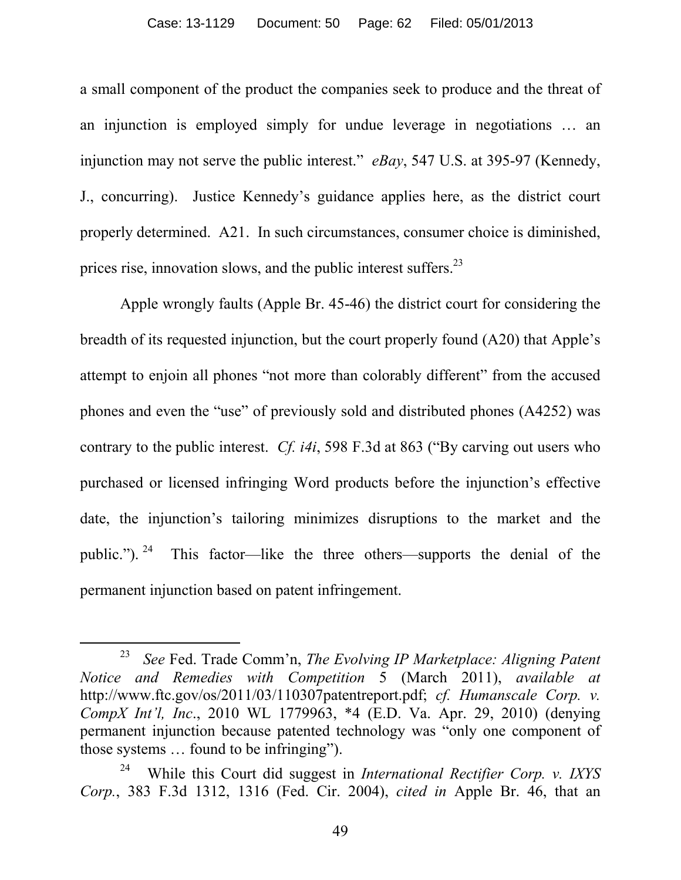#### Case: 13-1129 Document: 50 Page: 62 Filed: 05/01/2013

a small component of the product the companies seek to produce and the threat of an injunction is employed simply for undue leverage in negotiations … an injunction may not serve the public interest." *eBay*, 547 U.S. at 395-97 (Kennedy, J., concurring). Justice Kennedy's guidance applies here, as the district court properly determined. A21. In such circumstances, consumer choice is diminished, prices rise, innovation slows, and the public interest suffers. $^{23}$ 

Apple wrongly faults (Apple Br. 45-46) the district court for considering the breadth of its requested injunction, but the court properly found (A20) that Apple's attempt to enjoin all phones "not more than colorably different" from the accused phones and even the "use" of previously sold and distributed phones (A4252) was contrary to the public interest. *Cf. i4i*, 598 F.3d at 863 ("By carving out users who purchased or licensed infringing Word products before the injunction's effective date, the injunction's tailoring minimizes disruptions to the market and the public.").  $24$  This factor—like the three others—supports the denial of the permanent injunction based on patent infringement.

<sup>23</sup> *See* Fed. Trade Comm'n, *The Evolving IP Marketplace: Aligning Patent Notice and Remedies with Competition* 5 (March 2011), *available at* http://www.ftc.gov/os/2011/03/110307patentreport.pdf; *cf. Humanscale Corp. v. CompX Int'l, Inc*., 2010 WL 1779963, \*4 (E.D. Va. Apr. 29, 2010) (denying permanent injunction because patented technology was "only one component of those systems … found to be infringing").

<sup>24</sup> While this Court did suggest in *International Rectifier Corp. v. IXYS Corp.*, 383 F.3d 1312, 1316 (Fed. Cir. 2004), *cited in* Apple Br. 46, that an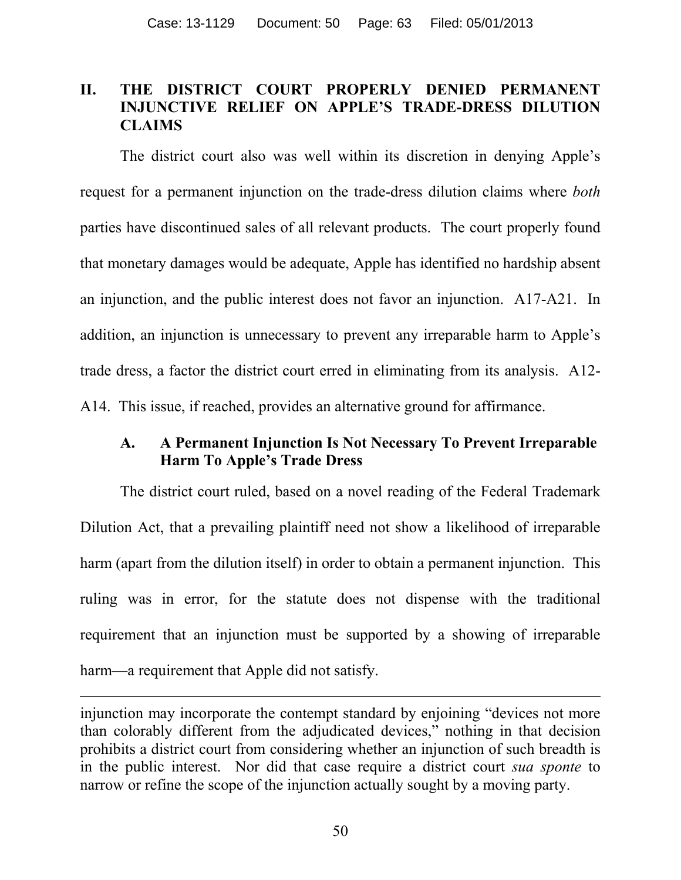## **II. THE DISTRICT COURT PROPERLY DENIED PERMANENT INJUNCTIVE RELIEF ON APPLE'S TRADE-DRESS DILUTION CLAIMS**

The district court also was well within its discretion in denying Apple's request for a permanent injunction on the trade-dress dilution claims where *both* parties have discontinued sales of all relevant products. The court properly found that monetary damages would be adequate, Apple has identified no hardship absent an injunction, and the public interest does not favor an injunction. A17-A21. In addition, an injunction is unnecessary to prevent any irreparable harm to Apple's trade dress, a factor the district court erred in eliminating from its analysis. A12- A14. This issue, if reached, provides an alternative ground for affirmance.

# **A. A Permanent Injunction Is Not Necessary To Prevent Irreparable Harm To Apple's Trade Dress**

The district court ruled, based on a novel reading of the Federal Trademark Dilution Act, that a prevailing plaintiff need not show a likelihood of irreparable harm (apart from the dilution itself) in order to obtain a permanent injunction. This ruling was in error, for the statute does not dispense with the traditional requirement that an injunction must be supported by a showing of irreparable harm—a requirement that Apple did not satisfy.

injunction may incorporate the contempt standard by enjoining "devices not more than colorably different from the adjudicated devices," nothing in that decision prohibits a district court from considering whether an injunction of such breadth is in the public interest. Nor did that case require a district court *sua sponte* to narrow or refine the scope of the injunction actually sought by a moving party.

 $\overline{a}$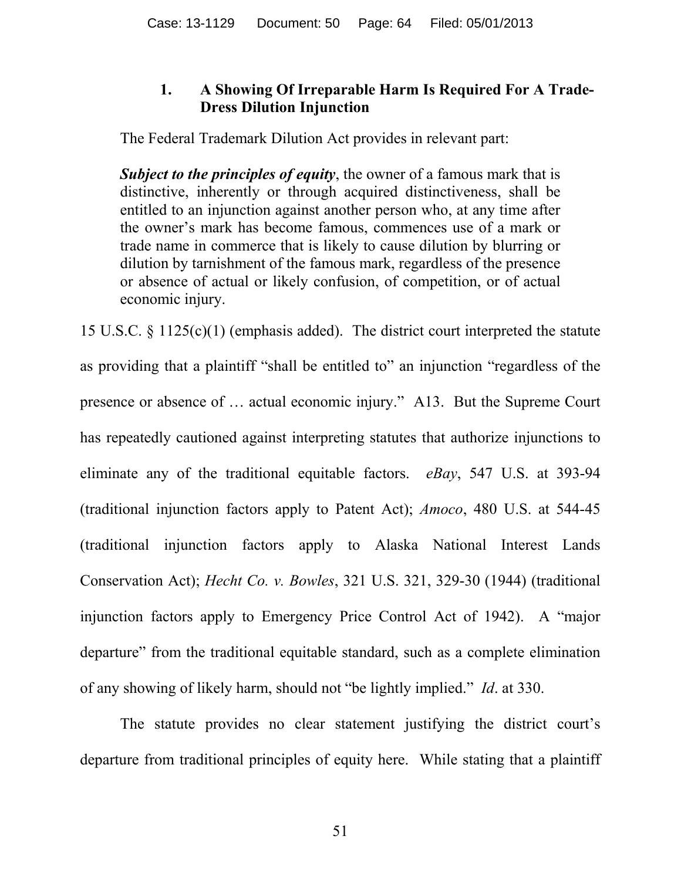# **1. A Showing Of Irreparable Harm Is Required For A Trade-Dress Dilution Injunction**

The Federal Trademark Dilution Act provides in relevant part:

*Subject to the principles of equity*, the owner of a famous mark that is distinctive, inherently or through acquired distinctiveness, shall be entitled to an injunction against another person who, at any time after the owner's mark has become famous, commences use of a mark or trade name in commerce that is likely to cause dilution by blurring or dilution by tarnishment of the famous mark, regardless of the presence or absence of actual or likely confusion, of competition, or of actual economic injury.

15 U.S.C. § 1125(c)(1) (emphasis added). The district court interpreted the statute as providing that a plaintiff "shall be entitled to" an injunction "regardless of the presence or absence of … actual economic injury." A13. But the Supreme Court has repeatedly cautioned against interpreting statutes that authorize injunctions to eliminate any of the traditional equitable factors. *eBay*, 547 U.S. at 393-94 (traditional injunction factors apply to Patent Act); *Amoco*, 480 U.S. at 544-45 (traditional injunction factors apply to Alaska National Interest Lands Conservation Act); *Hecht Co. v. Bowles*, 321 U.S. 321, 329-30 (1944) (traditional injunction factors apply to Emergency Price Control Act of 1942). A "major departure" from the traditional equitable standard, such as a complete elimination of any showing of likely harm, should not "be lightly implied." *Id*. at 330.

The statute provides no clear statement justifying the district court's departure from traditional principles of equity here. While stating that a plaintiff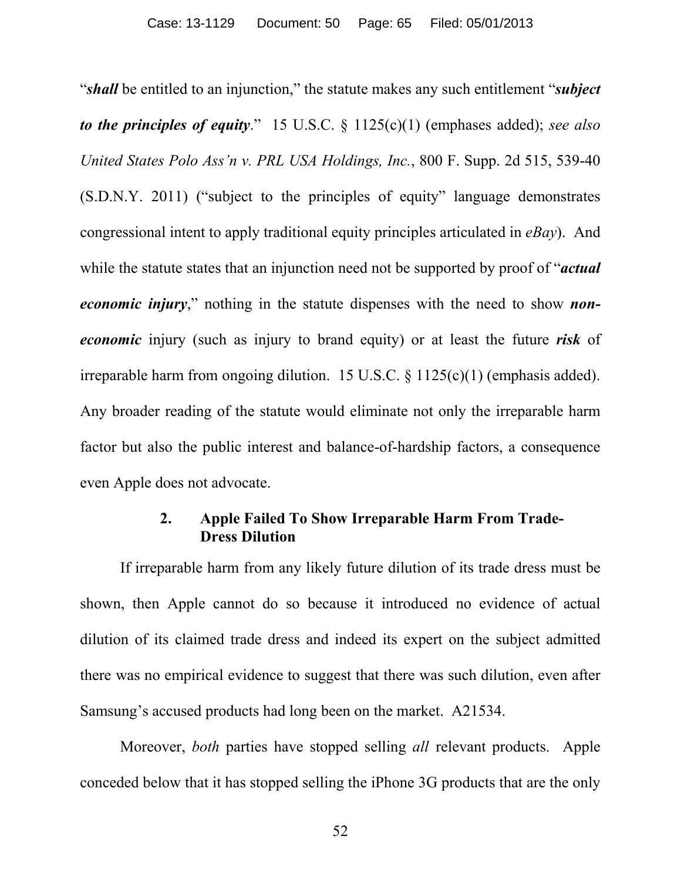"*shall* be entitled to an injunction," the statute makes any such entitlement "*subject to the principles of equity*." 15 U.S.C. § 1125(c)(1) (emphases added); *see also United States Polo Ass'n v. PRL USA Holdings, Inc.*, 800 F. Supp. 2d 515, 539-40 (S.D.N.Y. 2011) ("subject to the principles of equity" language demonstrates congressional intent to apply traditional equity principles articulated in *eBay*). And while the statute states that an injunction need not be supported by proof of "*actual economic injury*," nothing in the statute dispenses with the need to show *noneconomic* injury (such as injury to brand equity) or at least the future *risk* of irreparable harm from ongoing dilution. 15 U.S.C. § 1125(c)(1) (emphasis added). Any broader reading of the statute would eliminate not only the irreparable harm factor but also the public interest and balance-of-hardship factors, a consequence even Apple does not advocate.

## **2. Apple Failed To Show Irreparable Harm From Trade-Dress Dilution**

If irreparable harm from any likely future dilution of its trade dress must be shown, then Apple cannot do so because it introduced no evidence of actual dilution of its claimed trade dress and indeed its expert on the subject admitted there was no empirical evidence to suggest that there was such dilution, even after Samsung's accused products had long been on the market. A21534.

Moreover, *both* parties have stopped selling *all* relevant products. Apple conceded below that it has stopped selling the iPhone 3G products that are the only

52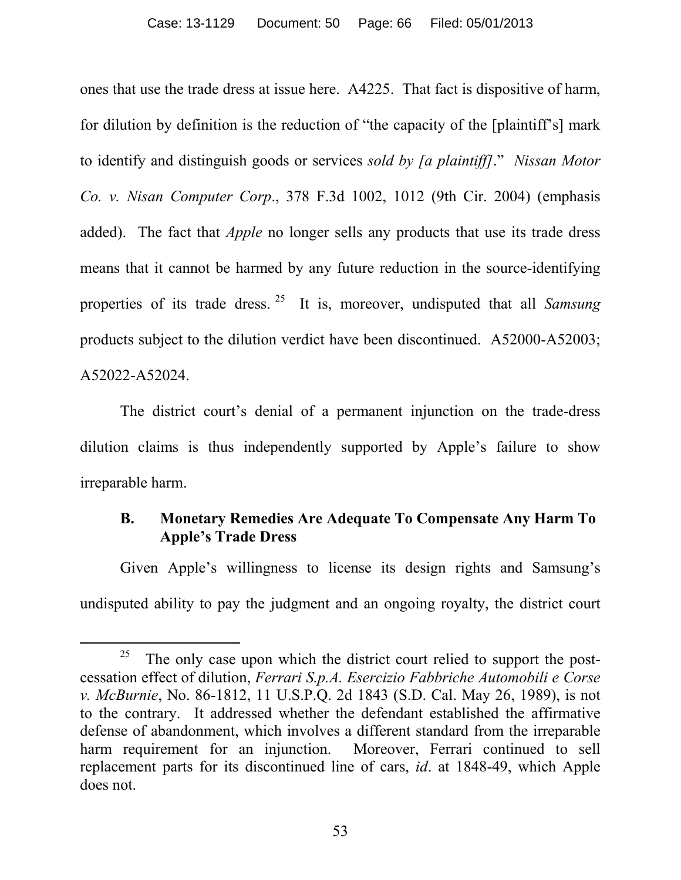ones that use the trade dress at issue here. A4225. That fact is dispositive of harm, for dilution by definition is the reduction of "the capacity of the [plaintiff's] mark to identify and distinguish goods or services *sold by [a plaintiff]*." *Nissan Motor Co. v. Nisan Computer Corp*., 378 F.3d 1002, 1012 (9th Cir. 2004) (emphasis added). The fact that *Apple* no longer sells any products that use its trade dress means that it cannot be harmed by any future reduction in the source-identifying properties of its trade dress. <sup>25</sup> It is, moreover, undisputed that all *Samsung* products subject to the dilution verdict have been discontinued. A52000-A52003; A52022-A52024.

The district court's denial of a permanent injunction on the trade-dress dilution claims is thus independently supported by Apple's failure to show irreparable harm.

# **B. Monetary Remedies Are Adequate To Compensate Any Harm To Apple's Trade Dress**

Given Apple's willingness to license its design rights and Samsung's undisputed ability to pay the judgment and an ongoing royalty, the district court

<sup>25</sup> The only case upon which the district court relied to support the postcessation effect of dilution, *Ferrari S.p.A. Esercizio Fabbriche Automobili e Corse v. McBurnie*, No. 86-1812, 11 U.S.P.Q. 2d 1843 (S.D. Cal. May 26, 1989), is not to the contrary. It addressed whether the defendant established the affirmative defense of abandonment, which involves a different standard from the irreparable harm requirement for an injunction. Moreover, Ferrari continued to sell replacement parts for its discontinued line of cars, *id*. at 1848-49, which Apple does not.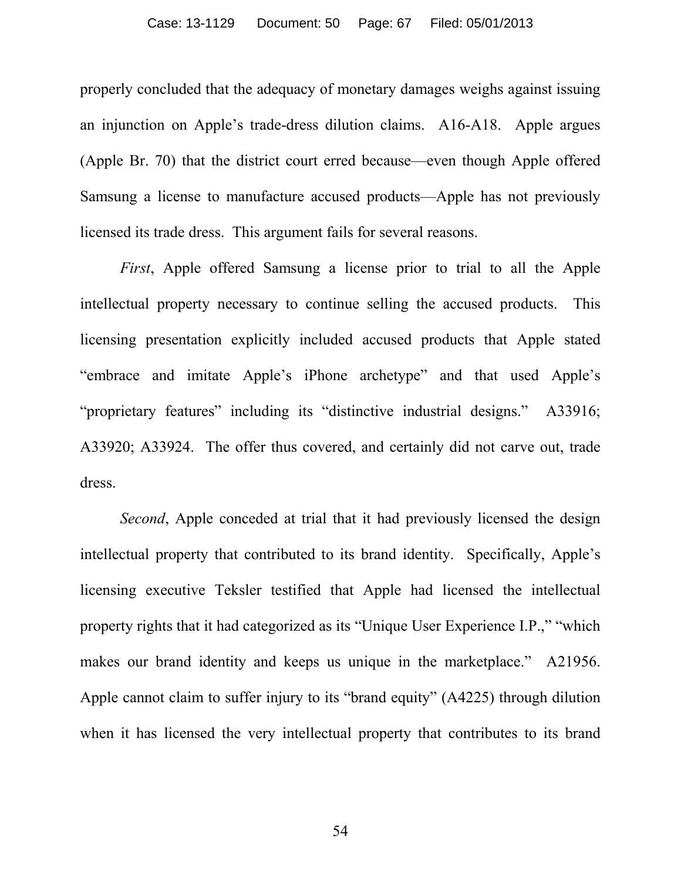properly concluded that the adequacy of monetary damages weighs against issuing an injunction on Apple's trade-dress dilution claims. A16-A18. Apple argues (Apple Br. 70) that the district court erred because—even though Apple offered Samsung a license to manufacture accused products—Apple has not previously licensed its trade dress. This argument fails for several reasons.

*First*, Apple offered Samsung a license prior to trial to all the Apple intellectual property necessary to continue selling the accused products. This licensing presentation explicitly included accused products that Apple stated "embrace and imitate Apple's iPhone archetype" and that used Apple's "proprietary features" including its "distinctive industrial designs." A33916; A33920; A33924. The offer thus covered, and certainly did not carve out, trade dress.

*Second*, Apple conceded at trial that it had previously licensed the design intellectual property that contributed to its brand identity. Specifically, Apple's licensing executive Teksler testified that Apple had licensed the intellectual property rights that it had categorized as its "Unique User Experience I.P.," "which makes our brand identity and keeps us unique in the marketplace." A21956. Apple cannot claim to suffer injury to its "brand equity" (A4225) through dilution when it has licensed the very intellectual property that contributes to its brand

54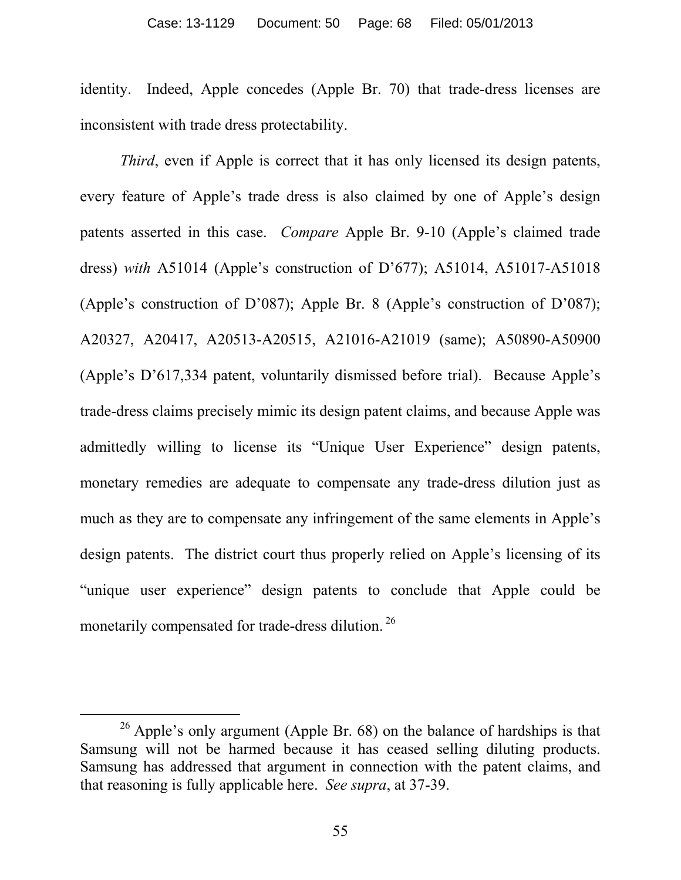identity. Indeed, Apple concedes (Apple Br. 70) that trade-dress licenses are inconsistent with trade dress protectability.

*Third*, even if Apple is correct that it has only licensed its design patents, every feature of Apple's trade dress is also claimed by one of Apple's design patents asserted in this case. *Compare* Apple Br. 9-10 (Apple's claimed trade dress) *with* A51014 (Apple's construction of D'677); A51014, A51017-A51018 (Apple's construction of D'087); Apple Br. 8 (Apple's construction of D'087); A20327, A20417, A20513-A20515, A21016-A21019 (same); A50890-A50900 (Apple's D'617,334 patent, voluntarily dismissed before trial). Because Apple's trade-dress claims precisely mimic its design patent claims, and because Apple was admittedly willing to license its "Unique User Experience" design patents, monetary remedies are adequate to compensate any trade-dress dilution just as much as they are to compensate any infringement of the same elements in Apple's design patents. The district court thus properly relied on Apple's licensing of its "unique user experience" design patents to conclude that Apple could be monetarily compensated for trade-dress dilution.<sup>26</sup>

 $\overline{a}$ 

 $26$  Apple's only argument (Apple Br. 68) on the balance of hardships is that Samsung will not be harmed because it has ceased selling diluting products. Samsung has addressed that argument in connection with the patent claims, and that reasoning is fully applicable here. *See supra*, at 37-39.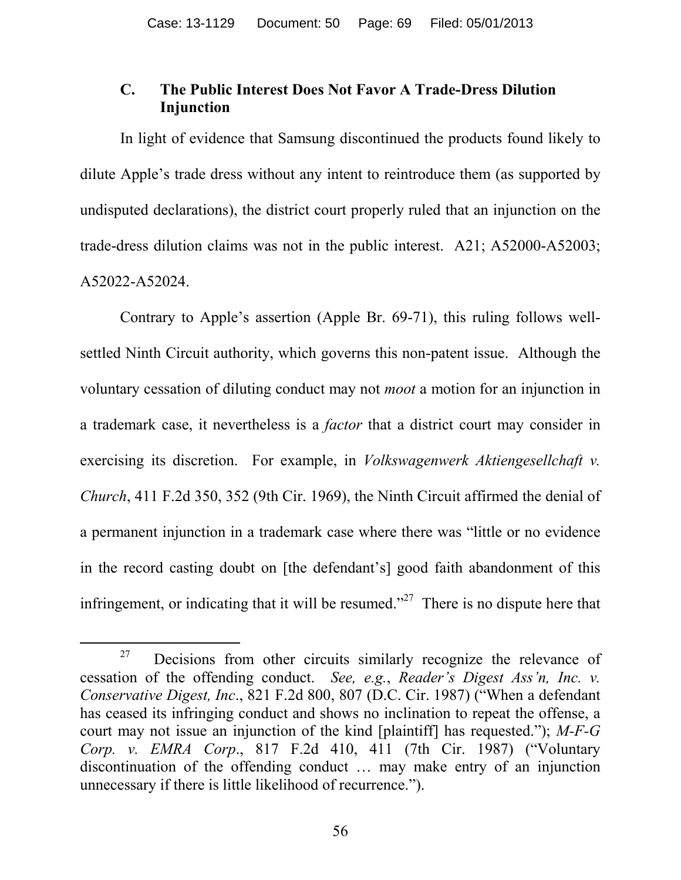## **C. The Public Interest Does Not Favor A Trade-Dress Dilution Injunction**

In light of evidence that Samsung discontinued the products found likely to dilute Apple's trade dress without any intent to reintroduce them (as supported by undisputed declarations), the district court properly ruled that an injunction on the trade-dress dilution claims was not in the public interest. A21; A52000-A52003; A52022-A52024.

Contrary to Apple's assertion (Apple Br. 69-71), this ruling follows wellsettled Ninth Circuit authority, which governs this non-patent issue. Although the voluntary cessation of diluting conduct may not *moot* a motion for an injunction in a trademark case, it nevertheless is a *factor* that a district court may consider in exercising its discretion. For example, in *Volkswagenwerk Aktiengesellchaft v. Church*, 411 F.2d 350, 352 (9th Cir. 1969), the Ninth Circuit affirmed the denial of a permanent injunction in a trademark case where there was "little or no evidence in the record casting doubt on [the defendant's] good faith abandonment of this infringement, or indicating that it will be resumed.<sup>327</sup> There is no dispute here that

<sup>27</sup> Decisions from other circuits similarly recognize the relevance of cessation of the offending conduct. *See, e.g.*, *Reader's Digest Ass'n, Inc. v. Conservative Digest, Inc*., 821 F.2d 800, 807 (D.C. Cir. 1987) ("When a defendant has ceased its infringing conduct and shows no inclination to repeat the offense, a court may not issue an injunction of the kind [plaintiff] has requested."); *M-F-G Corp. v. EMRA Corp*., 817 F.2d 410, 411 (7th Cir. 1987) ("Voluntary discontinuation of the offending conduct … may make entry of an injunction unnecessary if there is little likelihood of recurrence.").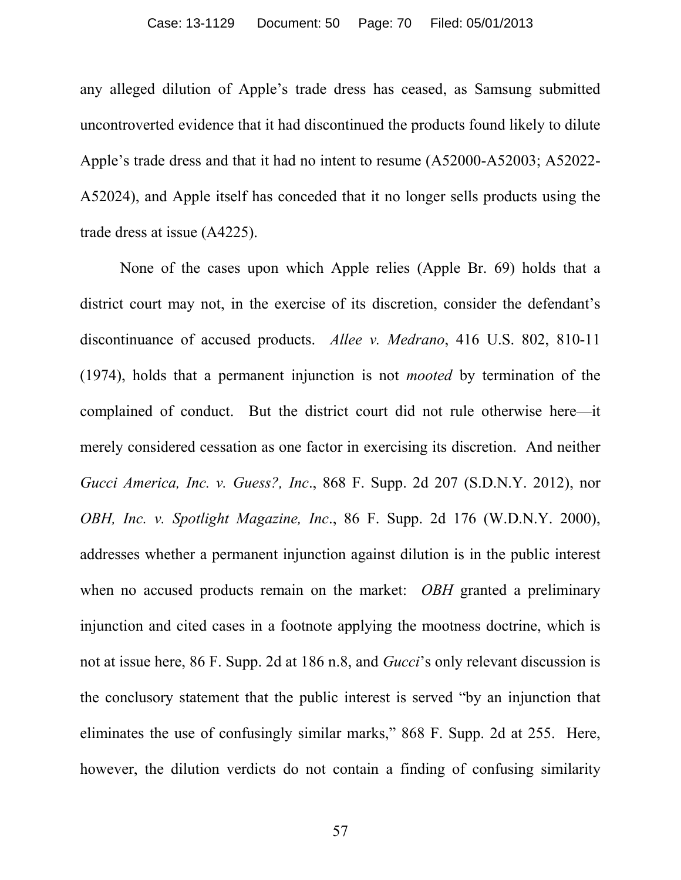any alleged dilution of Apple's trade dress has ceased, as Samsung submitted uncontroverted evidence that it had discontinued the products found likely to dilute Apple's trade dress and that it had no intent to resume (A52000-A52003; A52022- A52024), and Apple itself has conceded that it no longer sells products using the trade dress at issue (A4225).

None of the cases upon which Apple relies (Apple Br. 69) holds that a district court may not, in the exercise of its discretion, consider the defendant's discontinuance of accused products. *Allee v. Medrano*, 416 U.S. 802, 810-11 (1974), holds that a permanent injunction is not *mooted* by termination of the complained of conduct. But the district court did not rule otherwise here—it merely considered cessation as one factor in exercising its discretion. And neither *Gucci America, Inc. v. Guess?, Inc*., 868 F. Supp. 2d 207 (S.D.N.Y. 2012), nor *OBH, Inc. v. Spotlight Magazine, Inc*., 86 F. Supp. 2d 176 (W.D.N.Y. 2000), addresses whether a permanent injunction against dilution is in the public interest when no accused products remain on the market: *OBH* granted a preliminary injunction and cited cases in a footnote applying the mootness doctrine, which is not at issue here, 86 F. Supp. 2d at 186 n.8, and *Gucci*'s only relevant discussion is the conclusory statement that the public interest is served "by an injunction that eliminates the use of confusingly similar marks," 868 F. Supp. 2d at 255. Here, however, the dilution verdicts do not contain a finding of confusing similarity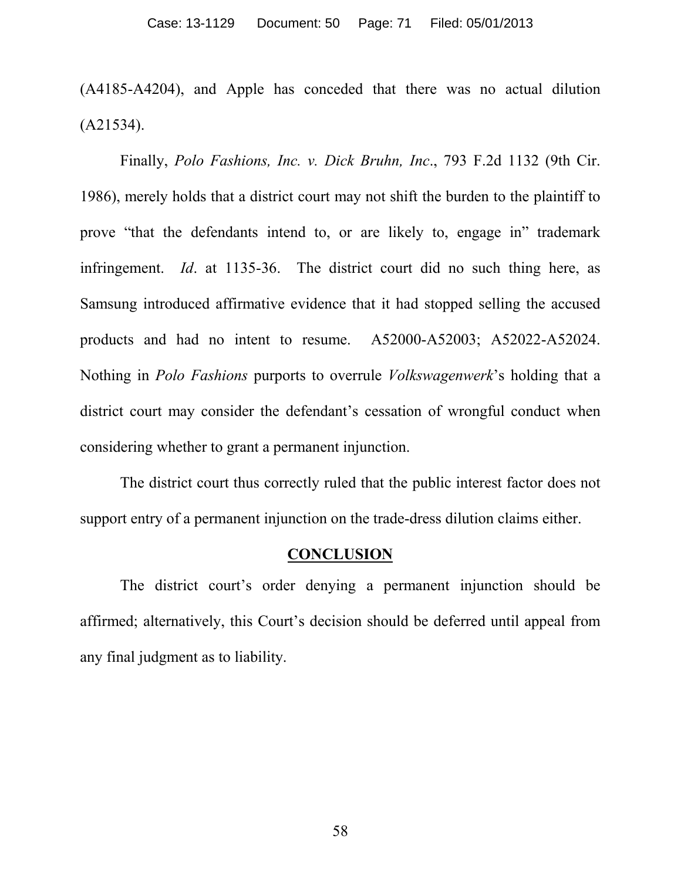(A4185-A4204), and Apple has conceded that there was no actual dilution (A21534).

Finally, *Polo Fashions, Inc. v. Dick Bruhn, Inc*., 793 F.2d 1132 (9th Cir. 1986), merely holds that a district court may not shift the burden to the plaintiff to prove "that the defendants intend to, or are likely to, engage in" trademark infringement. *Id*. at 1135-36. The district court did no such thing here, as Samsung introduced affirmative evidence that it had stopped selling the accused products and had no intent to resume. A52000-A52003; A52022-A52024. Nothing in *Polo Fashions* purports to overrule *Volkswagenwerk*'s holding that a district court may consider the defendant's cessation of wrongful conduct when considering whether to grant a permanent injunction.

The district court thus correctly ruled that the public interest factor does not support entry of a permanent injunction on the trade-dress dilution claims either.

### **CONCLUSION**

The district court's order denying a permanent injunction should be affirmed; alternatively, this Court's decision should be deferred until appeal from any final judgment as to liability.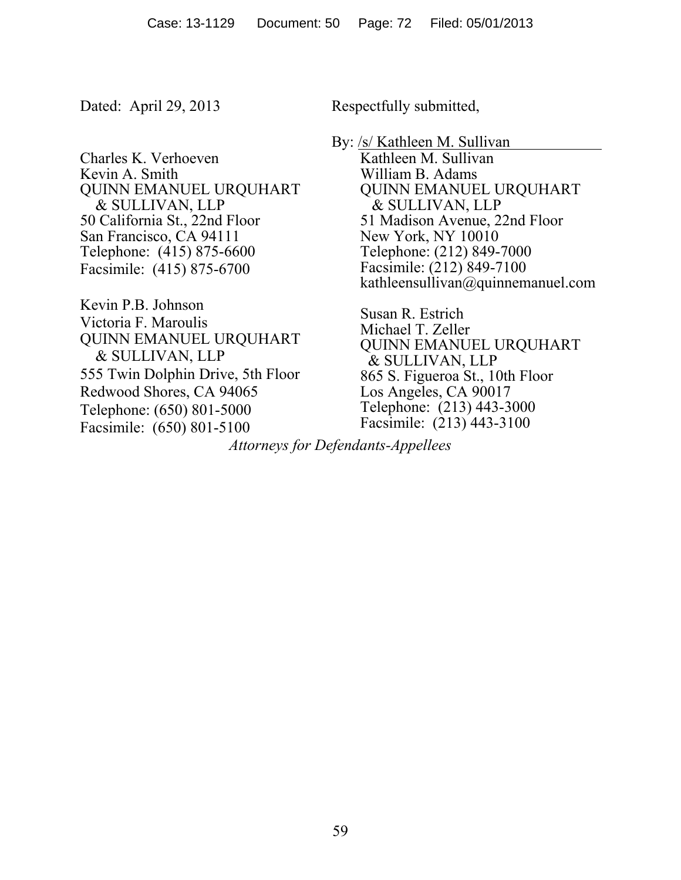Charles K. Verhoeven Kevin A. Smith QUINN EMANUEL URQUHART & SULLIVAN, LLP 50 California St., 22nd Floor San Francisco, CA 94111 Telephone: (415) 875-6600 Facsimile: (415) 875-6700

Kevin P.B. Johnson Victoria F. Maroulis QUINN EMANUEL URQUHART & SULLIVAN, LLP 555 Twin Dolphin Drive, 5th Floor Redwood Shores, CA 94065 Telephone: (650) 801-5000 Facsimile: (650) 801-5100

Dated: April 29, 2013 Respectfully submitted,

By: /s/ Kathleen M. Sullivan Kathleen M. Sullivan William B. Adams QUINN EMANUEL URQUHART & SULLIVAN, LLP 51 Madison Avenue, 22nd Floor New York, NY 10010 Telephone: (212) 849-7000 Facsimile: (212) 849-7100 kathleensullivan@quinnemanuel.com

> Susan R. Estrich Michael T. Zeller QUINN EMANUEL URQUHART & SULLIVAN, LLP 865 S. Figueroa St., 10th Floor Los Angeles, CA 90017 Telephone: (213) 443-3000 Facsimile: (213) 443-3100

*Attorneys for Defendants-Appellees*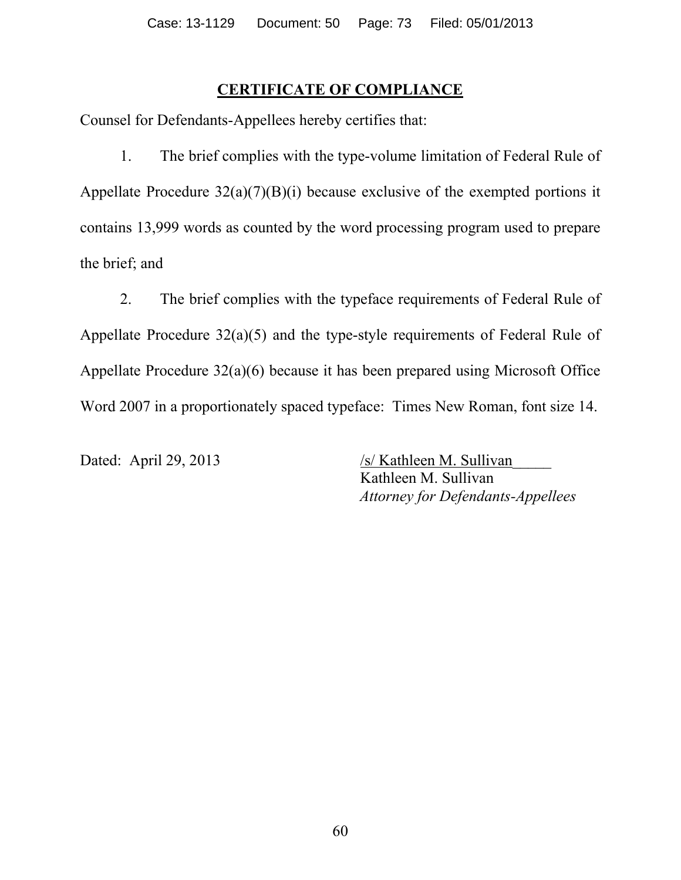## **CERTIFICATE OF COMPLIANCE**

Counsel for Defendants-Appellees hereby certifies that:

1. The brief complies with the type-volume limitation of Federal Rule of Appellate Procedure 32(a)(7)(B)(i) because exclusive of the exempted portions it contains 13,999 words as counted by the word processing program used to prepare the brief; and

2. The brief complies with the typeface requirements of Federal Rule of Appellate Procedure 32(a)(5) and the type-style requirements of Federal Rule of Appellate Procedure 32(a)(6) because it has been prepared using Microsoft Office Word 2007 in a proportionately spaced typeface: Times New Roman, font size 14.

Dated: April 29, 2013 /s/ Kathleen M. Sullivan Kathleen M. Sullivan *Attorney for Defendants-Appellees*